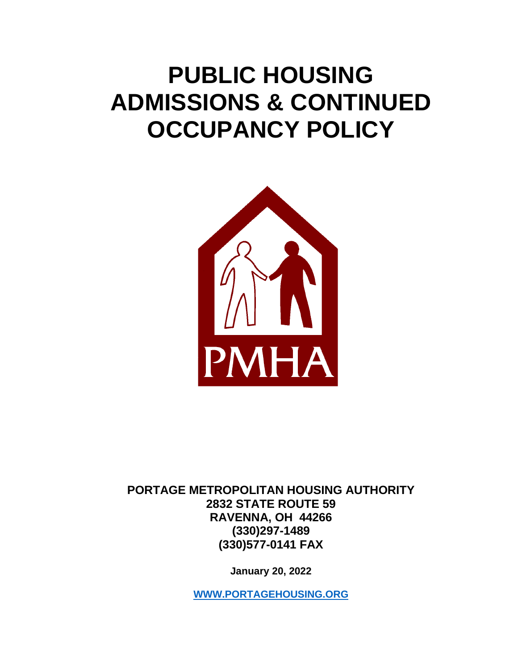# **PUBLIC HOUSING ADMISSIONS & CONTINUED OCCUPANCY POLICY**



**PORTAGE METROPOLITAN HOUSING AUTHORITY 2832 STATE ROUTE 59 RAVENNA, OH 44266 (330)297-1489 (330)577-0141 FAX**

**January 20, 2022**

**[WWW.PORTAGEHOUSING.ORG](http://www.portagehousing.org/)**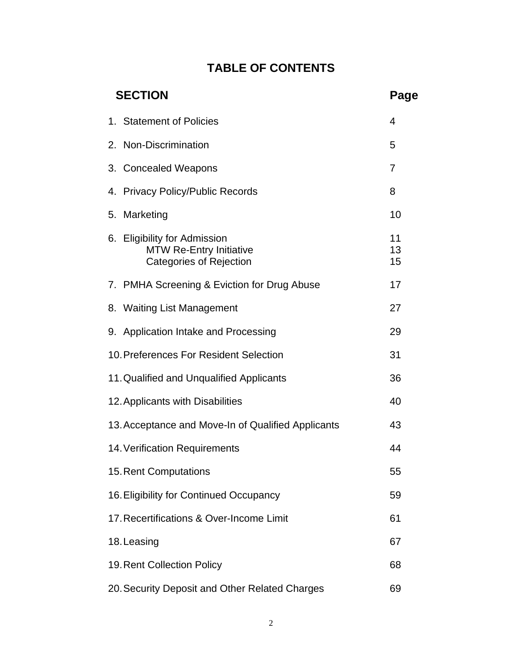# **TABLE OF CONTENTS**

| <b>SECTION</b>                                                                                   | Page           |
|--------------------------------------------------------------------------------------------------|----------------|
| 1. Statement of Policies                                                                         | 4              |
| 2. Non-Discrimination                                                                            | 5              |
| 3. Concealed Weapons                                                                             | 7              |
| 4. Privacy Policy/Public Records                                                                 | 8              |
| 5. Marketing                                                                                     | 10             |
| 6. Eligibility for Admission<br><b>MTW Re-Entry Initiative</b><br><b>Categories of Rejection</b> | 11<br>13<br>15 |
| 7. PMHA Screening & Eviction for Drug Abuse                                                      | 17             |
| 8. Waiting List Management                                                                       | 27             |
| 9. Application Intake and Processing                                                             | 29             |
| 10. Preferences For Resident Selection                                                           | 31             |
| 11. Qualified and Unqualified Applicants                                                         | 36             |
| 12. Applicants with Disabilities                                                                 | 40             |
| 13. Acceptance and Move-In of Qualified Applicants                                               | 43             |
| <b>14. Verification Requirements</b>                                                             | 44             |
| <b>15. Rent Computations</b>                                                                     | 55             |
| 16. Eligibility for Continued Occupancy                                                          | 59             |
| 17. Recertifications & Over-Income Limit                                                         | 61             |
| 18. Leasing                                                                                      | 67             |
| 19. Rent Collection Policy                                                                       | 68             |
| 20. Security Deposit and Other Related Charges                                                   | 69             |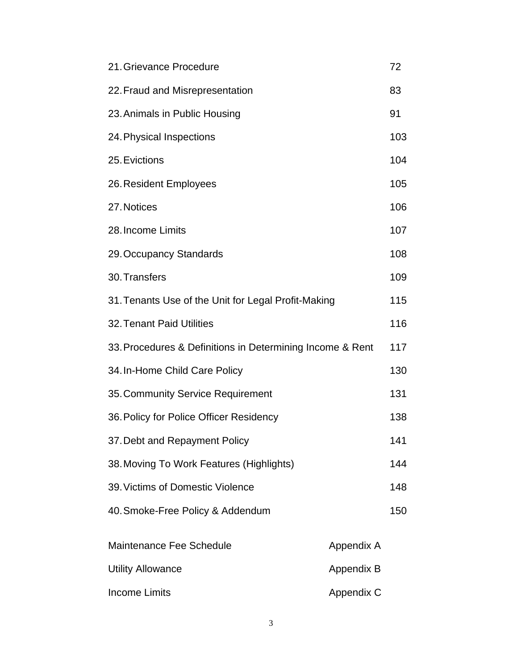| 21. Grievance Procedure                                   | 72         |     |
|-----------------------------------------------------------|------------|-----|
| 22. Fraud and Misrepresentation                           | 83         |     |
| 23. Animals in Public Housing                             | 91         |     |
| 24. Physical Inspections                                  | 103        |     |
| 25. Evictions                                             | 104        |     |
| 26. Resident Employees                                    | 105        |     |
| 27. Notices                                               | 106        |     |
| 28. Income Limits                                         | 107        |     |
| 29. Occupancy Standards                                   | 108        |     |
| 30. Transfers                                             | 109        |     |
| 31. Tenants Use of the Unit for Legal Profit-Making       | 115        |     |
| <b>32. Tenant Paid Utilities</b>                          | 116        |     |
| 33. Procedures & Definitions in Determining Income & Rent | 117        |     |
| 34. In-Home Child Care Policy                             | 130        |     |
| 35. Community Service Requirement                         | 131        |     |
| 36. Policy for Police Officer Residency                   | 138        |     |
| 37. Debt and Repayment Policy                             | 141        |     |
| 38. Moving To Work Features (Highlights)                  | 144        |     |
| 39. Victims of Domestic Violence                          | 148        |     |
| 40. Smoke-Free Policy & Addendum                          |            | 150 |
| Maintenance Fee Schedule                                  | Appendix A |     |
| <b>Appendix B</b><br><b>Utility Allowance</b>             |            |     |
| <b>Income Limits</b><br>Appendix C                        |            |     |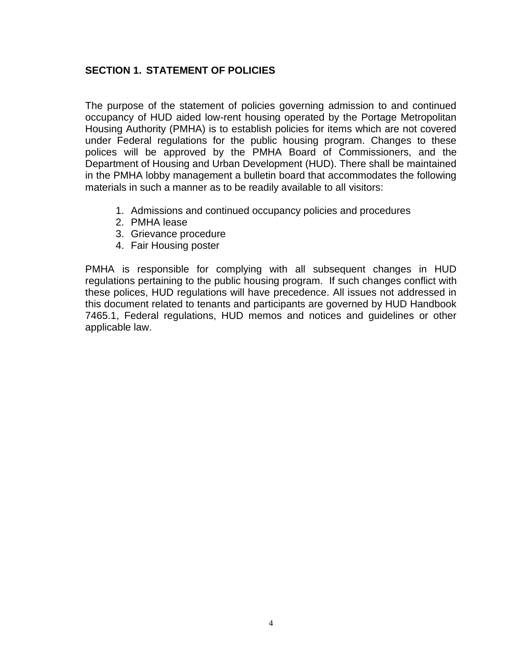#### **SECTION 1. STATEMENT OF POLICIES**

The purpose of the statement of policies governing admission to and continued occupancy of HUD aided low-rent housing operated by the Portage Metropolitan Housing Authority (PMHA) is to establish policies for items which are not covered under Federal regulations for the public housing program. Changes to these polices will be approved by the PMHA Board of Commissioners, and the Department of Housing and Urban Development (HUD). There shall be maintained in the PMHA lobby management a bulletin board that accommodates the following materials in such a manner as to be readily available to all visitors:

- 1. Admissions and continued occupancy policies and procedures
- 2. PMHA lease
- 3. Grievance procedure
- 4. Fair Housing poster

PMHA is responsible for complying with all subsequent changes in HUD regulations pertaining to the public housing program. If such changes conflict with these polices, HUD regulations will have precedence. All issues not addressed in this document related to tenants and participants are governed by HUD Handbook 7465.1, Federal regulations, HUD memos and notices and guidelines or other applicable law.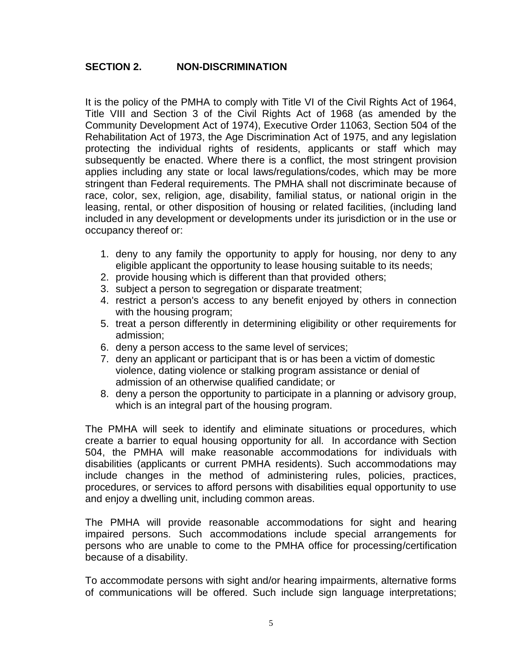#### **SECTION 2. NON-DISCRIMINATION**

It is the policy of the PMHA to comply with Title VI of the Civil Rights Act of 1964, Title VIII and Section 3 of the Civil Rights Act of 1968 (as amended by the Community Development Act of 1974), Executive Order 11063, Section 504 of the Rehabilitation Act of 1973, the Age Discrimination Act of 1975, and any legislation protecting the individual rights of residents, applicants or staff which may subsequently be enacted. Where there is a conflict, the most stringent provision applies including any state or local laws/regulations/codes, which may be more stringent than Federal requirements. The PMHA shall not discriminate because of race, color, sex, religion, age, disability, familial status, or national origin in the leasing, rental, or other disposition of housing or related facilities, (including land included in any development or developments under its jurisdiction or in the use or occupancy thereof or:

- 1. deny to any family the opportunity to apply for housing, nor deny to any eligible applicant the opportunity to lease housing suitable to its needs;
- 2. provide housing which is different than that provided others;
- 3. subject a person to segregation or disparate treatment;
- 4. restrict a person's access to any benefit enjoyed by others in connection with the housing program;
- 5. treat a person differently in determining eligibility or other requirements for admission;
- 6. deny a person access to the same level of services;
- 7. deny an applicant or participant that is or has been a victim of domestic violence, dating violence or stalking program assistance or denial of admission of an otherwise qualified candidate; or
- 8. deny a person the opportunity to participate in a planning or advisory group, which is an integral part of the housing program.

The PMHA will seek to identify and eliminate situations or procedures, which create a barrier to equal housing opportunity for all. In accordance with Section 504, the PMHA will make reasonable accommodations for individuals with disabilities (applicants or current PMHA residents). Such accommodations may include changes in the method of administering rules, policies, practices, procedures, or services to afford persons with disabilities equal opportunity to use and enjoy a dwelling unit, including common areas.

The PMHA will provide reasonable accommodations for sight and hearing impaired persons. Such accommodations include special arrangements for persons who are unable to come to the PMHA office for processing/certification because of a disability.

To accommodate persons with sight and/or hearing impairments, alternative forms of communications will be offered. Such include sign language interpretations;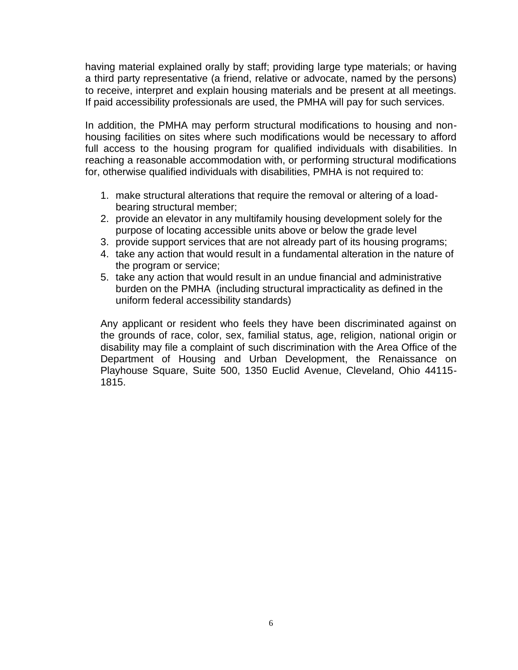having material explained orally by staff; providing large type materials; or having a third party representative (a friend, relative or advocate, named by the persons) to receive, interpret and explain housing materials and be present at all meetings. If paid accessibility professionals are used, the PMHA will pay for such services.

In addition, the PMHA may perform structural modifications to housing and nonhousing facilities on sites where such modifications would be necessary to afford full access to the housing program for qualified individuals with disabilities. In reaching a reasonable accommodation with, or performing structural modifications for, otherwise qualified individuals with disabilities, PMHA is not required to:

- 1. make structural alterations that require the removal or altering of a loadbearing structural member;
- 2. provide an elevator in any multifamily housing development solely for the purpose of locating accessible units above or below the grade level
- 3. provide support services that are not already part of its housing programs;
- 4. take any action that would result in a fundamental alteration in the nature of the program or service;
- 5. take any action that would result in an undue financial and administrative burden on the PMHA (including structural impracticality as defined in the uniform federal accessibility standards)

Any applicant or resident who feels they have been discriminated against on the grounds of race, color, sex, familial status, age, religion, national origin or disability may file a complaint of such discrimination with the Area Office of the Department of Housing and Urban Development, the Renaissance on Playhouse Square, Suite 500, 1350 Euclid Avenue, Cleveland, Ohio 44115- 1815.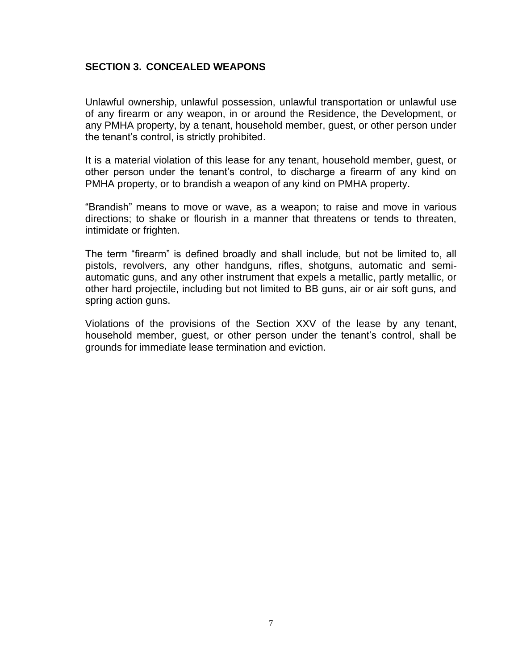#### **SECTION 3. CONCEALED WEAPONS**

Unlawful ownership, unlawful possession, unlawful transportation or unlawful use of any firearm or any weapon, in or around the Residence, the Development, or any PMHA property, by a tenant, household member, guest, or other person under the tenant's control, is strictly prohibited.

It is a material violation of this lease for any tenant, household member, guest, or other person under the tenant's control, to discharge a firearm of any kind on PMHA property, or to brandish a weapon of any kind on PMHA property.

"Brandish" means to move or wave, as a weapon; to raise and move in various directions; to shake or flourish in a manner that threatens or tends to threaten, intimidate or frighten.

The term "firearm" is defined broadly and shall include, but not be limited to, all pistols, revolvers, any other handguns, rifles, shotguns, automatic and semiautomatic guns, and any other instrument that expels a metallic, partly metallic, or other hard projectile, including but not limited to BB guns, air or air soft guns, and spring action guns.

Violations of the provisions of the Section XXV of the lease by any tenant, household member, guest, or other person under the tenant's control, shall be grounds for immediate lease termination and eviction.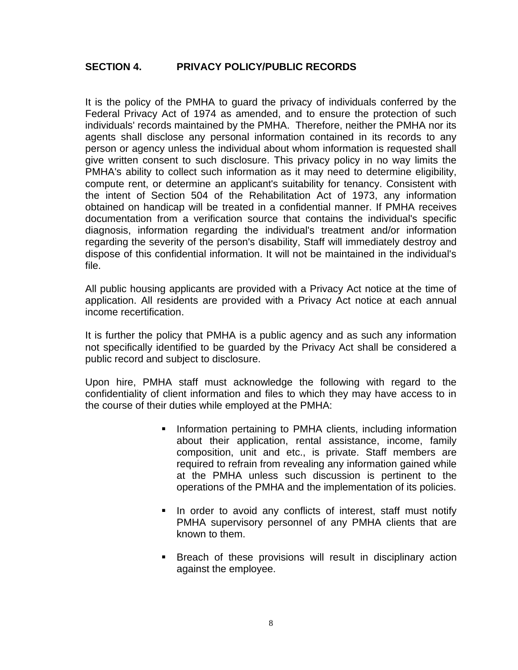#### **SECTION 4. PRIVACY POLICY/PUBLIC RECORDS**

It is the policy of the PMHA to guard the privacy of individuals conferred by the Federal Privacy Act of 1974 as amended, and to ensure the protection of such individuals' records maintained by the PMHA. Therefore, neither the PMHA nor its agents shall disclose any personal information contained in its records to any person or agency unless the individual about whom information is requested shall give written consent to such disclosure. This privacy policy in no way limits the PMHA's ability to collect such information as it may need to determine eligibility, compute rent, or determine an applicant's suitability for tenancy. Consistent with the intent of Section 504 of the Rehabilitation Act of 1973, any information obtained on handicap will be treated in a confidential manner. If PMHA receives documentation from a verification source that contains the individual's specific diagnosis, information regarding the individual's treatment and/or information regarding the severity of the person's disability, Staff will immediately destroy and dispose of this confidential information. It will not be maintained in the individual's file.

All public housing applicants are provided with a Privacy Act notice at the time of application. All residents are provided with a Privacy Act notice at each annual income recertification.

It is further the policy that PMHA is a public agency and as such any information not specifically identified to be guarded by the Privacy Act shall be considered a public record and subject to disclosure.

Upon hire, PMHA staff must acknowledge the following with regard to the confidentiality of client information and files to which they may have access to in the course of their duties while employed at the PMHA:

- **.** Information pertaining to PMHA clients, including information about their application, rental assistance, income, family composition, unit and etc., is private. Staff members are required to refrain from revealing any information gained while at the PMHA unless such discussion is pertinent to the operations of the PMHA and the implementation of its policies.
- **.** In order to avoid any conflicts of interest, staff must notify PMHA supervisory personnel of any PMHA clients that are known to them.
- Breach of these provisions will result in disciplinary action against the employee.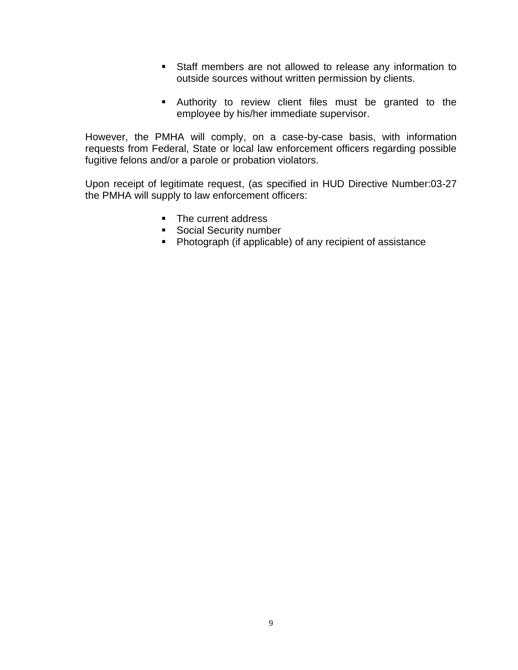- Staff members are not allowed to release any information to outside sources without written permission by clients.
- Authority to review client files must be granted to the employee by his/her immediate supervisor.

However, the PMHA will comply, on a case-by-case basis, with information requests from Federal, State or local law enforcement officers regarding possible fugitive felons and/or a parole or probation violators.

Upon receipt of legitimate request, (as specified in HUD Directive Number:03-27 the PMHA will supply to law enforcement officers:

- The current address
- Social Security number
- Photograph (if applicable) of any recipient of assistance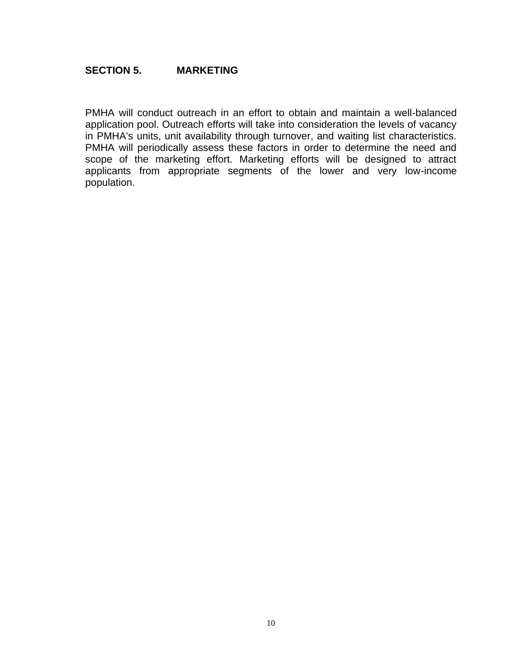#### **SECTION 5. MARKETING**

PMHA will conduct outreach in an effort to obtain and maintain a well-balanced application pool. Outreach efforts will take into consideration the levels of vacancy in PMHA's units, unit availability through turnover, and waiting list characteristics. PMHA will periodically assess these factors in order to determine the need and scope of the marketing effort. Marketing efforts will be designed to attract applicants from appropriate segments of the lower and very low-income population.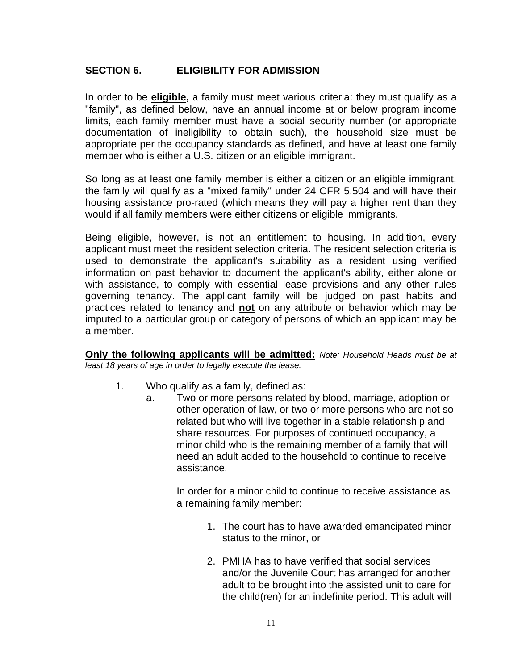#### **SECTION 6. ELIGIBILITY FOR ADMISSION**

In order to be **eligible,** a family must meet various criteria: they must qualify as a "family", as defined below, have an annual income at or below program income limits, each family member must have a social security number (or appropriate documentation of ineligibility to obtain such), the household size must be appropriate per the occupancy standards as defined, and have at least one family member who is either a U.S. citizen or an eligible immigrant.

So long as at least one family member is either a citizen or an eligible immigrant, the family will qualify as a "mixed family" under 24 CFR 5.504 and will have their housing assistance pro-rated (which means they will pay a higher rent than they would if all family members were either citizens or eligible immigrants.

Being eligible, however, is not an entitlement to housing. In addition, every applicant must meet the resident selection criteria. The resident selection criteria is used to demonstrate the applicant's suitability as a resident using verified information on past behavior to document the applicant's ability, either alone or with assistance, to comply with essential lease provisions and any other rules governing tenancy. The applicant family will be judged on past habits and practices related to tenancy and **not** on any attribute or behavior which may be imputed to a particular group or category of persons of which an applicant may be a member.

**Only the following applicants will be admitted:** *Note: Household Heads must be at least 18 years of age in order to legally execute the lease.*

- 1. Who qualify as a family, defined as:
	- a. Two or more persons related by blood, marriage, adoption or other operation of law, or two or more persons who are not so related but who will live together in a stable relationship and share resources. For purposes of continued occupancy, a minor child who is the remaining member of a family that will need an adult added to the household to continue to receive assistance.

In order for a minor child to continue to receive assistance as a remaining family member:

- 1. The court has to have awarded emancipated minor status to the minor, or
- 2. PMHA has to have verified that social services and/or the Juvenile Court has arranged for another adult to be brought into the assisted unit to care for the child(ren) for an indefinite period. This adult will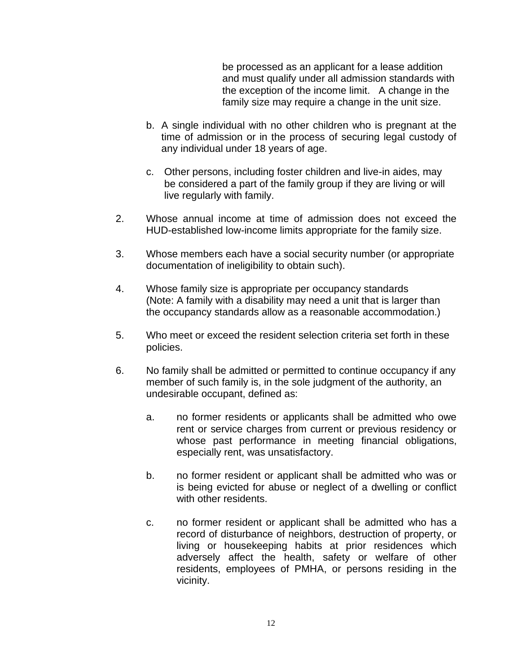be processed as an applicant for a lease addition and must qualify under all admission standards with the exception of the income limit. A change in the family size may require a change in the unit size.

- b. A single individual with no other children who is pregnant at the time of admission or in the process of securing legal custody of any individual under 18 years of age.
- c. Other persons, including foster children and live-in aides, may be considered a part of the family group if they are living or will live regularly with family.
- 2. Whose annual income at time of admission does not exceed the HUD-established low-income limits appropriate for the family size.
- 3. Whose members each have a social security number (or appropriate documentation of ineligibility to obtain such).
- 4. Whose family size is appropriate per occupancy standards (Note: A family with a disability may need a unit that is larger than the occupancy standards allow as a reasonable accommodation.)
- 5. Who meet or exceed the resident selection criteria set forth in these policies.
- 6. No family shall be admitted or permitted to continue occupancy if any member of such family is, in the sole judgment of the authority, an undesirable occupant, defined as:
	- a. no former residents or applicants shall be admitted who owe rent or service charges from current or previous residency or whose past performance in meeting financial obligations, especially rent, was unsatisfactory.
	- b. no former resident or applicant shall be admitted who was or is being evicted for abuse or neglect of a dwelling or conflict with other residents.
	- c. no former resident or applicant shall be admitted who has a record of disturbance of neighbors, destruction of property, or living or housekeeping habits at prior residences which adversely affect the health, safety or welfare of other residents, employees of PMHA, or persons residing in the vicinity.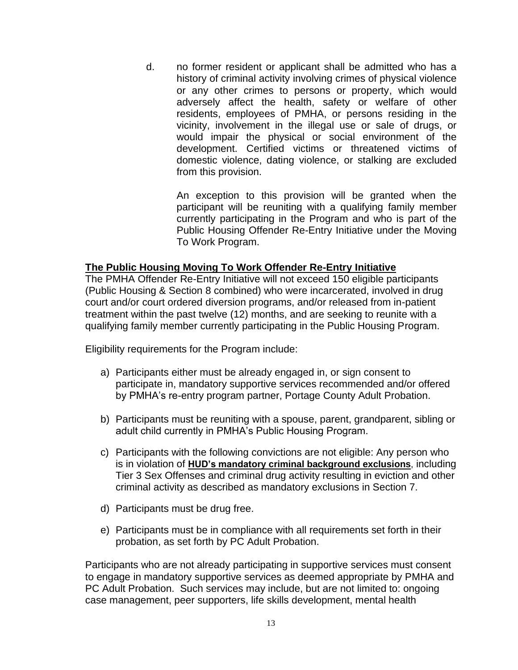d. no former resident or applicant shall be admitted who has a history of criminal activity involving crimes of physical violence or any other crimes to persons or property, which would adversely affect the health, safety or welfare of other residents, employees of PMHA, or persons residing in the vicinity, involvement in the illegal use or sale of drugs, or would impair the physical or social environment of the development. Certified victims or threatened victims of domestic violence, dating violence, or stalking are excluded from this provision.

An exception to this provision will be granted when the participant will be reuniting with a qualifying family member currently participating in the Program and who is part of the Public Housing Offender Re-Entry Initiative under the Moving To Work Program.

#### **The Public Housing Moving To Work Offender Re-Entry Initiative**

The PMHA Offender Re-Entry Initiative will not exceed 150 eligible participants (Public Housing & Section 8 combined) who were incarcerated, involved in drug court and/or court ordered diversion programs, and/or released from in-patient treatment within the past twelve (12) months, and are seeking to reunite with a qualifying family member currently participating in the Public Housing Program.

Eligibility requirements for the Program include:

- a) Participants either must be already engaged in, or sign consent to participate in, mandatory supportive services recommended and/or offered by PMHA's re-entry program partner, Portage County Adult Probation.
- b) Participants must be reuniting with a spouse, parent, grandparent, sibling or adult child currently in PMHA's Public Housing Program.
- c) Participants with the following convictions are not eligible: Any person who is in violation of **HUD's mandatory criminal background exclusions**, including Tier 3 Sex Offenses and criminal drug activity resulting in eviction and other criminal activity as described as mandatory exclusions in Section 7.
- d) Participants must be drug free.
- e) Participants must be in compliance with all requirements set forth in their probation, as set forth by PC Adult Probation.

Participants who are not already participating in supportive services must consent to engage in mandatory supportive services as deemed appropriate by PMHA and PC Adult Probation. Such services may include, but are not limited to: ongoing case management, peer supporters, life skills development, mental health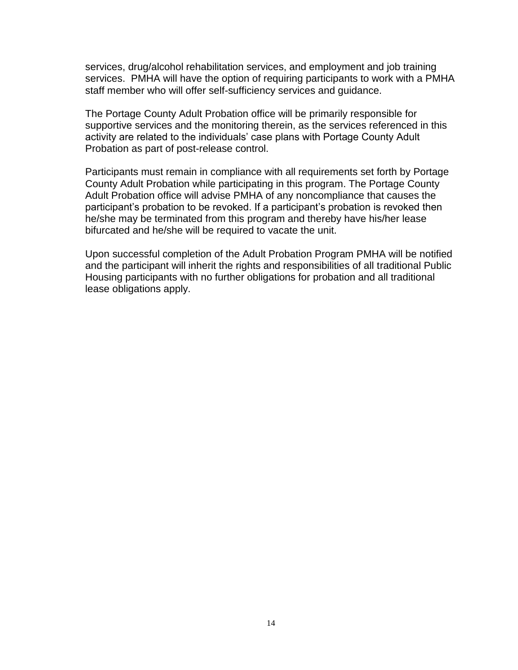services, drug/alcohol rehabilitation services, and employment and job training services. PMHA will have the option of requiring participants to work with a PMHA staff member who will offer self-sufficiency services and guidance.

The Portage County Adult Probation office will be primarily responsible for supportive services and the monitoring therein, as the services referenced in this activity are related to the individuals' case plans with Portage County Adult Probation as part of post-release control.

Participants must remain in compliance with all requirements set forth by Portage County Adult Probation while participating in this program. The Portage County Adult Probation office will advise PMHA of any noncompliance that causes the participant's probation to be revoked. If a participant's probation is revoked then he/she may be terminated from this program and thereby have his/her lease bifurcated and he/she will be required to vacate the unit.

Upon successful completion of the Adult Probation Program PMHA will be notified and the participant will inherit the rights and responsibilities of all traditional Public Housing participants with no further obligations for probation and all traditional lease obligations apply.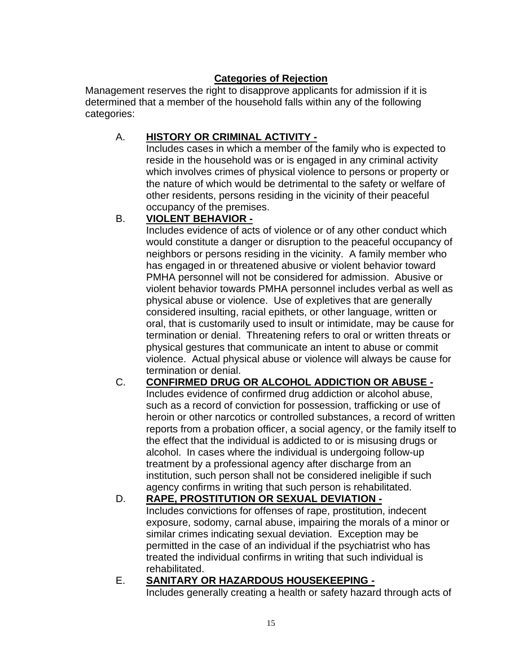# **Categories of Rejection**

Management reserves the right to disapprove applicants for admission if it is determined that a member of the household falls within any of the following categories:

# A. **HISTORY OR CRIMINAL ACTIVITY -**

Includes cases in which a member of the family who is expected to reside in the household was or is engaged in any criminal activity which involves crimes of physical violence to persons or property or the nature of which would be detrimental to the safety or welfare of other residents, persons residing in the vicinity of their peaceful occupancy of the premises.

# B. **VIOLENT BEHAVIOR -**

Includes evidence of acts of violence or of any other conduct which would constitute a danger or disruption to the peaceful occupancy of neighbors or persons residing in the vicinity. A family member who has engaged in or threatened abusive or violent behavior toward PMHA personnel will not be considered for admission. Abusive or violent behavior towards PMHA personnel includes verbal as well as physical abuse or violence. Use of expletives that are generally considered insulting, racial epithets, or other language, written or oral, that is customarily used to insult or intimidate, may be cause for termination or denial. Threatening refers to oral or written threats or physical gestures that communicate an intent to abuse or commit violence. Actual physical abuse or violence will always be cause for termination or denial.

- C. **CONFIRMED DRUG OR ALCOHOL ADDICTION OR ABUSE -** Includes evidence of confirmed drug addiction or alcohol abuse, such as a record of conviction for possession, trafficking or use of heroin or other narcotics or controlled substances, a record of written reports from a probation officer, a social agency, or the family itself to the effect that the individual is addicted to or is misusing drugs or alcohol. In cases where the individual is undergoing follow-up treatment by a professional agency after discharge from an institution, such person shall not be considered ineligible if such agency confirms in writing that such person is rehabilitated.
- D. **RAPE, PROSTITUTION OR SEXUAL DEVIATION -** Includes convictions for offenses of rape, prostitution, indecent exposure, sodomy, carnal abuse, impairing the morals of a minor or similar crimes indicating sexual deviation. Exception may be permitted in the case of an individual if the psychiatrist who has treated the individual confirms in writing that such individual is rehabilitated.

## E. **SANITARY OR HAZARDOUS HOUSEKEEPING -**

Includes generally creating a health or safety hazard through acts of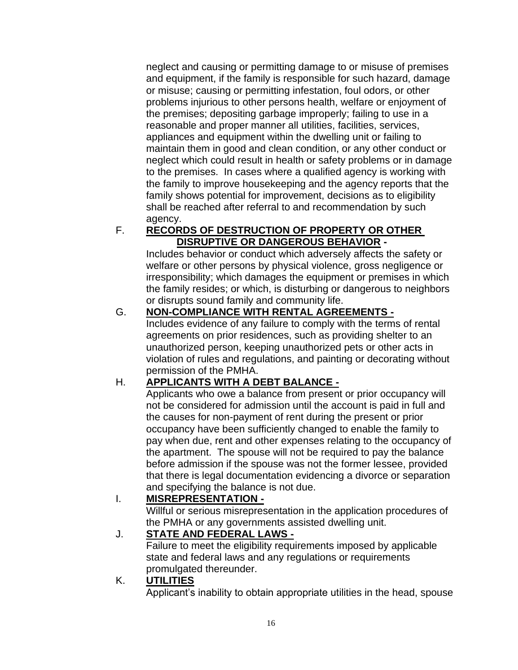neglect and causing or permitting damage to or misuse of premises and equipment, if the family is responsible for such hazard, damage or misuse; causing or permitting infestation, foul odors, or other problems injurious to other persons health, welfare or enjoyment of the premises; depositing garbage improperly; failing to use in a reasonable and proper manner all utilities, facilities, services, appliances and equipment within the dwelling unit or failing to maintain them in good and clean condition, or any other conduct or neglect which could result in health or safety problems or in damage to the premises. In cases where a qualified agency is working with the family to improve housekeeping and the agency reports that the family shows potential for improvement, decisions as to eligibility shall be reached after referral to and recommendation by such agency.

## F. **RECORDS OF DESTRUCTION OF PROPERTY OR OTHER DISRUPTIVE OR DANGEROUS BEHAVIOR -**

Includes behavior or conduct which adversely affects the safety or welfare or other persons by physical violence, gross negligence or irresponsibility; which damages the equipment or premises in which the family resides; or which, is disturbing or dangerous to neighbors or disrupts sound family and community life.

# G. **NON-COMPLIANCE WITH RENTAL AGREEMENTS -**

Includes evidence of any failure to comply with the terms of rental agreements on prior residences, such as providing shelter to an unauthorized person, keeping unauthorized pets or other acts in violation of rules and regulations, and painting or decorating without permission of the PMHA.

# H. **APPLICANTS WITH A DEBT BALANCE -**

Applicants who owe a balance from present or prior occupancy will not be considered for admission until the account is paid in full and the causes for non-payment of rent during the present or prior occupancy have been sufficiently changed to enable the family to pay when due, rent and other expenses relating to the occupancy of the apartment. The spouse will not be required to pay the balance before admission if the spouse was not the former lessee, provided that there is legal documentation evidencing a divorce or separation and specifying the balance is not due.

# I. **MISREPRESENTATION -**

Willful or serious misrepresentation in the application procedures of the PMHA or any governments assisted dwelling unit.

# J. **STATE AND FEDERAL LAWS -**

Failure to meet the eligibility requirements imposed by applicable state and federal laws and any regulations or requirements promulgated thereunder.

# K. **UTILITIES**

Applicant's inability to obtain appropriate utilities in the head, spouse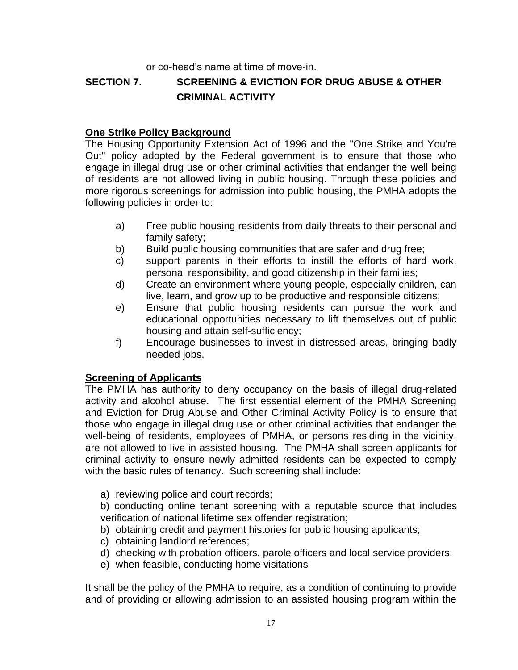or co-head's name at time of move-in.

# **SECTION 7. SCREENING & EVICTION FOR DRUG ABUSE & OTHER CRIMINAL ACTIVITY**

#### **One Strike Policy Background**

The Housing Opportunity Extension Act of 1996 and the "One Strike and You're Out" policy adopted by the Federal government is to ensure that those who engage in illegal drug use or other criminal activities that endanger the well being of residents are not allowed living in public housing. Through these policies and more rigorous screenings for admission into public housing, the PMHA adopts the following policies in order to:

- a) Free public housing residents from daily threats to their personal and family safety;
- b) Build public housing communities that are safer and drug free;
- c) support parents in their efforts to instill the efforts of hard work, personal responsibility, and good citizenship in their families;
- d) Create an environment where young people, especially children, can live, learn, and grow up to be productive and responsible citizens;
- e) Ensure that public housing residents can pursue the work and educational opportunities necessary to lift themselves out of public housing and attain self-sufficiency;
- f) Encourage businesses to invest in distressed areas, bringing badly needed jobs.

#### **Screening of Applicants**

The PMHA has authority to deny occupancy on the basis of illegal drug-related activity and alcohol abuse. The first essential element of the PMHA Screening and Eviction for Drug Abuse and Other Criminal Activity Policy is to ensure that those who engage in illegal drug use or other criminal activities that endanger the well-being of residents, employees of PMHA, or persons residing in the vicinity, are not allowed to live in assisted housing. The PMHA shall screen applicants for criminal activity to ensure newly admitted residents can be expected to comply with the basic rules of tenancy. Such screening shall include:

a) reviewing police and court records;

b) conducting online tenant screening with a reputable source that includes verification of national lifetime sex offender registration;

- b) obtaining credit and payment histories for public housing applicants;
- c) obtaining landlord references;
- d) checking with probation officers, parole officers and local service providers;
- e) when feasible, conducting home visitations

It shall be the policy of the PMHA to require, as a condition of continuing to provide and of providing or allowing admission to an assisted housing program within the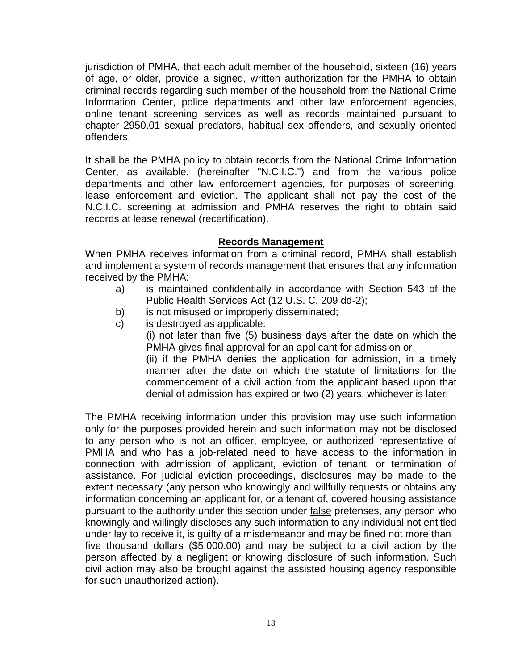jurisdiction of PMHA, that each adult member of the household, sixteen (16) years of age, or older, provide a signed, written authorization for the PMHA to obtain criminal records regarding such member of the household from the National Crime Information Center, police departments and other law enforcement agencies, online tenant screening services as well as records maintained pursuant to chapter 2950.01 sexual predators, habitual sex offenders, and sexually oriented offenders.

It shall be the PMHA policy to obtain records from the National Crime Information Center, as available, (hereinafter "N.C.I.C.") and from the various police departments and other law enforcement agencies, for purposes of screening, lease enforcement and eviction. The applicant shall not pay the cost of the N.C.I.C. screening at admission and PMHA reserves the right to obtain said records at lease renewal (recertification).

#### **Records Management**

When PMHA receives information from a criminal record, PMHA shall establish and implement a system of records management that ensures that any information received by the PMHA:

- a) is maintained confidentially in accordance with Section 543 of the Public Health Services Act (12 U.S. C. 209 dd-2);
- b) is not misused or improperly disseminated;
- c) is destroyed as applicable:

(i) not later than five (5) business days after the date on which the PMHA gives final approval for an applicant for admission or

(ii) if the PMHA denies the application for admission, in a timely manner after the date on which the statute of limitations for the commencement of a civil action from the applicant based upon that denial of admission has expired or two (2) years, whichever is later.

The PMHA receiving information under this provision may use such information only for the purposes provided herein and such information may not be disclosed to any person who is not an officer, employee, or authorized representative of PMHA and who has a job-related need to have access to the information in connection with admission of applicant, eviction of tenant, or termination of assistance. For judicial eviction proceedings, disclosures may be made to the extent necessary (any person who knowingly and willfully requests or obtains any information concerning an applicant for, or a tenant of, covered housing assistance pursuant to the authority under this section under false pretenses, any person who knowingly and willingly discloses any such information to any individual not entitled under lay to receive it, is guilty of a misdemeanor and may be fined not more than five thousand dollars (\$5,000.00) and may be subject to a civil action by the person affected by a negligent or knowing disclosure of such information. Such civil action may also be brought against the assisted housing agency responsible for such unauthorized action).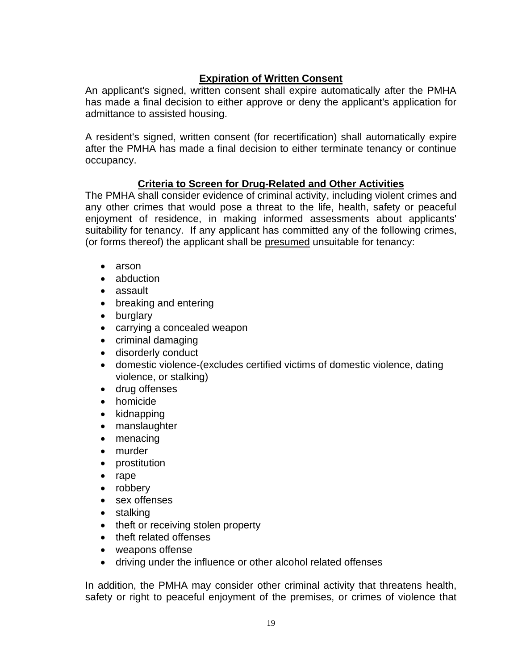# **Expiration of Written Consent**

An applicant's signed, written consent shall expire automatically after the PMHA has made a final decision to either approve or deny the applicant's application for admittance to assisted housing.

A resident's signed, written consent (for recertification) shall automatically expire after the PMHA has made a final decision to either terminate tenancy or continue occupancy.

# **Criteria to Screen for Drug-Related and Other Activities**

The PMHA shall consider evidence of criminal activity, including violent crimes and any other crimes that would pose a threat to the life, health, safety or peaceful enjoyment of residence, in making informed assessments about applicants' suitability for tenancy. If any applicant has committed any of the following crimes, (or forms thereof) the applicant shall be presumed unsuitable for tenancy:

- arson
- abduction
- assault
- breaking and entering
- burglary
- carrying a concealed weapon
- criminal damaging
- disorderly conduct
- domestic violence-(excludes certified victims of domestic violence, dating violence, or stalking)
- drug offenses
- homicide
- kidnapping
- manslaughter
- menacing
- murder
- prostitution
- rape
- robbery
- sex offenses
- stalking
- theft or receiving stolen property
- theft related offenses
- weapons offense
- driving under the influence or other alcohol related offenses

In addition, the PMHA may consider other criminal activity that threatens health, safety or right to peaceful enjoyment of the premises, or crimes of violence that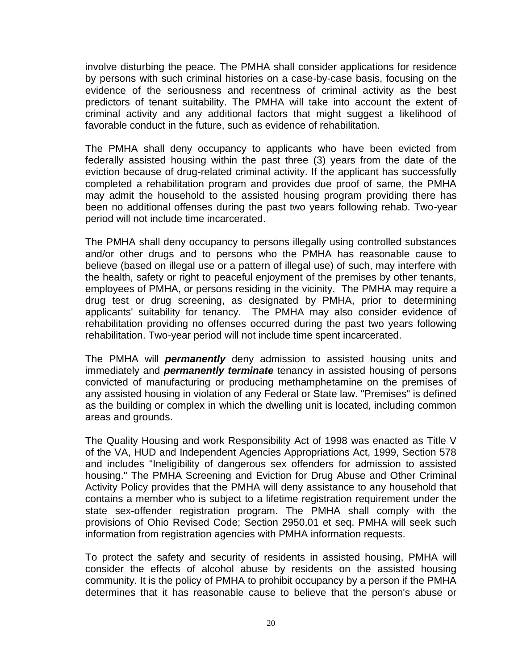involve disturbing the peace. The PMHA shall consider applications for residence by persons with such criminal histories on a case-by-case basis, focusing on the evidence of the seriousness and recentness of criminal activity as the best predictors of tenant suitability. The PMHA will take into account the extent of criminal activity and any additional factors that might suggest a likelihood of favorable conduct in the future, such as evidence of rehabilitation.

The PMHA shall deny occupancy to applicants who have been evicted from federally assisted housing within the past three (3) years from the date of the eviction because of drug-related criminal activity. If the applicant has successfully completed a rehabilitation program and provides due proof of same, the PMHA may admit the household to the assisted housing program providing there has been no additional offenses during the past two years following rehab. Two-year period will not include time incarcerated.

The PMHA shall deny occupancy to persons illegally using controlled substances and/or other drugs and to persons who the PMHA has reasonable cause to believe (based on illegal use or a pattern of illegal use) of such, may interfere with the health, safety or right to peaceful enjoyment of the premises by other tenants, employees of PMHA, or persons residing in the vicinity. The PMHA may require a drug test or drug screening, as designated by PMHA, prior to determining applicants' suitability for tenancy. The PMHA may also consider evidence of rehabilitation providing no offenses occurred during the past two years following rehabilitation. Two-year period will not include time spent incarcerated.

The PMHA will *permanently* deny admission to assisted housing units and immediately and *permanently terminate* tenancy in assisted housing of persons convicted of manufacturing or producing methamphetamine on the premises of any assisted housing in violation of any Federal or State law. "Premises" is defined as the building or complex in which the dwelling unit is located, including common areas and grounds.

The Quality Housing and work Responsibility Act of 1998 was enacted as Title V of the VA, HUD and Independent Agencies Appropriations Act, 1999, Section 578 and includes "Ineligibility of dangerous sex offenders for admission to assisted housing." The PMHA Screening and Eviction for Drug Abuse and Other Criminal Activity Policy provides that the PMHA will deny assistance to any household that contains a member who is subject to a lifetime registration requirement under the state sex-offender registration program. The PMHA shall comply with the provisions of Ohio Revised Code; Section 2950.01 et seq. PMHA will seek such information from registration agencies with PMHA information requests.

To protect the safety and security of residents in assisted housing, PMHA will consider the effects of alcohol abuse by residents on the assisted housing community. It is the policy of PMHA to prohibit occupancy by a person if the PMHA determines that it has reasonable cause to believe that the person's abuse or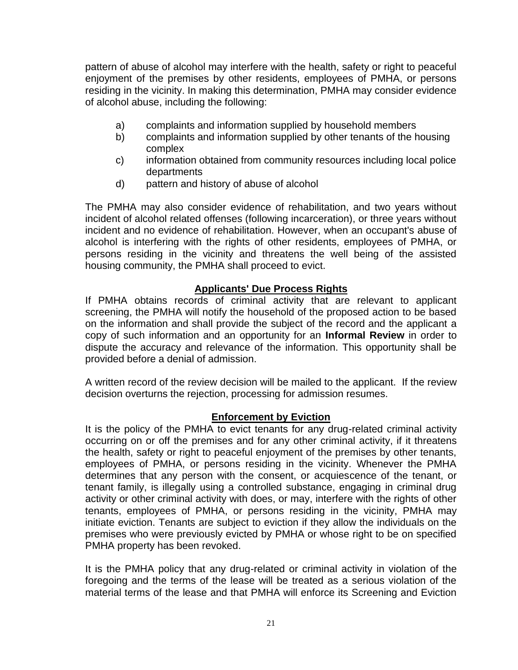pattern of abuse of alcohol may interfere with the health, safety or right to peaceful enjoyment of the premises by other residents, employees of PMHA, or persons residing in the vicinity. In making this determination, PMHA may consider evidence of alcohol abuse, including the following:

- a) complaints and information supplied by household members
- b) complaints and information supplied by other tenants of the housing complex
- c) information obtained from community resources including local police departments
- d) pattern and history of abuse of alcohol

The PMHA may also consider evidence of rehabilitation, and two years without incident of alcohol related offenses (following incarceration), or three years without incident and no evidence of rehabilitation. However, when an occupant's abuse of alcohol is interfering with the rights of other residents, employees of PMHA, or persons residing in the vicinity and threatens the well being of the assisted housing community, the PMHA shall proceed to evict.

## **Applicants' Due Process Rights**

If PMHA obtains records of criminal activity that are relevant to applicant screening, the PMHA will notify the household of the proposed action to be based on the information and shall provide the subject of the record and the applicant a copy of such information and an opportunity for an **Informal Review** in order to dispute the accuracy and relevance of the information. This opportunity shall be provided before a denial of admission.

A written record of the review decision will be mailed to the applicant. If the review decision overturns the rejection, processing for admission resumes.

#### **Enforcement by Eviction**

It is the policy of the PMHA to evict tenants for any drug-related criminal activity occurring on or off the premises and for any other criminal activity, if it threatens the health, safety or right to peaceful enjoyment of the premises by other tenants, employees of PMHA, or persons residing in the vicinity. Whenever the PMHA determines that any person with the consent, or acquiescence of the tenant, or tenant family, is illegally using a controlled substance, engaging in criminal drug activity or other criminal activity with does, or may, interfere with the rights of other tenants, employees of PMHA, or persons residing in the vicinity, PMHA may initiate eviction. Tenants are subject to eviction if they allow the individuals on the premises who were previously evicted by PMHA or whose right to be on specified PMHA property has been revoked.

It is the PMHA policy that any drug-related or criminal activity in violation of the foregoing and the terms of the lease will be treated as a serious violation of the material terms of the lease and that PMHA will enforce its Screening and Eviction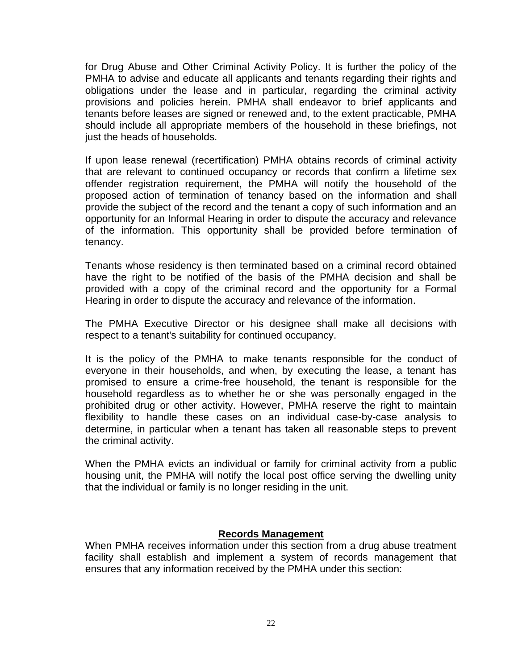for Drug Abuse and Other Criminal Activity Policy. It is further the policy of the PMHA to advise and educate all applicants and tenants regarding their rights and obligations under the lease and in particular, regarding the criminal activity provisions and policies herein. PMHA shall endeavor to brief applicants and tenants before leases are signed or renewed and, to the extent practicable, PMHA should include all appropriate members of the household in these briefings, not just the heads of households.

If upon lease renewal (recertification) PMHA obtains records of criminal activity that are relevant to continued occupancy or records that confirm a lifetime sex offender registration requirement, the PMHA will notify the household of the proposed action of termination of tenancy based on the information and shall provide the subject of the record and the tenant a copy of such information and an opportunity for an Informal Hearing in order to dispute the accuracy and relevance of the information. This opportunity shall be provided before termination of tenancy.

Tenants whose residency is then terminated based on a criminal record obtained have the right to be notified of the basis of the PMHA decision and shall be provided with a copy of the criminal record and the opportunity for a Formal Hearing in order to dispute the accuracy and relevance of the information.

The PMHA Executive Director or his designee shall make all decisions with respect to a tenant's suitability for continued occupancy.

It is the policy of the PMHA to make tenants responsible for the conduct of everyone in their households, and when, by executing the lease, a tenant has promised to ensure a crime-free household, the tenant is responsible for the household regardless as to whether he or she was personally engaged in the prohibited drug or other activity. However, PMHA reserve the right to maintain flexibility to handle these cases on an individual case-by-case analysis to determine, in particular when a tenant has taken all reasonable steps to prevent the criminal activity.

When the PMHA evicts an individual or family for criminal activity from a public housing unit, the PMHA will notify the local post office serving the dwelling unity that the individual or family is no longer residing in the unit.

#### **Records Management**

When PMHA receives information under this section from a drug abuse treatment facility shall establish and implement a system of records management that ensures that any information received by the PMHA under this section: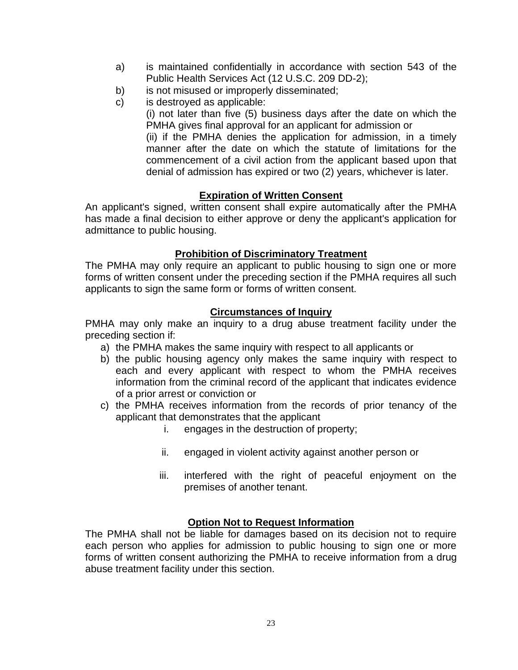- a) is maintained confidentially in accordance with section 543 of the Public Health Services Act (12 U.S.C. 209 DD-2);
- b) is not misused or improperly disseminated;
- c) is destroyed as applicable:

(i) not later than five (5) business days after the date on which the PMHA gives final approval for an applicant for admission or (ii) if the PMHA denies the application for admission, in a timely manner after the date on which the statute of limitations for the commencement of a civil action from the applicant based upon that denial of admission has expired or two (2) years, whichever is later.

#### **Expiration of Written Consent**

An applicant's signed, written consent shall expire automatically after the PMHA has made a final decision to either approve or deny the applicant's application for admittance to public housing.

#### **Prohibition of Discriminatory Treatment**

The PMHA may only require an applicant to public housing to sign one or more forms of written consent under the preceding section if the PMHA requires all such applicants to sign the same form or forms of written consent.

#### **Circumstances of Inquiry**

PMHA may only make an inquiry to a drug abuse treatment facility under the preceding section if:

- a) the PMHA makes the same inquiry with respect to all applicants or
- b) the public housing agency only makes the same inquiry with respect to each and every applicant with respect to whom the PMHA receives information from the criminal record of the applicant that indicates evidence of a prior arrest or conviction or
- c) the PMHA receives information from the records of prior tenancy of the applicant that demonstrates that the applicant
	- i. engages in the destruction of property;
	- ii. engaged in violent activity against another person or
	- iii. interfered with the right of peaceful enjoyment on the premises of another tenant.

#### **Option Not to Request Information**

The PMHA shall not be liable for damages based on its decision not to require each person who applies for admission to public housing to sign one or more forms of written consent authorizing the PMHA to receive information from a drug abuse treatment facility under this section.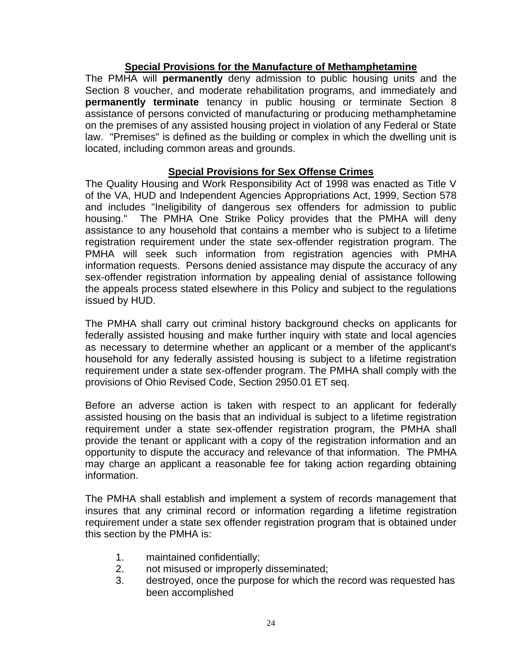#### **Special Provisions for the Manufacture of Methamphetamine**

The PMHA will **permanently** deny admission to public housing units and the Section 8 voucher, and moderate rehabilitation programs, and immediately and **permanently terminate** tenancy in public housing or terminate Section 8 assistance of persons convicted of manufacturing or producing methamphetamine on the premises of any assisted housing project in violation of any Federal or State law. "Premises" is defined as the building or complex in which the dwelling unit is located, including common areas and grounds.

#### **Special Provisions for Sex Offense Crimes**

The Quality Housing and Work Responsibility Act of 1998 was enacted as Title V of the VA, HUD and Independent Agencies Appropriations Act, 1999, Section 578 and includes "Ineligibility of dangerous sex offenders for admission to public housing." The PMHA One Strike Policy provides that the PMHA will deny assistance to any household that contains a member who is subject to a lifetime registration requirement under the state sex-offender registration program. The PMHA will seek such information from registration agencies with PMHA information requests. Persons denied assistance may dispute the accuracy of any sex-offender registration information by appealing denial of assistance following the appeals process stated elsewhere in this Policy and subject to the regulations issued by HUD.

The PMHA shall carry out criminal history background checks on applicants for federally assisted housing and make further inquiry with state and local agencies as necessary to determine whether an applicant or a member of the applicant's household for any federally assisted housing is subject to a lifetime registration requirement under a state sex-offender program. The PMHA shall comply with the provisions of Ohio Revised Code, Section 2950.01 ET seq.

Before an adverse action is taken with respect to an applicant for federally assisted housing on the basis that an individual is subject to a lifetime registration requirement under a state sex-offender registration program, the PMHA shall provide the tenant or applicant with a copy of the registration information and an opportunity to dispute the accuracy and relevance of that information. The PMHA may charge an applicant a reasonable fee for taking action regarding obtaining information.

The PMHA shall establish and implement a system of records management that insures that any criminal record or information regarding a lifetime registration requirement under a state sex offender registration program that is obtained under this section by the PMHA is:

- 1. maintained confidentially;
- 2. not misused or improperly disseminated;
- 3. destroyed, once the purpose for which the record was requested has been accomplished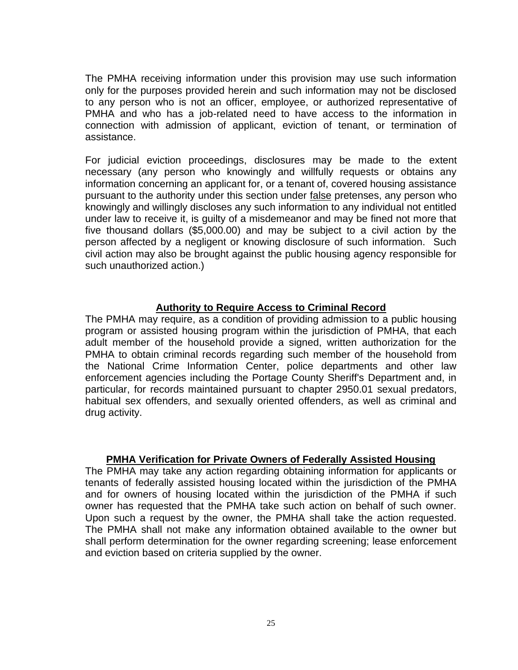The PMHA receiving information under this provision may use such information only for the purposes provided herein and such information may not be disclosed to any person who is not an officer, employee, or authorized representative of PMHA and who has a job-related need to have access to the information in connection with admission of applicant, eviction of tenant, or termination of assistance.

For judicial eviction proceedings, disclosures may be made to the extent necessary (any person who knowingly and willfully requests or obtains any information concerning an applicant for, or a tenant of, covered housing assistance pursuant to the authority under this section under false pretenses, any person who knowingly and willingly discloses any such information to any individual not entitled under law to receive it, is guilty of a misdemeanor and may be fined not more that five thousand dollars (\$5,000.00) and may be subject to a civil action by the person affected by a negligent or knowing disclosure of such information. Such civil action may also be brought against the public housing agency responsible for such unauthorized action.)

#### **Authority to Require Access to Criminal Record**

The PMHA may require, as a condition of providing admission to a public housing program or assisted housing program within the jurisdiction of PMHA, that each adult member of the household provide a signed, written authorization for the PMHA to obtain criminal records regarding such member of the household from the National Crime Information Center, police departments and other law enforcement agencies including the Portage County Sheriff's Department and, in particular, for records maintained pursuant to chapter 2950.01 sexual predators, habitual sex offenders, and sexually oriented offenders, as well as criminal and drug activity.

#### **PMHA Verification for Private Owners of Federally Assisted Housing**

The PMHA may take any action regarding obtaining information for applicants or tenants of federally assisted housing located within the jurisdiction of the PMHA and for owners of housing located within the jurisdiction of the PMHA if such owner has requested that the PMHA take such action on behalf of such owner. Upon such a request by the owner, the PMHA shall take the action requested. The PMHA shall not make any information obtained available to the owner but shall perform determination for the owner regarding screening; lease enforcement and eviction based on criteria supplied by the owner.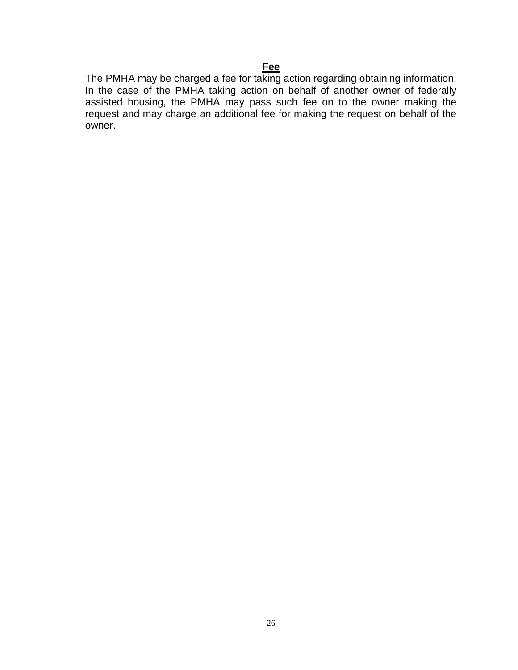#### **Fee**

The PMHA may be charged a fee for taking action regarding obtaining information. In the case of the PMHA taking action on behalf of another owner of federally assisted housing, the PMHA may pass such fee on to the owner making the request and may charge an additional fee for making the request on behalf of the owner.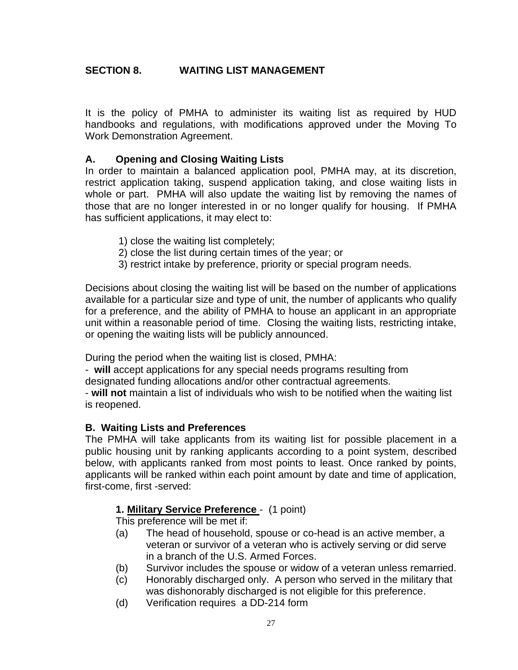#### **SECTION 8. WAITING LIST MANAGEMENT**

It is the policy of PMHA to administer its waiting list as required by HUD handbooks and regulations, with modifications approved under the Moving To Work Demonstration Agreement.

#### **A. Opening and Closing Waiting Lists**

In order to maintain a balanced application pool, PMHA may, at its discretion, restrict application taking, suspend application taking, and close waiting lists in whole or part. PMHA will also update the waiting list by removing the names of those that are no longer interested in or no longer qualify for housing. If PMHA has sufficient applications, it may elect to:

- 1) close the waiting list completely;
- 2) close the list during certain times of the year; or
- 3) restrict intake by preference, priority or special program needs.

Decisions about closing the waiting list will be based on the number of applications available for a particular size and type of unit, the number of applicants who qualify for a preference, and the ability of PMHA to house an applicant in an appropriate unit within a reasonable period of time. Closing the waiting lists, restricting intake, or opening the waiting lists will be publicly announced.

During the period when the waiting list is closed, PMHA:

- **will** accept applications for any special needs programs resulting from designated funding allocations and/or other contractual agreements.

- **will not** maintain a list of individuals who wish to be notified when the waiting list is reopened.

#### **B. Waiting Lists and Preferences**

The PMHA will take applicants from its waiting list for possible placement in a public housing unit by ranking applicants according to a point system, described below, with applicants ranked from most points to least. Once ranked by points, applicants will be ranked within each point amount by date and time of application, first-come, first -served:

#### **1. Military Service Preference** - (1 point)

This preference will be met if:

- (a) The head of household, spouse or co-head is an active member, a veteran or survivor of a veteran who is actively serving or did serve in a branch of the U.S. Armed Forces.
- (b) Survivor includes the spouse or widow of a veteran unless remarried.
- (c) Honorably discharged only. A person who served in the military that was dishonorably discharged is not eligible for this preference.
- (d) Verification requires a DD-214 form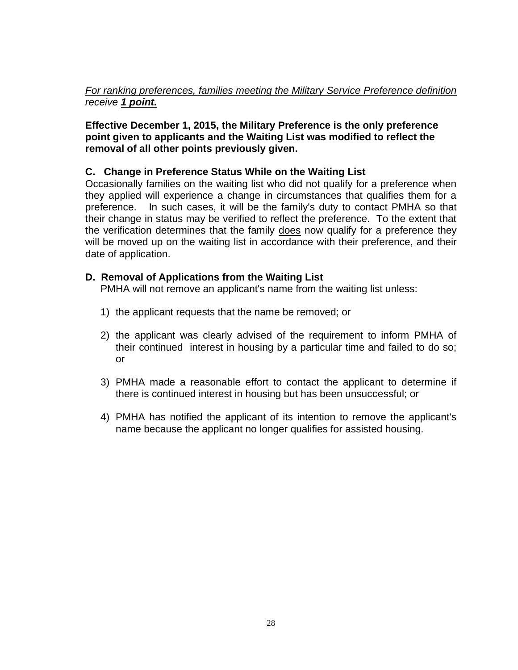## *For ranking preferences, families meeting the Military Service Preference definition receive 1 point.*

#### **Effective December 1, 2015, the Military Preference is the only preference point given to applicants and the Waiting List was modified to reflect the removal of all other points previously given.**

#### **C. Change in Preference Status While on the Waiting List**

Occasionally families on the waiting list who did not qualify for a preference when they applied will experience a change in circumstances that qualifies them for a preference. In such cases, it will be the family's duty to contact PMHA so that their change in status may be verified to reflect the preference. To the extent that the verification determines that the family does now qualify for a preference they will be moved up on the waiting list in accordance with their preference, and their date of application.

#### **D. Removal of Applications from the Waiting List**

PMHA will not remove an applicant's name from the waiting list unless:

- 1) the applicant requests that the name be removed; or
- 2) the applicant was clearly advised of the requirement to inform PMHA of their continued interest in housing by a particular time and failed to do so; or
- 3) PMHA made a reasonable effort to contact the applicant to determine if there is continued interest in housing but has been unsuccessful; or
- 4) PMHA has notified the applicant of its intention to remove the applicant's name because the applicant no longer qualifies for assisted housing.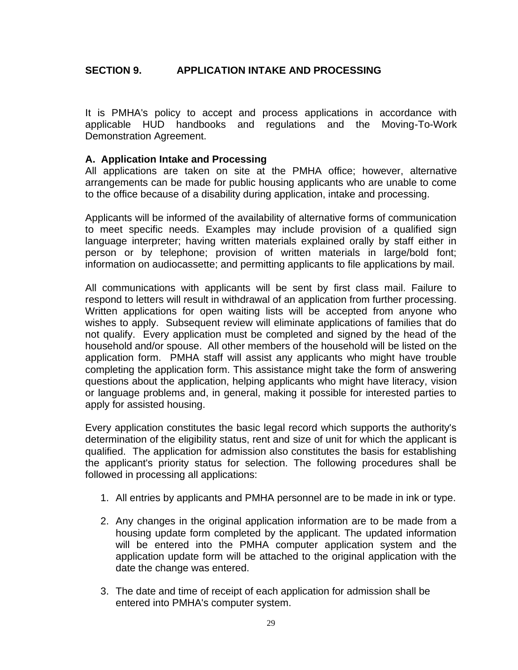#### **SECTION 9. APPLICATION INTAKE AND PROCESSING**

It is PMHA's policy to accept and process applications in accordance with applicable HUD handbooks and regulations and the Moving-To-Work Demonstration Agreement.

#### **A. Application Intake and Processing**

All applications are taken on site at the PMHA office; however, alternative arrangements can be made for public housing applicants who are unable to come to the office because of a disability during application, intake and processing.

Applicants will be informed of the availability of alternative forms of communication to meet specific needs. Examples may include provision of a qualified sign language interpreter; having written materials explained orally by staff either in person or by telephone; provision of written materials in large/bold font; information on audiocassette; and permitting applicants to file applications by mail.

All communications with applicants will be sent by first class mail. Failure to respond to letters will result in withdrawal of an application from further processing. Written applications for open waiting lists will be accepted from anyone who wishes to apply. Subsequent review will eliminate applications of families that do not qualify. Every application must be completed and signed by the head of the household and/or spouse. All other members of the household will be listed on the application form. PMHA staff will assist any applicants who might have trouble completing the application form. This assistance might take the form of answering questions about the application, helping applicants who might have literacy, vision or language problems and, in general, making it possible for interested parties to apply for assisted housing.

Every application constitutes the basic legal record which supports the authority's determination of the eligibility status, rent and size of unit for which the applicant is qualified. The application for admission also constitutes the basis for establishing the applicant's priority status for selection. The following procedures shall be followed in processing all applications:

- 1. All entries by applicants and PMHA personnel are to be made in ink or type.
- 2. Any changes in the original application information are to be made from a housing update form completed by the applicant. The updated information will be entered into the PMHA computer application system and the application update form will be attached to the original application with the date the change was entered.
- 3. The date and time of receipt of each application for admission shall be entered into PMHA's computer system.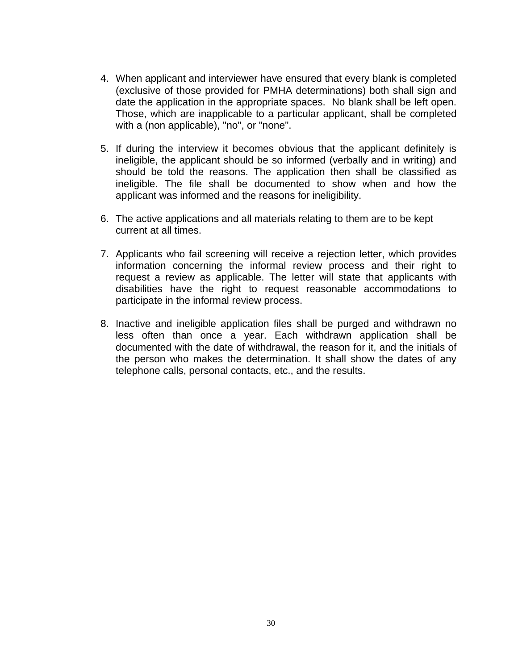- 4. When applicant and interviewer have ensured that every blank is completed (exclusive of those provided for PMHA determinations) both shall sign and date the application in the appropriate spaces. No blank shall be left open. Those, which are inapplicable to a particular applicant, shall be completed with a (non applicable), "no", or "none".
- 5. If during the interview it becomes obvious that the applicant definitely is ineligible, the applicant should be so informed (verbally and in writing) and should be told the reasons. The application then shall be classified as ineligible. The file shall be documented to show when and how the applicant was informed and the reasons for ineligibility.
- 6. The active applications and all materials relating to them are to be kept current at all times.
- 7. Applicants who fail screening will receive a rejection letter, which provides information concerning the informal review process and their right to request a review as applicable. The letter will state that applicants with disabilities have the right to request reasonable accommodations to participate in the informal review process.
- 8. Inactive and ineligible application files shall be purged and withdrawn no less often than once a year. Each withdrawn application shall be documented with the date of withdrawal, the reason for it, and the initials of the person who makes the determination. It shall show the dates of any telephone calls, personal contacts, etc., and the results.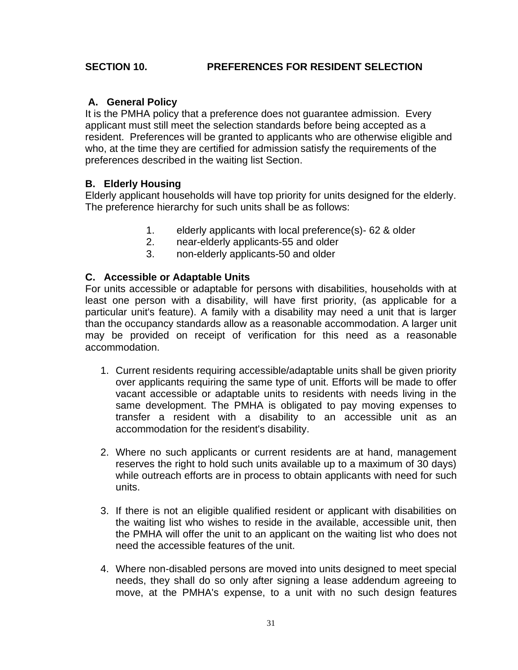# **SECTION 10. PREFERENCES FOR RESIDENT SELECTION**

#### **A. General Policy**

It is the PMHA policy that a preference does not guarantee admission. Every applicant must still meet the selection standards before being accepted as a resident. Preferences will be granted to applicants who are otherwise eligible and who, at the time they are certified for admission satisfy the requirements of the preferences described in the waiting list Section.

#### **B. Elderly Housing**

Elderly applicant households will have top priority for units designed for the elderly. The preference hierarchy for such units shall be as follows:

- 1. elderly applicants with local preference(s)- 62 & older
- 2. near-elderly applicants-55 and older
- 3. non-elderly applicants-50 and older

#### **C. Accessible or Adaptable Units**

For units accessible or adaptable for persons with disabilities, households with at least one person with a disability, will have first priority, (as applicable for a particular unit's feature). A family with a disability may need a unit that is larger than the occupancy standards allow as a reasonable accommodation. A larger unit may be provided on receipt of verification for this need as a reasonable accommodation.

- 1. Current residents requiring accessible/adaptable units shall be given priority over applicants requiring the same type of unit. Efforts will be made to offer vacant accessible or adaptable units to residents with needs living in the same development. The PMHA is obligated to pay moving expenses to transfer a resident with a disability to an accessible unit as an accommodation for the resident's disability.
- 2. Where no such applicants or current residents are at hand, management reserves the right to hold such units available up to a maximum of 30 days) while outreach efforts are in process to obtain applicants with need for such units.
- 3. If there is not an eligible qualified resident or applicant with disabilities on the waiting list who wishes to reside in the available, accessible unit, then the PMHA will offer the unit to an applicant on the waiting list who does not need the accessible features of the unit.
- 4. Where non-disabled persons are moved into units designed to meet special needs, they shall do so only after signing a lease addendum agreeing to move, at the PMHA's expense, to a unit with no such design features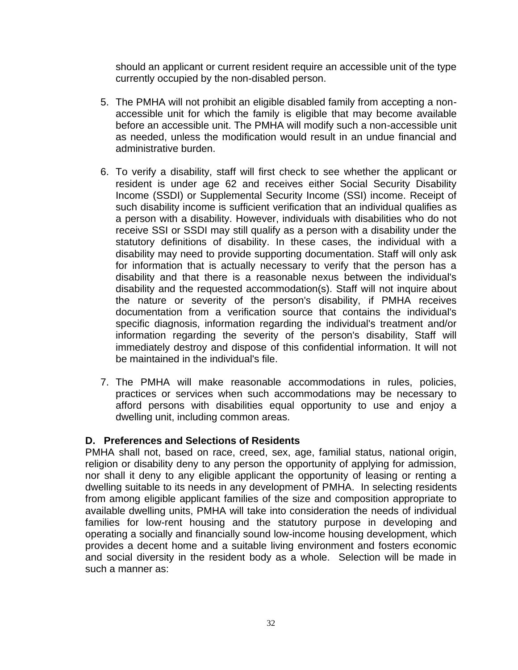should an applicant or current resident require an accessible unit of the type currently occupied by the non-disabled person.

- 5. The PMHA will not prohibit an eligible disabled family from accepting a nonaccessible unit for which the family is eligible that may become available before an accessible unit. The PMHA will modify such a non-accessible unit as needed, unless the modification would result in an undue financial and administrative burden.
- 6. To verify a disability, staff will first check to see whether the applicant or resident is under age 62 and receives either Social Security Disability Income (SSDI) or Supplemental Security Income (SSI) income. Receipt of such disability income is sufficient verification that an individual qualifies as a person with a disability. However, individuals with disabilities who do not receive SSI or SSDI may still qualify as a person with a disability under the statutory definitions of disability. In these cases, the individual with a disability may need to provide supporting documentation. Staff will only ask for information that is actually necessary to verify that the person has a disability and that there is a reasonable nexus between the individual's disability and the requested accommodation(s). Staff will not inquire about the nature or severity of the person's disability, if PMHA receives documentation from a verification source that contains the individual's specific diagnosis, information regarding the individual's treatment and/or information regarding the severity of the person's disability, Staff will immediately destroy and dispose of this confidential information. It will not be maintained in the individual's file.
- 7. The PMHA will make reasonable accommodations in rules, policies, practices or services when such accommodations may be necessary to afford persons with disabilities equal opportunity to use and enjoy a dwelling unit, including common areas.

#### **D. Preferences and Selections of Residents**

PMHA shall not, based on race, creed, sex, age, familial status, national origin, religion or disability deny to any person the opportunity of applying for admission, nor shall it deny to any eligible applicant the opportunity of leasing or renting a dwelling suitable to its needs in any development of PMHA. In selecting residents from among eligible applicant families of the size and composition appropriate to available dwelling units, PMHA will take into consideration the needs of individual families for low-rent housing and the statutory purpose in developing and operating a socially and financially sound low-income housing development, which provides a decent home and a suitable living environment and fosters economic and social diversity in the resident body as a whole. Selection will be made in such a manner as: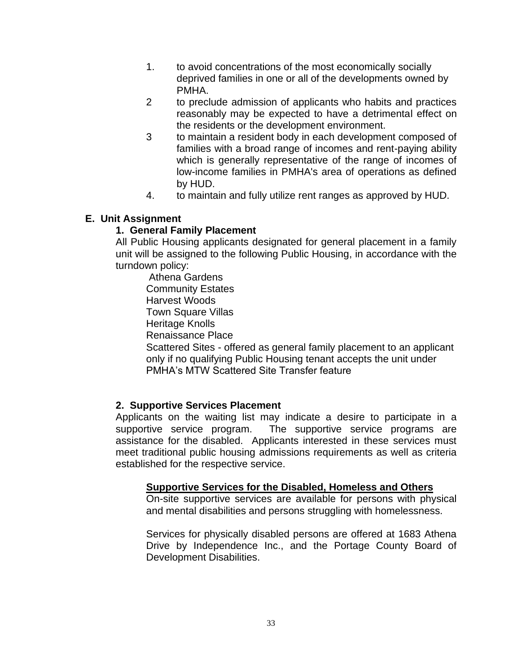- 1. to avoid concentrations of the most economically socially deprived families in one or all of the developments owned by PMHA.
- 2 to preclude admission of applicants who habits and practices reasonably may be expected to have a detrimental effect on the residents or the development environment.
- 3 to maintain a resident body in each development composed of families with a broad range of incomes and rent-paying ability which is generally representative of the range of incomes of low-income families in PMHA's area of operations as defined by HUD.
- 4. to maintain and fully utilize rent ranges as approved by HUD.

#### **E. Unit Assignment**

#### **1. General Family Placement**

All Public Housing applicants designated for general placement in a family unit will be assigned to the following Public Housing, in accordance with the turndown policy:

Athena Gardens Community Estates Harvest Woods Town Square Villas Heritage Knolls Renaissance Place Scattered Sites - offered as general family placement to an applicant only if no qualifying Public Housing tenant accepts the unit under PMHA's MTW Scattered Site Transfer feature

#### **2. Supportive Services Placement**

Applicants on the waiting list may indicate a desire to participate in a supportive service program. The supportive service programs are assistance for the disabled. Applicants interested in these services must meet traditional public housing admissions requirements as well as criteria established for the respective service.

#### **Supportive Services for the Disabled, Homeless and Others**

On-site supportive services are available for persons with physical and mental disabilities and persons struggling with homelessness.

Services for physically disabled persons are offered at 1683 Athena Drive by Independence Inc., and the Portage County Board of Development Disabilities.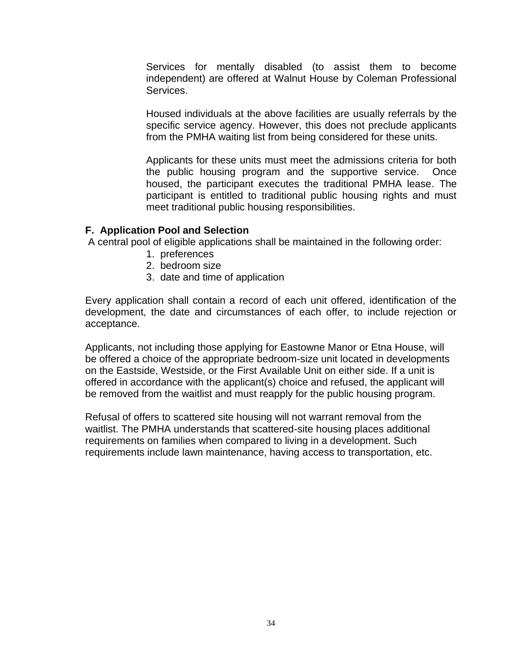Services for mentally disabled (to assist them to become independent) are offered at Walnut House by Coleman Professional Services.

Housed individuals at the above facilities are usually referrals by the specific service agency. However, this does not preclude applicants from the PMHA waiting list from being considered for these units.

Applicants for these units must meet the admissions criteria for both the public housing program and the supportive service. Once housed, the participant executes the traditional PMHA lease. The participant is entitled to traditional public housing rights and must meet traditional public housing responsibilities.

#### **F. Application Pool and Selection**

A central pool of eligible applications shall be maintained in the following order:

- 1. preferences
- 2. bedroom size
- 3. date and time of application

Every application shall contain a record of each unit offered, identification of the development, the date and circumstances of each offer, to include rejection or acceptance.

Applicants, not including those applying for Eastowne Manor or Etna House, will be offered a choice of the appropriate bedroom-size unit located in developments on the Eastside, Westside, or the First Available Unit on either side. If a unit is offered in accordance with the applicant(s) choice and refused, the applicant will be removed from the waitlist and must reapply for the public housing program.

Refusal of offers to scattered site housing will not warrant removal from the waitlist. The PMHA understands that scattered-site housing places additional requirements on families when compared to living in a development. Such requirements include lawn maintenance, having access to transportation, etc.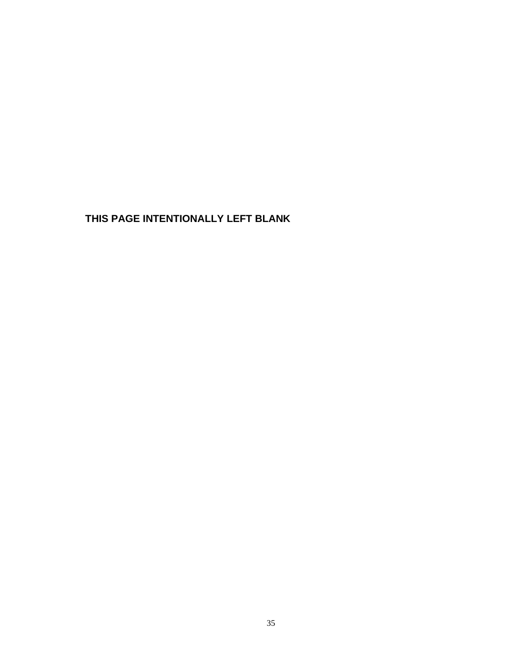**THIS PAGE INTENTIONALLY LEFT BLANK**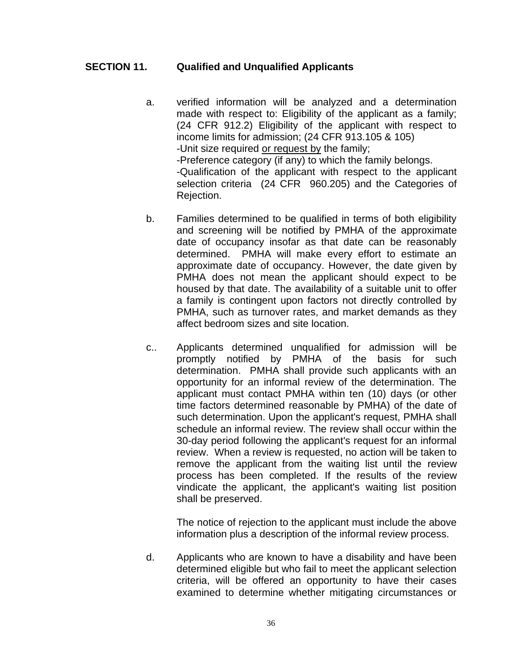#### **SECTION 11. Qualified and Unqualified Applicants**

- a. verified information will be analyzed and a determination made with respect to: Eligibility of the applicant as a family; (24 CFR 912.2) Eligibility of the applicant with respect to income limits for admission; (24 CFR 913.105 & 105) -Unit size required or request by the family; -Preference category (if any) to which the family belongs. -Qualification of the applicant with respect to the applicant selection criteria (24 CFR 960.205) and the Categories of Rejection.
- b. Families determined to be qualified in terms of both eligibility and screening will be notified by PMHA of the approximate date of occupancy insofar as that date can be reasonably determined. PMHA will make every effort to estimate an approximate date of occupancy. However, the date given by PMHA does not mean the applicant should expect to be housed by that date. The availability of a suitable unit to offer a family is contingent upon factors not directly controlled by PMHA, such as turnover rates, and market demands as they affect bedroom sizes and site location.
- c.. Applicants determined unqualified for admission will be promptly notified by PMHA of the basis for such determination. PMHA shall provide such applicants with an opportunity for an informal review of the determination. The applicant must contact PMHA within ten (10) days (or other time factors determined reasonable by PMHA) of the date of such determination. Upon the applicant's request, PMHA shall schedule an informal review. The review shall occur within the 30-day period following the applicant's request for an informal review. When a review is requested, no action will be taken to remove the applicant from the waiting list until the review process has been completed. If the results of the review vindicate the applicant, the applicant's waiting list position shall be preserved.

The notice of rejection to the applicant must include the above information plus a description of the informal review process.

d. Applicants who are known to have a disability and have been determined eligible but who fail to meet the applicant selection criteria, will be offered an opportunity to have their cases examined to determine whether mitigating circumstances or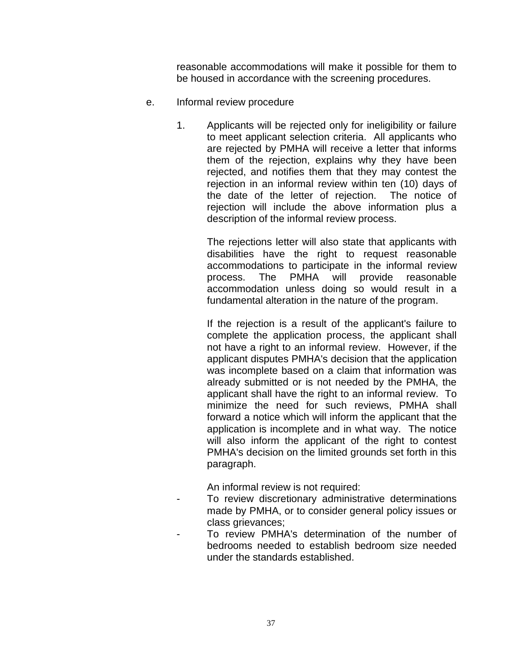reasonable accommodations will make it possible for them to be housed in accordance with the screening procedures.

- e. Informal review procedure
	- 1. Applicants will be rejected only for ineligibility or failure to meet applicant selection criteria. All applicants who are rejected by PMHA will receive a letter that informs them of the rejection, explains why they have been rejected, and notifies them that they may contest the rejection in an informal review within ten (10) days of the date of the letter of rejection. The notice of rejection will include the above information plus a description of the informal review process.

The rejections letter will also state that applicants with disabilities have the right to request reasonable accommodations to participate in the informal review process. The PMHA will provide reasonable accommodation unless doing so would result in a fundamental alteration in the nature of the program.

If the rejection is a result of the applicant's failure to complete the application process, the applicant shall not have a right to an informal review. However, if the applicant disputes PMHA's decision that the application was incomplete based on a claim that information was already submitted or is not needed by the PMHA, the applicant shall have the right to an informal review. To minimize the need for such reviews, PMHA shall forward a notice which will inform the applicant that the application is incomplete and in what way. The notice will also inform the applicant of the right to contest PMHA's decision on the limited grounds set forth in this paragraph.

An informal review is not required:

- To review discretionary administrative determinations made by PMHA, or to consider general policy issues or class grievances;
- To review PMHA's determination of the number of bedrooms needed to establish bedroom size needed under the standards established.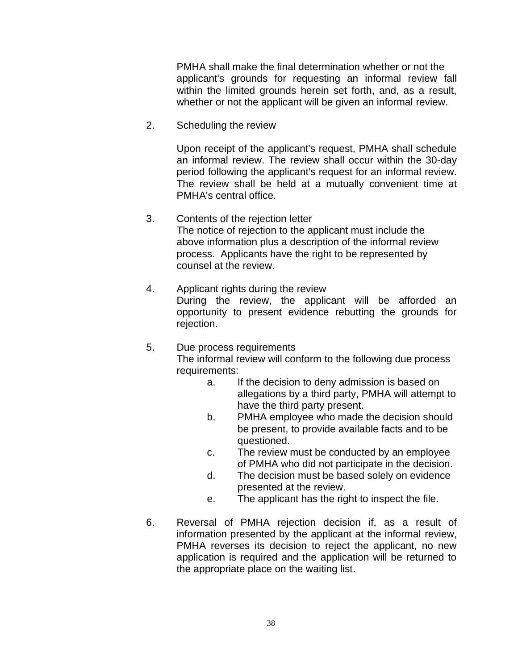PMHA shall make the final determination whether or not the applicant's grounds for requesting an informal review fall within the limited grounds herein set forth, and, as a result, whether or not the applicant will be given an informal review.

2. Scheduling the review

Upon receipt of the applicant's request, PMHA shall schedule an informal review. The review shall occur within the 30-day period following the applicant's request for an informal review. The review shall be held at a mutually convenient time at PMHA's central office.

- 3. Contents of the rejection letter The notice of rejection to the applicant must include the above information plus a description of the informal review process. Applicants have the right to be represented by counsel at the review.
- 4. Applicant rights during the review During the review, the applicant will be afforded an opportunity to present evidence rebutting the grounds for rejection.
- 5. Due process requirements The informal review will conform to the following due process requirements:
	- a. If the decision to deny admission is based on allegations by a third party, PMHA will attempt to have the third party present.
	- b. PMHA employee who made the decision should be present, to provide available facts and to be questioned.
	- c. The review must be conducted by an employee of PMHA who did not participate in the decision.
	- d. The decision must be based solely on evidence presented at the review.
	- e. The applicant has the right to inspect the file.
- 6. Reversal of PMHA rejection decision if, as a result of information presented by the applicant at the informal review, PMHA reverses its decision to reject the applicant, no new application is required and the application will be returned to the appropriate place on the waiting list.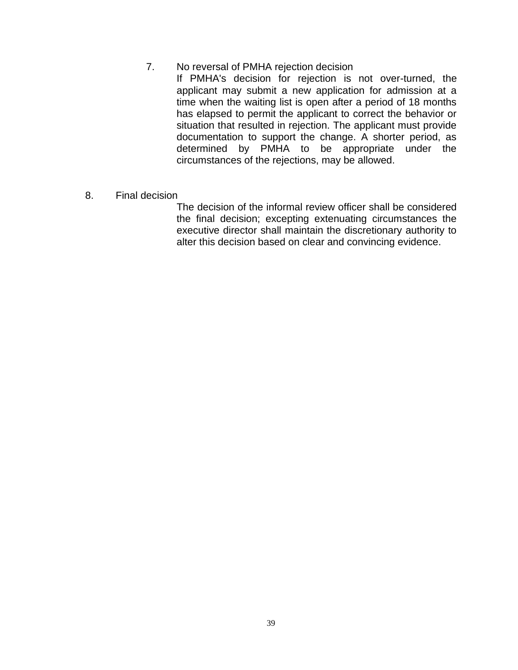7. No reversal of PMHA rejection decision

If PMHA's decision for rejection is not over-turned, the applicant may submit a new application for admission at a time when the waiting list is open after a period of 18 months has elapsed to permit the applicant to correct the behavior or situation that resulted in rejection. The applicant must provide documentation to support the change. A shorter period, as determined by PMHA to be appropriate under the circumstances of the rejections, may be allowed.

8. Final decision

The decision of the informal review officer shall be considered the final decision; excepting extenuating circumstances the executive director shall maintain the discretionary authority to alter this decision based on clear and convincing evidence.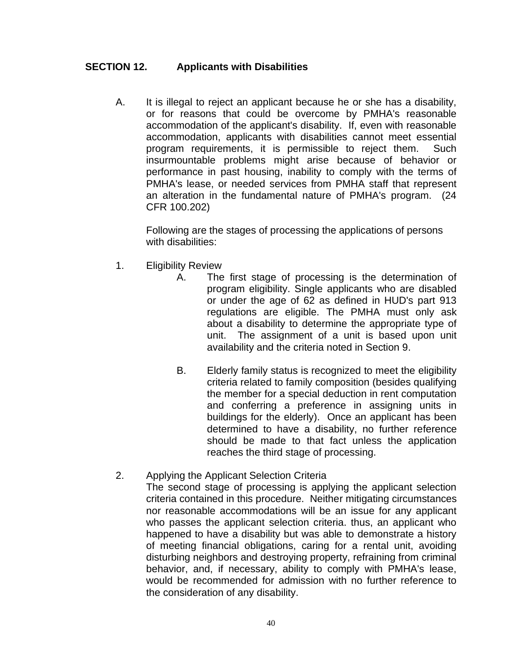### **SECTION 12. Applicants with Disabilities**

A. It is illegal to reject an applicant because he or she has a disability, or for reasons that could be overcome by PMHA's reasonable accommodation of the applicant's disability. If, even with reasonable accommodation, applicants with disabilities cannot meet essential program requirements, it is permissible to reject them. Such insurmountable problems might arise because of behavior or performance in past housing, inability to comply with the terms of PMHA's lease, or needed services from PMHA staff that represent an alteration in the fundamental nature of PMHA's program. (24 CFR 100.202)

Following are the stages of processing the applications of persons with disabilities:

- 1. Eligibility Review
	- A. The first stage of processing is the determination of program eligibility. Single applicants who are disabled or under the age of 62 as defined in HUD's part 913 regulations are eligible. The PMHA must only ask about a disability to determine the appropriate type of unit. The assignment of a unit is based upon unit availability and the criteria noted in Section 9.
	- B. Elderly family status is recognized to meet the eligibility criteria related to family composition (besides qualifying the member for a special deduction in rent computation and conferring a preference in assigning units in buildings for the elderly). Once an applicant has been determined to have a disability, no further reference should be made to that fact unless the application reaches the third stage of processing.
- 2. Applying the Applicant Selection Criteria

The second stage of processing is applying the applicant selection criteria contained in this procedure. Neither mitigating circumstances nor reasonable accommodations will be an issue for any applicant who passes the applicant selection criteria. thus, an applicant who happened to have a disability but was able to demonstrate a history of meeting financial obligations, caring for a rental unit, avoiding disturbing neighbors and destroying property, refraining from criminal behavior, and, if necessary, ability to comply with PMHA's lease, would be recommended for admission with no further reference to the consideration of any disability.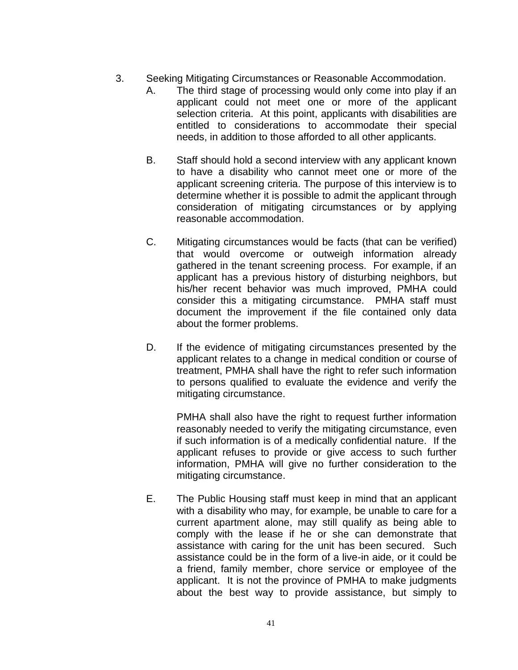- 3. Seeking Mitigating Circumstances or Reasonable Accommodation.
	- A. The third stage of processing would only come into play if an applicant could not meet one or more of the applicant selection criteria. At this point, applicants with disabilities are entitled to considerations to accommodate their special needs, in addition to those afforded to all other applicants.
	- B. Staff should hold a second interview with any applicant known to have a disability who cannot meet one or more of the applicant screening criteria. The purpose of this interview is to determine whether it is possible to admit the applicant through consideration of mitigating circumstances or by applying reasonable accommodation.
	- C. Mitigating circumstances would be facts (that can be verified) that would overcome or outweigh information already gathered in the tenant screening process. For example, if an applicant has a previous history of disturbing neighbors, but his/her recent behavior was much improved, PMHA could consider this a mitigating circumstance. PMHA staff must document the improvement if the file contained only data about the former problems.
	- D. If the evidence of mitigating circumstances presented by the applicant relates to a change in medical condition or course of treatment, PMHA shall have the right to refer such information to persons qualified to evaluate the evidence and verify the mitigating circumstance.

PMHA shall also have the right to request further information reasonably needed to verify the mitigating circumstance, even if such information is of a medically confidential nature. If the applicant refuses to provide or give access to such further information, PMHA will give no further consideration to the mitigating circumstance.

E. The Public Housing staff must keep in mind that an applicant with a disability who may, for example, be unable to care for a current apartment alone, may still qualify as being able to comply with the lease if he or she can demonstrate that assistance with caring for the unit has been secured. Such assistance could be in the form of a live-in aide, or it could be a friend, family member, chore service or employee of the applicant. It is not the province of PMHA to make judgments about the best way to provide assistance, but simply to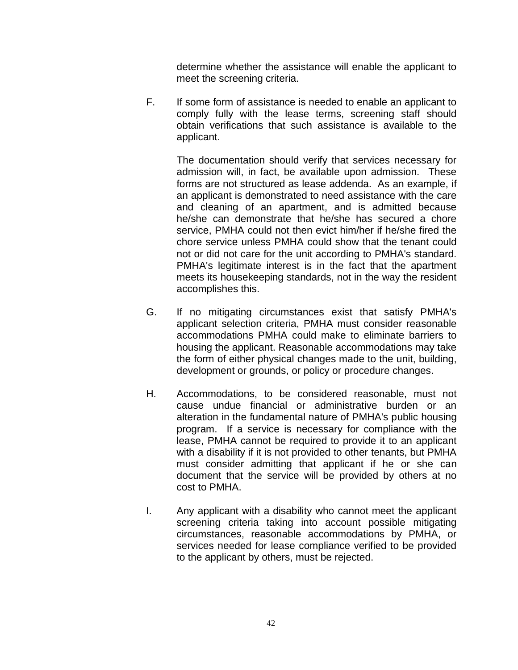determine whether the assistance will enable the applicant to meet the screening criteria.

F. If some form of assistance is needed to enable an applicant to comply fully with the lease terms, screening staff should obtain verifications that such assistance is available to the applicant.

The documentation should verify that services necessary for admission will, in fact, be available upon admission. These forms are not structured as lease addenda. As an example, if an applicant is demonstrated to need assistance with the care and cleaning of an apartment, and is admitted because he/she can demonstrate that he/she has secured a chore service, PMHA could not then evict him/her if he/she fired the chore service unless PMHA could show that the tenant could not or did not care for the unit according to PMHA's standard. PMHA's legitimate interest is in the fact that the apartment meets its housekeeping standards, not in the way the resident accomplishes this.

- G. If no mitigating circumstances exist that satisfy PMHA's applicant selection criteria, PMHA must consider reasonable accommodations PMHA could make to eliminate barriers to housing the applicant. Reasonable accommodations may take the form of either physical changes made to the unit, building, development or grounds, or policy or procedure changes.
- H. Accommodations, to be considered reasonable, must not cause undue financial or administrative burden or an alteration in the fundamental nature of PMHA's public housing program. If a service is necessary for compliance with the lease, PMHA cannot be required to provide it to an applicant with a disability if it is not provided to other tenants, but PMHA must consider admitting that applicant if he or she can document that the service will be provided by others at no cost to PMHA.
- I. Any applicant with a disability who cannot meet the applicant screening criteria taking into account possible mitigating circumstances, reasonable accommodations by PMHA, or services needed for lease compliance verified to be provided to the applicant by others, must be rejected.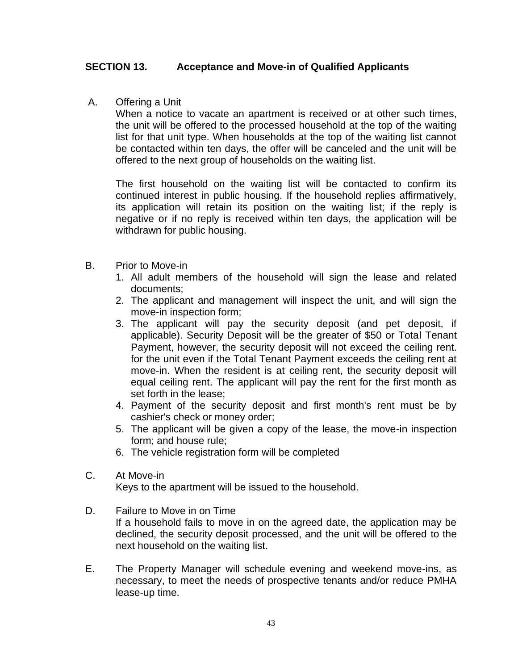# **SECTION 13. Acceptance and Move-in of Qualified Applicants**

A. Offering a Unit

When a notice to vacate an apartment is received or at other such times, the unit will be offered to the processed household at the top of the waiting list for that unit type. When households at the top of the waiting list cannot be contacted within ten days, the offer will be canceled and the unit will be offered to the next group of households on the waiting list.

The first household on the waiting list will be contacted to confirm its continued interest in public housing. If the household replies affirmatively, its application will retain its position on the waiting list; if the reply is negative or if no reply is received within ten days, the application will be withdrawn for public housing.

- B. Prior to Move-in
	- 1. All adult members of the household will sign the lease and related documents;
	- 2. The applicant and management will inspect the unit, and will sign the move-in inspection form;
	- 3. The applicant will pay the security deposit (and pet deposit, if applicable). Security Deposit will be the greater of \$50 or Total Tenant Payment, however, the security deposit will not exceed the ceiling rent. for the unit even if the Total Tenant Payment exceeds the ceiling rent at move-in. When the resident is at ceiling rent, the security deposit will equal ceiling rent. The applicant will pay the rent for the first month as set forth in the lease;
	- 4. Payment of the security deposit and first month's rent must be by cashier's check or money order;
	- 5. The applicant will be given a copy of the lease, the move-in inspection form; and house rule;
	- 6. The vehicle registration form will be completed
- C. At Move-in

Keys to the apartment will be issued to the household.

- D. Failure to Move in on Time If a household fails to move in on the agreed date, the application may be declined, the security deposit processed, and the unit will be offered to the next household on the waiting list.
- E. The Property Manager will schedule evening and weekend move-ins, as necessary, to meet the needs of prospective tenants and/or reduce PMHA lease-up time.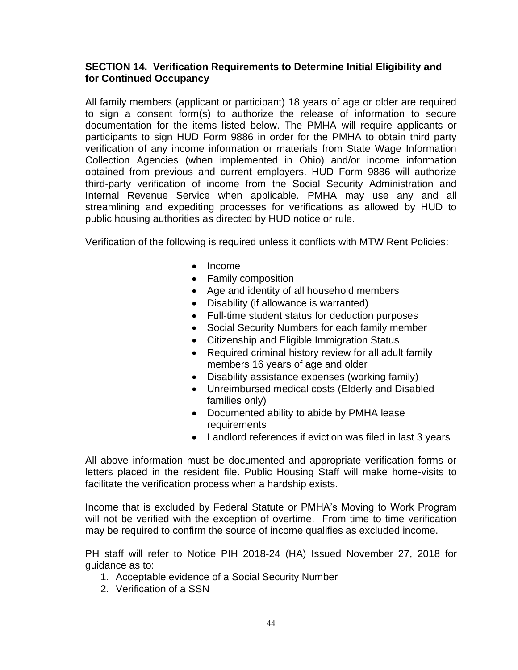### **SECTION 14. Verification Requirements to Determine Initial Eligibility and for Continued Occupancy**

All family members (applicant or participant) 18 years of age or older are required to sign a consent form(s) to authorize the release of information to secure documentation for the items listed below. The PMHA will require applicants or participants to sign HUD Form 9886 in order for the PMHA to obtain third party verification of any income information or materials from State Wage Information Collection Agencies (when implemented in Ohio) and/or income information obtained from previous and current employers. HUD Form 9886 will authorize third-party verification of income from the Social Security Administration and Internal Revenue Service when applicable. PMHA may use any and all streamlining and expediting processes for verifications as allowed by HUD to public housing authorities as directed by HUD notice or rule.

Verification of the following is required unless it conflicts with MTW Rent Policies:

- Income
- Family composition
- Age and identity of all household members
- Disability (if allowance is warranted)
- Full-time student status for deduction purposes
- Social Security Numbers for each family member
- Citizenship and Eligible Immigration Status
- Required criminal history review for all adult family members 16 years of age and older
- Disability assistance expenses (working family)
- Unreimbursed medical costs (Elderly and Disabled families only)
- Documented ability to abide by PMHA lease requirements
- Landlord references if eviction was filed in last 3 years

All above information must be documented and appropriate verification forms or letters placed in the resident file. Public Housing Staff will make home-visits to facilitate the verification process when a hardship exists.

Income that is excluded by Federal Statute or PMHA's Moving to Work Program will not be verified with the exception of overtime. From time to time verification may be required to confirm the source of income qualifies as excluded income.

PH staff will refer to Notice PIH 2018-24 (HA) Issued November 27, 2018 for guidance as to:

- 1. Acceptable evidence of a Social Security Number
- 2. Verification of a SSN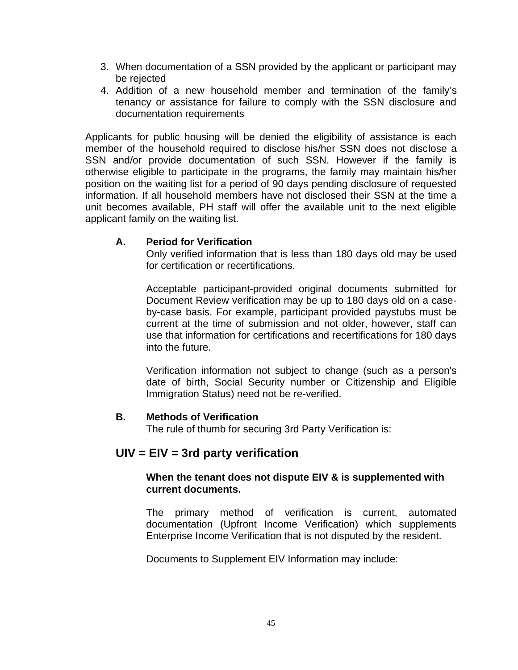- 3. When documentation of a SSN provided by the applicant or participant may be rejected
- 4. Addition of a new household member and termination of the family's tenancy or assistance for failure to comply with the SSN disclosure and documentation requirements

Applicants for public housing will be denied the eligibility of assistance is each member of the household required to disclose his/her SSN does not disclose a SSN and/or provide documentation of such SSN. However if the family is otherwise eligible to participate in the programs, the family may maintain his/her position on the waiting list for a period of 90 days pending disclosure of requested information. If all household members have not disclosed their SSN at the time a unit becomes available, PH staff will offer the available unit to the next eligible applicant family on the waiting list.

### **A. Period for Verification**

Only verified information that is less than 180 days old may be used for certification or recertifications.

Acceptable participant-provided original documents submitted for Document Review verification may be up to 180 days old on a caseby-case basis. For example, participant provided paystubs must be current at the time of submission and not older, however, staff can use that information for certifications and recertifications for 180 days into the future.

Verification information not subject to change (such as a person's date of birth, Social Security number or Citizenship and Eligible Immigration Status) need not be re-verified.

### **B. Methods of Verification**

The rule of thumb for securing 3rd Party Verification is:

# **UIV = EIV = 3rd party verification**

### **When the tenant does not dispute EIV & is supplemented with current documents.**

The primary method of verification is current, automated documentation (Upfront Income Verification) which supplements Enterprise Income Verification that is not disputed by the resident.

Documents to Supplement EIV Information may include: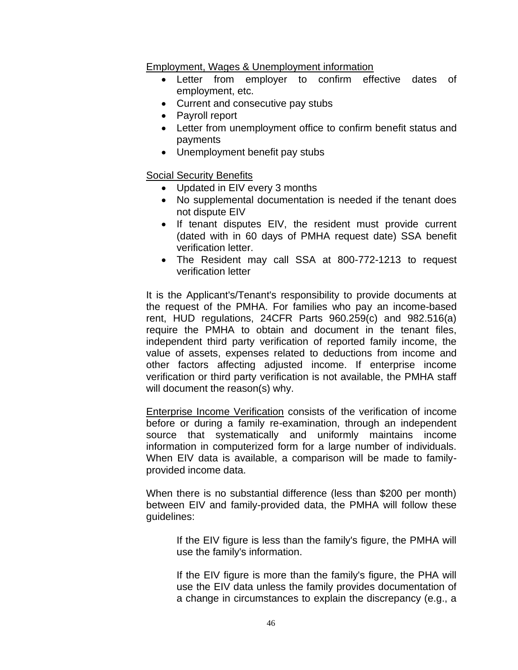### Employment, Wages & Unemployment information

- Letter from employer to confirm effective dates of employment, etc.
- Current and consecutive pay stubs
- Payroll report
- Letter from unemployment office to confirm benefit status and payments
- Unemployment benefit pay stubs

### Social Security Benefits

- Updated in EIV every 3 months
- No supplemental documentation is needed if the tenant does not dispute EIV
- If tenant disputes EIV, the resident must provide current (dated with in 60 days of PMHA request date) SSA benefit verification letter.
- The Resident may call SSA at 800-772-1213 to request verification letter

It is the Applicant's/Tenant's responsibility to provide documents at the request of the PMHA. For families who pay an income-based rent, HUD regulations, 24CFR Parts 960.259(c) and 982.516(a) require the PMHA to obtain and document in the tenant files, independent third party verification of reported family income, the value of assets, expenses related to deductions from income and other factors affecting adjusted income. If enterprise income verification or third party verification is not available, the PMHA staff will document the reason(s) why.

Enterprise Income Verification consists of the verification of income before or during a family re-examination, through an independent source that systematically and uniformly maintains income information in computerized form for a large number of individuals. When EIV data is available, a comparison will be made to familyprovided income data.

When there is no substantial difference (less than \$200 per month) between EIV and family-provided data, the PMHA will follow these guidelines:

If the EIV figure is less than the family's figure, the PMHA will use the family's information.

If the EIV figure is more than the family's figure, the PHA will use the EIV data unless the family provides documentation of a change in circumstances to explain the discrepancy (e.g., a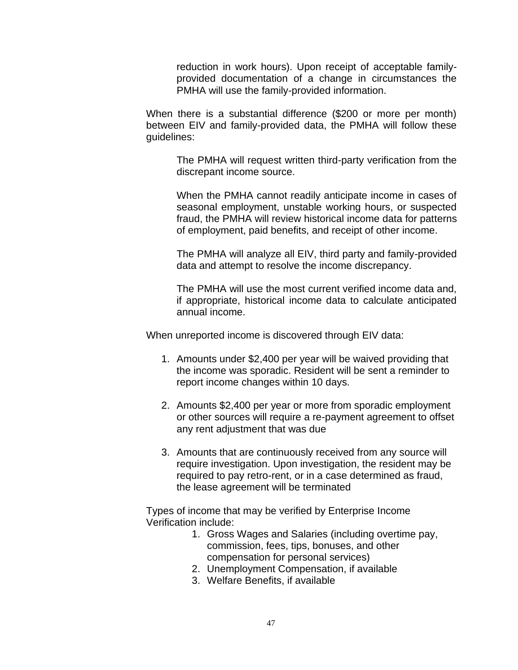reduction in work hours). Upon receipt of acceptable familyprovided documentation of a change in circumstances the PMHA will use the family-provided information.

When there is a substantial difference (\$200 or more per month) between EIV and family-provided data, the PMHA will follow these guidelines:

The PMHA will request written third-party verification from the discrepant income source.

When the PMHA cannot readily anticipate income in cases of seasonal employment, unstable working hours, or suspected fraud, the PMHA will review historical income data for patterns of employment, paid benefits, and receipt of other income.

The PMHA will analyze all EIV, third party and family-provided data and attempt to resolve the income discrepancy.

The PMHA will use the most current verified income data and, if appropriate, historical income data to calculate anticipated annual income.

When unreported income is discovered through EIV data:

- 1. Amounts under \$2,400 per year will be waived providing that the income was sporadic. Resident will be sent a reminder to report income changes within 10 days.
- 2. Amounts \$2,400 per year or more from sporadic employment or other sources will require a re-payment agreement to offset any rent adjustment that was due
- 3. Amounts that are continuously received from any source will require investigation. Upon investigation, the resident may be required to pay retro-rent, or in a case determined as fraud, the lease agreement will be terminated

Types of income that may be verified by Enterprise Income Verification include:

- 1. Gross Wages and Salaries (including overtime pay, commission, fees, tips, bonuses, and other compensation for personal services)
- 2. Unemployment Compensation, if available
- 3. Welfare Benefits, if available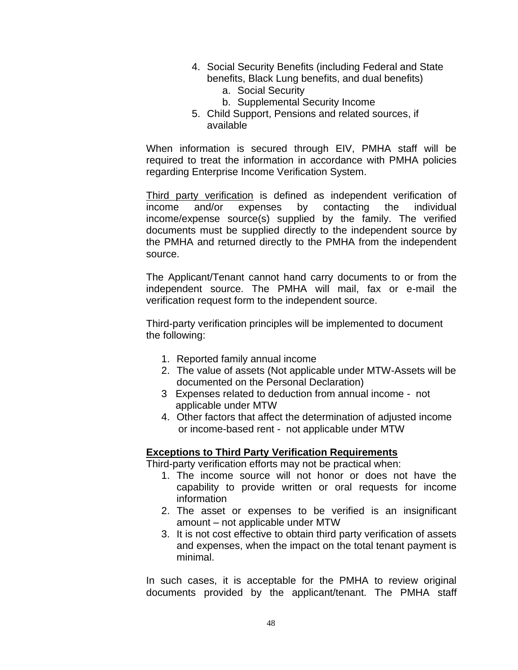- 4. Social Security Benefits (including Federal and State benefits, Black Lung benefits, and dual benefits)
	- a. Social Security
	- b. Supplemental Security Income
- 5. Child Support, Pensions and related sources, if available

When information is secured through EIV, PMHA staff will be required to treat the information in accordance with PMHA policies regarding Enterprise Income Verification System.

Third party verification is defined as independent verification of income and/or expenses by contacting the individual income/expense source(s) supplied by the family. The verified documents must be supplied directly to the independent source by the PMHA and returned directly to the PMHA from the independent source.

The Applicant/Tenant cannot hand carry documents to or from the independent source. The PMHA will mail, fax or e-mail the verification request form to the independent source.

Third-party verification principles will be implemented to document the following:

- 1. Reported family annual income
- 2. The value of assets (Not applicable under MTW-Assets will be documented on the Personal Declaration)
- 3 Expenses related to deduction from annual income not applicable under MTW
- 4. Other factors that affect the determination of adjusted income or income-based rent - not applicable under MTW

### **Exceptions to Third Party Verification Requirements**

Third-party verification efforts may not be practical when:

- 1. The income source will not honor or does not have the capability to provide written or oral requests for income information
- 2. The asset or expenses to be verified is an insignificant amount – not applicable under MTW
- 3. It is not cost effective to obtain third party verification of assets and expenses, when the impact on the total tenant payment is minimal.

In such cases, it is acceptable for the PMHA to review original documents provided by the applicant/tenant. The PMHA staff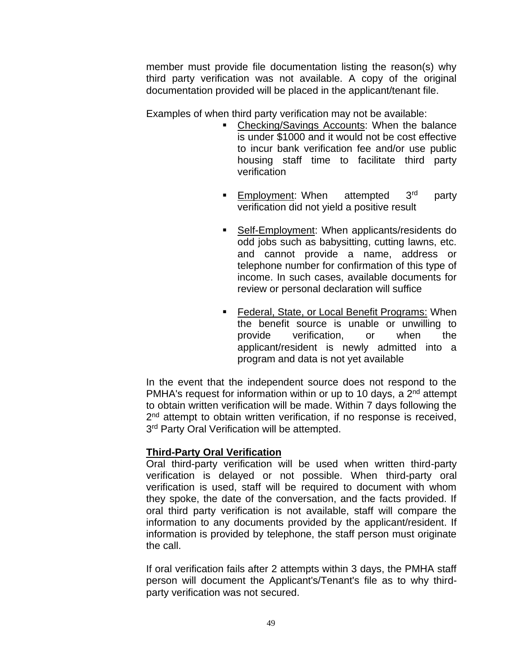member must provide file documentation listing the reason(s) why third party verification was not available. A copy of the original documentation provided will be placed in the applicant/tenant file.

Examples of when third party verification may not be available:

- **EXEC** Checking/Savings Accounts: When the balance is under \$1000 and it would not be cost effective to incur bank verification fee and/or use public housing staff time to facilitate third party verification
- Employment: When attempted 3<sup>rd</sup> party verification did not yield a positive result
- Self-Employment: When applicants/residents do odd jobs such as babysitting, cutting lawns, etc. and cannot provide a name, address or telephone number for confirmation of this type of income. In such cases, available documents for review or personal declaration will suffice
- Federal, State, or Local Benefit Programs: When the benefit source is unable or unwilling to provide verification, or when the applicant/resident is newly admitted into a program and data is not yet available

In the event that the independent source does not respond to the PMHA's request for information within or up to 10 days, a  $2<sup>nd</sup>$  attempt to obtain written verification will be made. Within 7 days following the 2<sup>nd</sup> attempt to obtain written verification, if no response is received, 3<sup>rd</sup> Party Oral Verification will be attempted.

### **Third-Party Oral Verification**

Oral third-party verification will be used when written third-party verification is delayed or not possible. When third-party oral verification is used, staff will be required to document with whom they spoke, the date of the conversation, and the facts provided. If oral third party verification is not available, staff will compare the information to any documents provided by the applicant/resident. If information is provided by telephone, the staff person must originate the call.

If oral verification fails after 2 attempts within 3 days, the PMHA staff person will document the Applicant's/Tenant's file as to why thirdparty verification was not secured.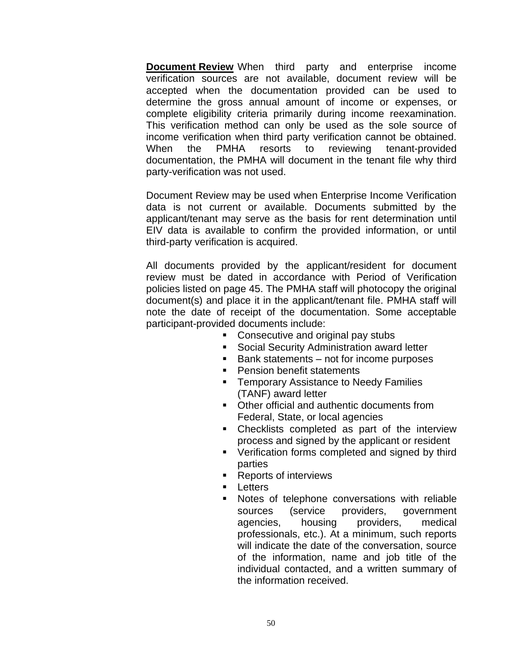**Document Review** When third party and enterprise income verification sources are not available, document review will be accepted when the documentation provided can be used to determine the gross annual amount of income or expenses, or complete eligibility criteria primarily during income reexamination. This verification method can only be used as the sole source of income verification when third party verification cannot be obtained. When the PMHA resorts to reviewing tenant-provided documentation, the PMHA will document in the tenant file why third party-verification was not used.

Document Review may be used when Enterprise Income Verification data is not current or available. Documents submitted by the applicant/tenant may serve as the basis for rent determination until EIV data is available to confirm the provided information, or until third-party verification is acquired.

All documents provided by the applicant/resident for document review must be dated in accordance with Period of Verification policies listed on page 45. The PMHA staff will photocopy the original document(s) and place it in the applicant/tenant file. PMHA staff will note the date of receipt of the documentation. Some acceptable participant-provided documents include:

- Consecutive and original pay stubs
- Social Security Administration award letter
- Bank statements not for income purposes
- Pension benefit statements
- **EXEC** Temporary Assistance to Needy Families (TANF) award letter
- Other official and authentic documents from Federal, State, or local agencies
- Checklists completed as part of the interview process and signed by the applicant or resident
- Verification forms completed and signed by third parties
- Reports of interviews
- Letters
- Notes of telephone conversations with reliable sources (service providers, government agencies, housing providers, medical professionals, etc.). At a minimum, such reports will indicate the date of the conversation, source of the information, name and job title of the individual contacted, and a written summary of the information received.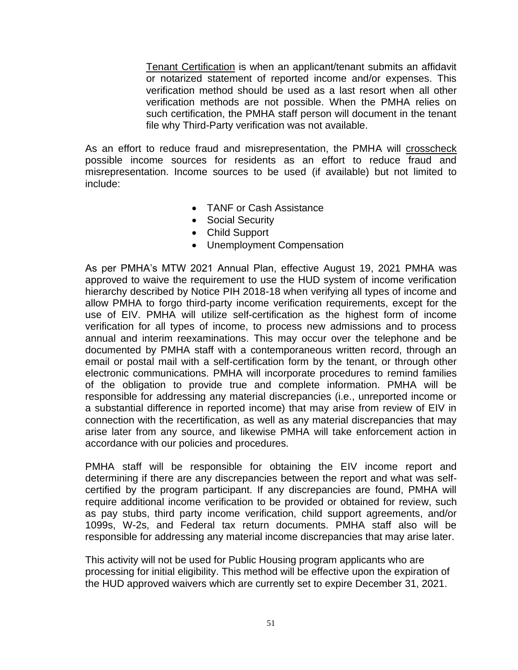Tenant Certification is when an applicant/tenant submits an affidavit or notarized statement of reported income and/or expenses. This verification method should be used as a last resort when all other verification methods are not possible. When the PMHA relies on such certification, the PMHA staff person will document in the tenant file why Third-Party verification was not available.

As an effort to reduce fraud and misrepresentation, the PMHA will crosscheck possible income sources for residents as an effort to reduce fraud and misrepresentation. Income sources to be used (if available) but not limited to include:

- TANF or Cash Assistance
- Social Security
- Child Support
- Unemployment Compensation

As per PMHA's MTW 2021 Annual Plan, effective August 19, 2021 PMHA was approved to waive the requirement to use the HUD system of income verification hierarchy described by Notice PIH 2018-18 when verifying all types of income and allow PMHA to forgo third-party income verification requirements, except for the use of EIV. PMHA will utilize self-certification as the highest form of income verification for all types of income, to process new admissions and to process annual and interim reexaminations. This may occur over the telephone and be documented by PMHA staff with a contemporaneous written record, through an email or postal mail with a self-certification form by the tenant, or through other electronic communications. PMHA will incorporate procedures to remind families of the obligation to provide true and complete information. PMHA will be responsible for addressing any material discrepancies (i.e., unreported income or a substantial difference in reported income) that may arise from review of EIV in connection with the recertification, as well as any material discrepancies that may arise later from any source, and likewise PMHA will take enforcement action in accordance with our policies and procedures.

PMHA staff will be responsible for obtaining the EIV income report and determining if there are any discrepancies between the report and what was selfcertified by the program participant. If any discrepancies are found, PMHA will require additional income verification to be provided or obtained for review, such as pay stubs, third party income verification, child support agreements, and/or 1099s, W-2s, and Federal tax return documents. PMHA staff also will be responsible for addressing any material income discrepancies that may arise later.

This activity will not be used for Public Housing program applicants who are processing for initial eligibility. This method will be effective upon the expiration of the HUD approved waivers which are currently set to expire December 31, 2021.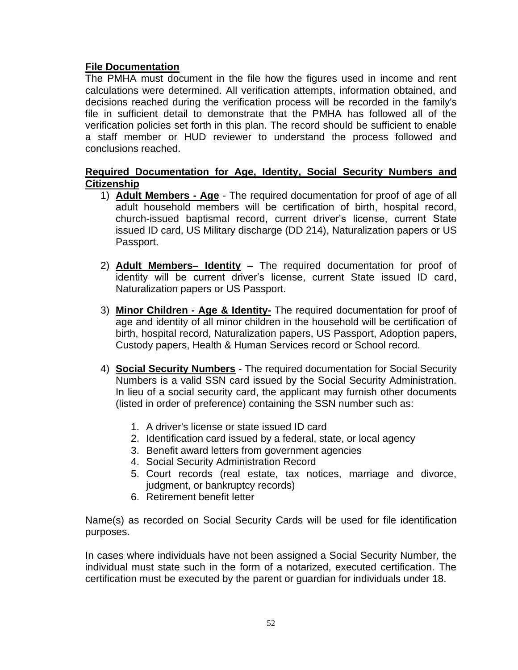# **File Documentation**

The PMHA must document in the file how the figures used in income and rent calculations were determined. All verification attempts, information obtained, and decisions reached during the verification process will be recorded in the family's file in sufficient detail to demonstrate that the PMHA has followed all of the verification policies set forth in this plan. The record should be sufficient to enable a staff member or HUD reviewer to understand the process followed and conclusions reached.

## **Required Documentation for Age, Identity, Social Security Numbers and Citizenship**

- 1) **Adult Members - Age** The required documentation for proof of age of all adult household members will be certification of birth, hospital record, church-issued baptismal record, current driver's license, current State issued ID card, US Military discharge (DD 214), Naturalization papers or US Passport.
- 2) **Adult Members– Identity –** The required documentation for proof of identity will be current driver's license, current State issued ID card, Naturalization papers or US Passport.
- 3) **Minor Children - Age & Identity-** The required documentation for proof of age and identity of all minor children in the household will be certification of birth, hospital record, Naturalization papers, US Passport, Adoption papers, Custody papers, Health & Human Services record or School record.
- 4) **Social Security Numbers** The required documentation for Social Security Numbers is a valid SSN card issued by the Social Security Administration. In lieu of a social security card, the applicant may furnish other documents (listed in order of preference) containing the SSN number such as:
	- 1. A driver's license or state issued ID card
	- 2. Identification card issued by a federal, state, or local agency
	- 3. Benefit award letters from government agencies
	- 4. Social Security Administration Record
	- 5. Court records (real estate, tax notices, marriage and divorce, judgment, or bankruptcy records)
	- 6. Retirement benefit letter

Name(s) as recorded on Social Security Cards will be used for file identification purposes.

In cases where individuals have not been assigned a Social Security Number, the individual must state such in the form of a notarized, executed certification. The certification must be executed by the parent or guardian for individuals under 18.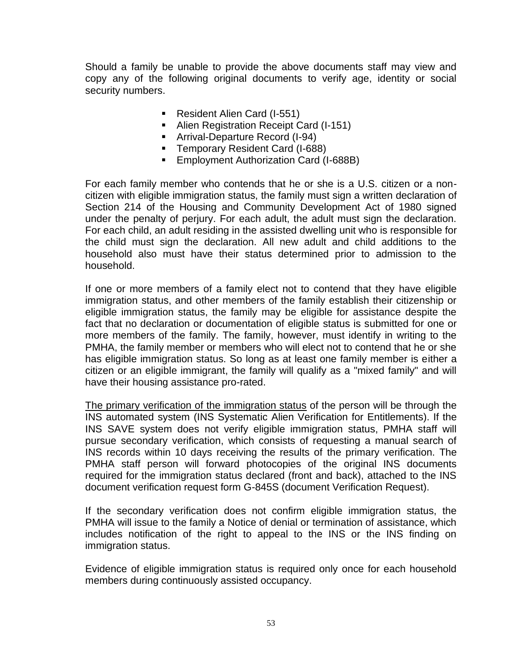Should a family be unable to provide the above documents staff may view and copy any of the following original documents to verify age, identity or social security numbers.

- Resident Alien Card (I-551)
- Alien Registration Receipt Card (I-151)
- **E** Arrival-Departure Record (I-94)
- **E** Temporary Resident Card (I-688)
- Employment Authorization Card (I-688B)

For each family member who contends that he or she is a U.S. citizen or a noncitizen with eligible immigration status, the family must sign a written declaration of Section 214 of the Housing and Community Development Act of 1980 signed under the penalty of perjury. For each adult, the adult must sign the declaration. For each child, an adult residing in the assisted dwelling unit who is responsible for the child must sign the declaration. All new adult and child additions to the household also must have their status determined prior to admission to the household.

If one or more members of a family elect not to contend that they have eligible immigration status, and other members of the family establish their citizenship or eligible immigration status, the family may be eligible for assistance despite the fact that no declaration or documentation of eligible status is submitted for one or more members of the family. The family, however, must identify in writing to the PMHA, the family member or members who will elect not to contend that he or she has eligible immigration status. So long as at least one family member is either a citizen or an eligible immigrant, the family will qualify as a "mixed family" and will have their housing assistance pro-rated.

The primary verification of the immigration status of the person will be through the INS automated system (INS Systematic Alien Verification for Entitlements). If the INS SAVE system does not verify eligible immigration status, PMHA staff will pursue secondary verification, which consists of requesting a manual search of INS records within 10 days receiving the results of the primary verification. The PMHA staff person will forward photocopies of the original INS documents required for the immigration status declared (front and back), attached to the INS document verification request form G-845S (document Verification Request).

If the secondary verification does not confirm eligible immigration status, the PMHA will issue to the family a Notice of denial or termination of assistance, which includes notification of the right to appeal to the INS or the INS finding on immigration status.

Evidence of eligible immigration status is required only once for each household members during continuously assisted occupancy.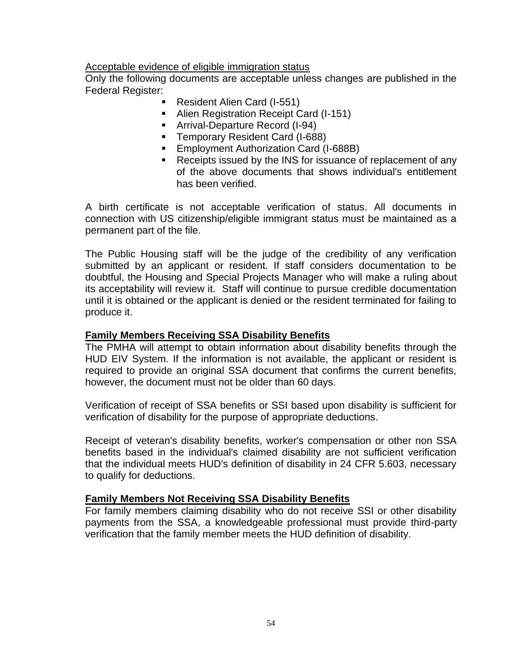### Acceptable evidence of eligible immigration status

Only the following documents are acceptable unless changes are published in the Federal Register:

- Resident Alien Card (I-551)
- Alien Registration Receipt Card (I-151)
- **E** Arrival-Departure Record (I-94)
- **E** Temporary Resident Card (I-688)
- Employment Authorization Card (I-688B)
- Receipts issued by the INS for issuance of replacement of any of the above documents that shows individual's entitlement has been verified.

A birth certificate is not acceptable verification of status. All documents in connection with US citizenship/eligible immigrant status must be maintained as a permanent part of the file.

The Public Housing staff will be the judge of the credibility of any verification submitted by an applicant or resident. If staff considers documentation to be doubtful, the Housing and Special Projects Manager who will make a ruling about its acceptability will review it. Staff will continue to pursue credible documentation until it is obtained or the applicant is denied or the resident terminated for failing to produce it.

### **Family Members Receiving SSA Disability Benefits**

The PMHA will attempt to obtain information about disability benefits through the HUD EIV System. If the information is not available, the applicant or resident is required to provide an original SSA document that confirms the current benefits, however, the document must not be older than 60 days.

Verification of receipt of SSA benefits or SSI based upon disability is sufficient for verification of disability for the purpose of appropriate deductions.

Receipt of veteran's disability benefits, worker's compensation or other non SSA benefits based in the individual's claimed disability are not sufficient verification that the individual meets HUD's definition of disability in 24 CFR 5.603, necessary to qualify for deductions.

### **Family Members Not Receiving SSA Disability Benefits**

For family members claiming disability who do not receive SSI or other disability payments from the SSA, a knowledgeable professional must provide third-party verification that the family member meets the HUD definition of disability.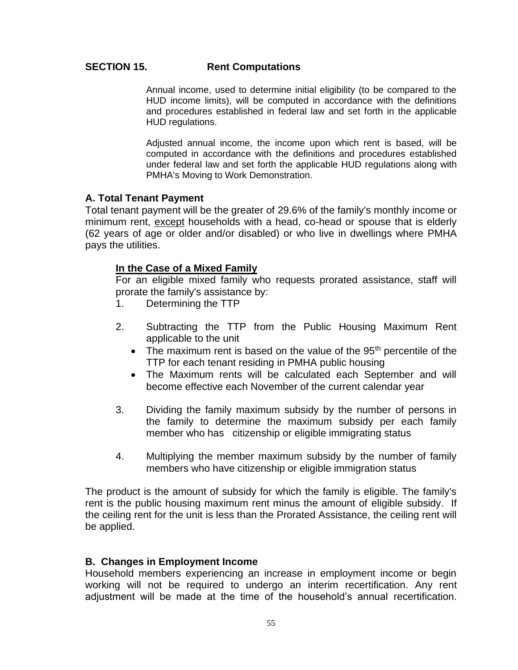### **SECTION 15. Rent Computations**

Annual income, used to determine initial eligibility (to be compared to the HUD income limits), will be computed in accordance with the definitions and procedures established in federal law and set forth in the applicable HUD regulations.

Adjusted annual income, the income upon which rent is based, will be computed in accordance with the definitions and procedures established under federal law and set forth the applicable HUD regulations along with PMHA's Moving to Work Demonstration.

### **A. Total Tenant Payment**

Total tenant payment will be the greater of 29.6% of the family's monthly income or minimum rent, except households with a head, co-head or spouse that is elderly (62 years of age or older and/or disabled) or who live in dwellings where PMHA pays the utilities.

### **In the Case of a Mixed Family**

For an eligible mixed family who requests prorated assistance, staff will prorate the family's assistance by:

- 1. Determining the TTP
- 2. Subtracting the TTP from the Public Housing Maximum Rent applicable to the unit
	- The maximum rent is based on the value of the  $95<sup>th</sup>$  percentile of the TTP for each tenant residing in PMHA public housing
	- The Maximum rents will be calculated each September and will become effective each November of the current calendar year
- 3. Dividing the family maximum subsidy by the number of persons in the family to determine the maximum subsidy per each family member who has citizenship or eligible immigrating status
- 4. Multiplying the member maximum subsidy by the number of family members who have citizenship or eligible immigration status

The product is the amount of subsidy for which the family is eligible. The family's rent is the public housing maximum rent minus the amount of eligible subsidy. If the ceiling rent for the unit is less than the Prorated Assistance, the ceiling rent will be applied.

### **B. Changes in Employment Income**

Household members experiencing an increase in employment income or begin working will not be required to undergo an interim recertification. Any rent adjustment will be made at the time of the household's annual recertification.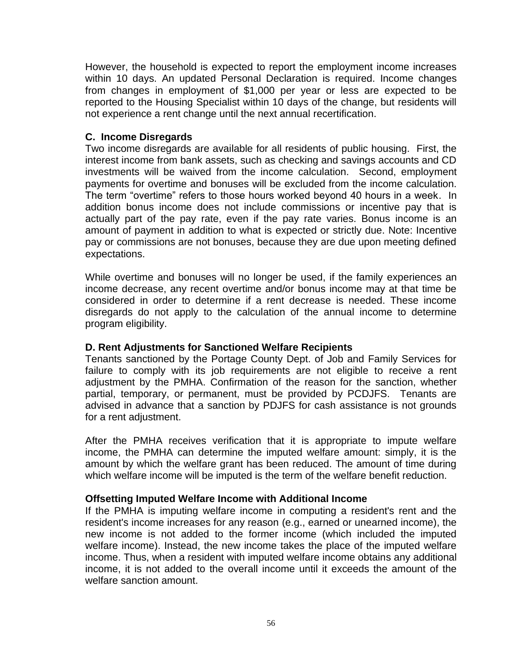However, the household is expected to report the employment income increases within 10 days. An updated Personal Declaration is required. Income changes from changes in employment of \$1,000 per year or less are expected to be reported to the Housing Specialist within 10 days of the change, but residents will not experience a rent change until the next annual recertification.

### **C. Income Disregards**

Two income disregards are available for all residents of public housing. First, the interest income from bank assets, such as checking and savings accounts and CD investments will be waived from the income calculation. Second, employment payments for overtime and bonuses will be excluded from the income calculation. The term "overtime" refers to those hours worked beyond 40 hours in a week. In addition bonus income does not include commissions or incentive pay that is actually part of the pay rate, even if the pay rate varies. Bonus income is an amount of payment in addition to what is expected or strictly due. Note: Incentive pay or commissions are not bonuses, because they are due upon meeting defined expectations.

While overtime and bonuses will no longer be used, if the family experiences an income decrease, any recent overtime and/or bonus income may at that time be considered in order to determine if a rent decrease is needed. These income disregards do not apply to the calculation of the annual income to determine program eligibility.

### **D. Rent Adjustments for Sanctioned Welfare Recipients**

Tenants sanctioned by the Portage County Dept. of Job and Family Services for failure to comply with its job requirements are not eligible to receive a rent adjustment by the PMHA. Confirmation of the reason for the sanction, whether partial, temporary, or permanent, must be provided by PCDJFS. Tenants are advised in advance that a sanction by PDJFS for cash assistance is not grounds for a rent adjustment.

After the PMHA receives verification that it is appropriate to impute welfare income, the PMHA can determine the imputed welfare amount: simply, it is the amount by which the welfare grant has been reduced. The amount of time during which welfare income will be imputed is the term of the welfare benefit reduction.

### **Offsetting Imputed Welfare Income with Additional Income**

If the PMHA is imputing welfare income in computing a resident's rent and the resident's income increases for any reason (e.g., earned or unearned income), the new income is not added to the former income (which included the imputed welfare income). Instead, the new income takes the place of the imputed welfare income. Thus, when a resident with imputed welfare income obtains any additional income, it is not added to the overall income until it exceeds the amount of the welfare sanction amount.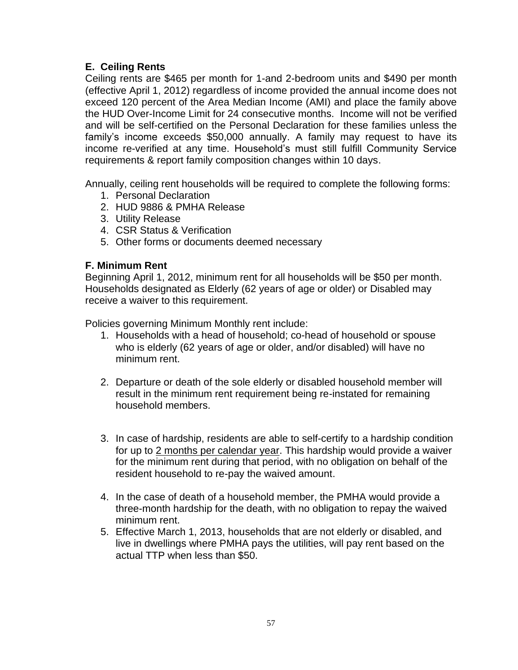# **E. Ceiling Rents**

Ceiling rents are \$465 per month for 1-and 2-bedroom units and \$490 per month (effective April 1, 2012) regardless of income provided the annual income does not exceed 120 percent of the Area Median Income (AMI) and place the family above the HUD Over-Income Limit for 24 consecutive months. Income will not be verified and will be self-certified on the Personal Declaration for these families unless the family's income exceeds \$50,000 annually. A family may request to have its income re-verified at any time. Household's must still fulfill Community Service requirements & report family composition changes within 10 days.

Annually, ceiling rent households will be required to complete the following forms:

- 1. Personal Declaration
- 2. HUD 9886 & PMHA Release
- 3. Utility Release
- 4. CSR Status & Verification
- 5. Other forms or documents deemed necessary

# **F. Minimum Rent**

Beginning April 1, 2012, minimum rent for all households will be \$50 per month. Households designated as Elderly (62 years of age or older) or Disabled may receive a waiver to this requirement.

Policies governing Minimum Monthly rent include:

- 1. Households with a head of household; co-head of household or spouse who is elderly (62 years of age or older, and/or disabled) will have no minimum rent.
- 2. Departure or death of the sole elderly or disabled household member will result in the minimum rent requirement being re-instated for remaining household members.
- 3. In case of hardship, residents are able to self-certify to a hardship condition for up to 2 months per calendar year. This hardship would provide a waiver for the minimum rent during that period, with no obligation on behalf of the resident household to re-pay the waived amount.
- 4. In the case of death of a household member, the PMHA would provide a three-month hardship for the death, with no obligation to repay the waived minimum rent.
- 5. Effective March 1, 2013, households that are not elderly or disabled, and live in dwellings where PMHA pays the utilities, will pay rent based on the actual TTP when less than \$50.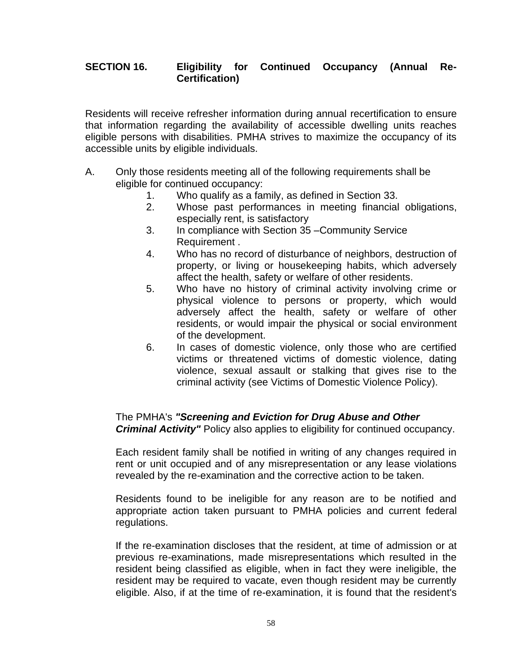## **SECTION 16. Eligibility for Continued Occupancy (Annual Re-Certification)**

Residents will receive refresher information during annual recertification to ensure that information regarding the availability of accessible dwelling units reaches eligible persons with disabilities. PMHA strives to maximize the occupancy of its accessible units by eligible individuals.

- A. Only those residents meeting all of the following requirements shall be eligible for continued occupancy:
	- 1. Who qualify as a family, as defined in Section 33.
	- 2. Whose past performances in meeting financial obligations, especially rent, is satisfactory
	- 3. In compliance with Section 35 –Community Service Requirement .
	- 4. Who has no record of disturbance of neighbors, destruction of property, or living or housekeeping habits, which adversely affect the health, safety or welfare of other residents.
	- 5. Who have no history of criminal activity involving crime or physical violence to persons or property, which would adversely affect the health, safety or welfare of other residents, or would impair the physical or social environment of the development.
	- 6. In cases of domestic violence, only those who are certified victims or threatened victims of domestic violence, dating violence, sexual assault or stalking that gives rise to the criminal activity (see Victims of Domestic Violence Policy).

# The PMHA's *"Screening and Eviction for Drug Abuse and Other*

*Criminal Activity"* Policy also applies to eligibility for continued occupancy.

Each resident family shall be notified in writing of any changes required in rent or unit occupied and of any misrepresentation or any lease violations revealed by the re-examination and the corrective action to be taken.

Residents found to be ineligible for any reason are to be notified and appropriate action taken pursuant to PMHA policies and current federal regulations.

If the re-examination discloses that the resident, at time of admission or at previous re-examinations, made misrepresentations which resulted in the resident being classified as eligible, when in fact they were ineligible, the resident may be required to vacate, even though resident may be currently eligible. Also, if at the time of re-examination, it is found that the resident's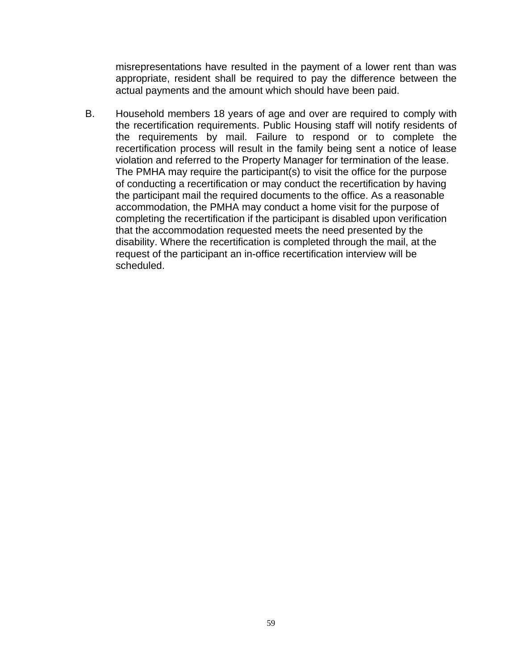misrepresentations have resulted in the payment of a lower rent than was appropriate, resident shall be required to pay the difference between the actual payments and the amount which should have been paid.

B. Household members 18 years of age and over are required to comply with the recertification requirements. Public Housing staff will notify residents of the requirements by mail. Failure to respond or to complete the recertification process will result in the family being sent a notice of lease violation and referred to the Property Manager for termination of the lease. The PMHA may require the participant(s) to visit the office for the purpose of conducting a recertification or may conduct the recertification by having the participant mail the required documents to the office. As a reasonable accommodation, the PMHA may conduct a home visit for the purpose of completing the recertification if the participant is disabled upon verification that the accommodation requested meets the need presented by the disability. Where the recertification is completed through the mail, at the request of the participant an in-office recertification interview will be scheduled.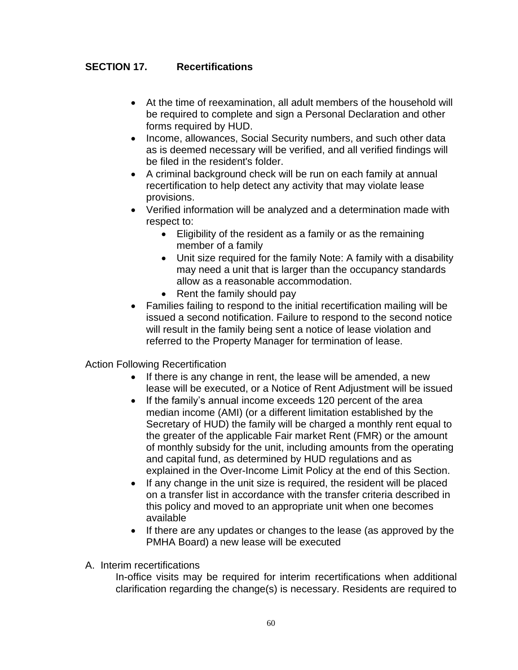# **SECTION 17. Recertifications**

- At the time of reexamination, all adult members of the household will be required to complete and sign a Personal Declaration and other forms required by HUD.
- Income, allowances, Social Security numbers, and such other data as is deemed necessary will be verified, and all verified findings will be filed in the resident's folder.
- A criminal background check will be run on each family at annual recertification to help detect any activity that may violate lease provisions.
- Verified information will be analyzed and a determination made with respect to:
	- Eligibility of the resident as a family or as the remaining member of a family
	- Unit size required for the family Note: A family with a disability may need a unit that is larger than the occupancy standards allow as a reasonable accommodation.
	- Rent the family should pay
- Families failing to respond to the initial recertification mailing will be issued a second notification. Failure to respond to the second notice will result in the family being sent a notice of lease violation and referred to the Property Manager for termination of lease.

Action Following Recertification

- If there is any change in rent, the lease will be amended, a new lease will be executed, or a Notice of Rent Adjustment will be issued
- If the family's annual income exceeds 120 percent of the area median income (AMI) (or a different limitation established by the Secretary of HUD) the family will be charged a monthly rent equal to the greater of the applicable Fair market Rent (FMR) or the amount of monthly subsidy for the unit, including amounts from the operating and capital fund, as determined by HUD regulations and as explained in the Over-Income Limit Policy at the end of this Section.
- If any change in the unit size is required, the resident will be placed on a transfer list in accordance with the transfer criteria described in this policy and moved to an appropriate unit when one becomes available
- If there are any updates or changes to the lease (as approved by the PMHA Board) a new lease will be executed
- A. Interim recertifications

In-office visits may be required for interim recertifications when additional clarification regarding the change(s) is necessary. Residents are required to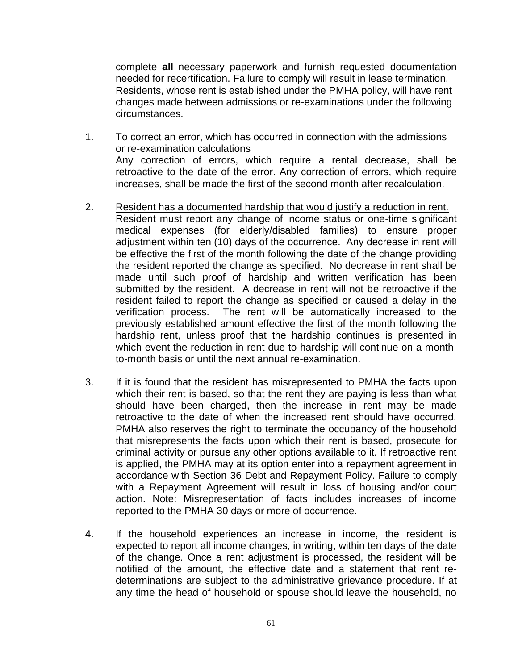complete **all** necessary paperwork and furnish requested documentation needed for recertification. Failure to comply will result in lease termination. Residents, whose rent is established under the PMHA policy, will have rent changes made between admissions or re-examinations under the following circumstances.

- 1. To correct an error, which has occurred in connection with the admissions or re-examination calculations Any correction of errors, which require a rental decrease, shall be retroactive to the date of the error. Any correction of errors, which require increases, shall be made the first of the second month after recalculation.
- 2. Resident has a documented hardship that would justify a reduction in rent. Resident must report any change of income status or one-time significant medical expenses (for elderly/disabled families) to ensure proper adjustment within ten (10) days of the occurrence. Any decrease in rent will be effective the first of the month following the date of the change providing the resident reported the change as specified. No decrease in rent shall be made until such proof of hardship and written verification has been submitted by the resident. A decrease in rent will not be retroactive if the resident failed to report the change as specified or caused a delay in the verification process. The rent will be automatically increased to the previously established amount effective the first of the month following the hardship rent, unless proof that the hardship continues is presented in which event the reduction in rent due to hardship will continue on a monthto-month basis or until the next annual re-examination.
- 3. If it is found that the resident has misrepresented to PMHA the facts upon which their rent is based, so that the rent they are paying is less than what should have been charged, then the increase in rent may be made retroactive to the date of when the increased rent should have occurred. PMHA also reserves the right to terminate the occupancy of the household that misrepresents the facts upon which their rent is based, prosecute for criminal activity or pursue any other options available to it. If retroactive rent is applied, the PMHA may at its option enter into a repayment agreement in accordance with Section 36 Debt and Repayment Policy. Failure to comply with a Repayment Agreement will result in loss of housing and/or court action. Note: Misrepresentation of facts includes increases of income reported to the PMHA 30 days or more of occurrence.
- 4. If the household experiences an increase in income, the resident is expected to report all income changes, in writing, within ten days of the date of the change. Once a rent adjustment is processed, the resident will be notified of the amount, the effective date and a statement that rent redeterminations are subject to the administrative grievance procedure. If at any time the head of household or spouse should leave the household, no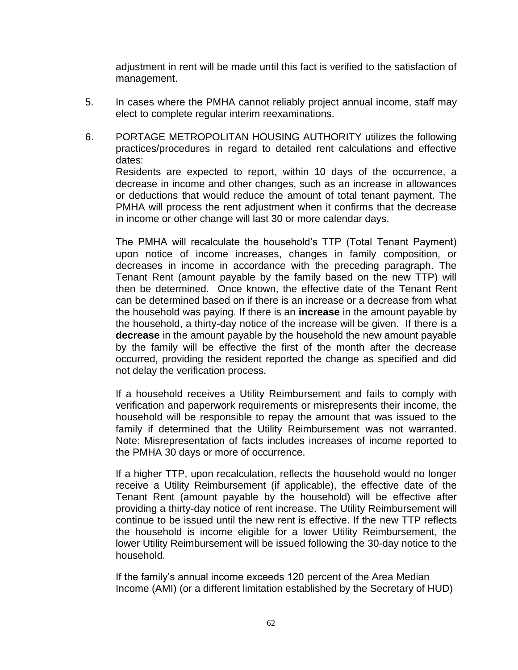adjustment in rent will be made until this fact is verified to the satisfaction of management.

- 5. In cases where the PMHA cannot reliably project annual income, staff may elect to complete regular interim reexaminations.
- 6. PORTAGE METROPOLITAN HOUSING AUTHORITY utilizes the following practices/procedures in regard to detailed rent calculations and effective dates: Residents are expected to report, within 10 days of the occurrence, a

decrease in income and other changes, such as an increase in allowances or deductions that would reduce the amount of total tenant payment. The PMHA will process the rent adjustment when it confirms that the decrease in income or other change will last 30 or more calendar days.

The PMHA will recalculate the household's TTP (Total Tenant Payment) upon notice of income increases, changes in family composition, or decreases in income in accordance with the preceding paragraph. The Tenant Rent (amount payable by the family based on the new TTP) will then be determined. Once known, the effective date of the Tenant Rent can be determined based on if there is an increase or a decrease from what the household was paying. If there is an **increase** in the amount payable by the household, a thirty-day notice of the increase will be given. If there is a **decrease** in the amount payable by the household the new amount payable by the family will be effective the first of the month after the decrease occurred, providing the resident reported the change as specified and did not delay the verification process.

If a household receives a Utility Reimbursement and fails to comply with verification and paperwork requirements or misrepresents their income, the household will be responsible to repay the amount that was issued to the family if determined that the Utility Reimbursement was not warranted. Note: Misrepresentation of facts includes increases of income reported to the PMHA 30 days or more of occurrence.

If a higher TTP, upon recalculation, reflects the household would no longer receive a Utility Reimbursement (if applicable), the effective date of the Tenant Rent (amount payable by the household) will be effective after providing a thirty-day notice of rent increase. The Utility Reimbursement will continue to be issued until the new rent is effective. If the new TTP reflects the household is income eligible for a lower Utility Reimbursement, the lower Utility Reimbursement will be issued following the 30-day notice to the household.

If the family's annual income exceeds 120 percent of the Area Median Income (AMI) (or a different limitation established by the Secretary of HUD)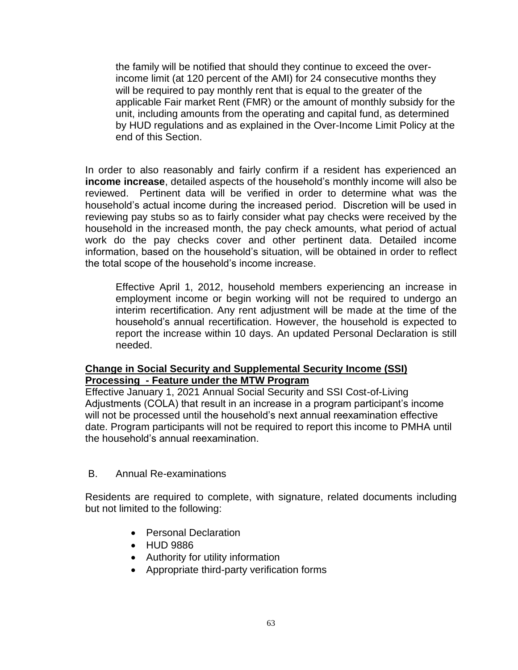the family will be notified that should they continue to exceed the overincome limit (at 120 percent of the AMI) for 24 consecutive months they will be required to pay monthly rent that is equal to the greater of the applicable Fair market Rent (FMR) or the amount of monthly subsidy for the unit, including amounts from the operating and capital fund, as determined by HUD regulations and as explained in the Over-Income Limit Policy at the end of this Section.

In order to also reasonably and fairly confirm if a resident has experienced an **income increase**, detailed aspects of the household's monthly income will also be reviewed. Pertinent data will be verified in order to determine what was the household's actual income during the increased period. Discretion will be used in reviewing pay stubs so as to fairly consider what pay checks were received by the household in the increased month, the pay check amounts, what period of actual work do the pay checks cover and other pertinent data. Detailed income information, based on the household's situation, will be obtained in order to reflect the total scope of the household's income increase.

Effective April 1, 2012, household members experiencing an increase in employment income or begin working will not be required to undergo an interim recertification. Any rent adjustment will be made at the time of the household's annual recertification. However, the household is expected to report the increase within 10 days. An updated Personal Declaration is still needed.

### **Change in Social Security and Supplemental Security Income (SSI) Processing - Feature under the MTW Program**

Effective January 1, 2021 Annual Social Security and SSI Cost-of-Living Adjustments (COLA) that result in an increase in a program participant's income will not be processed until the household's next annual reexamination effective date. Program participants will not be required to report this income to PMHA until the household's annual reexamination.

B. Annual Re-examinations

Residents are required to complete, with signature, related documents including but not limited to the following:

- Personal Declaration
- HUD 9886
- Authority for utility information
- Appropriate third-party verification forms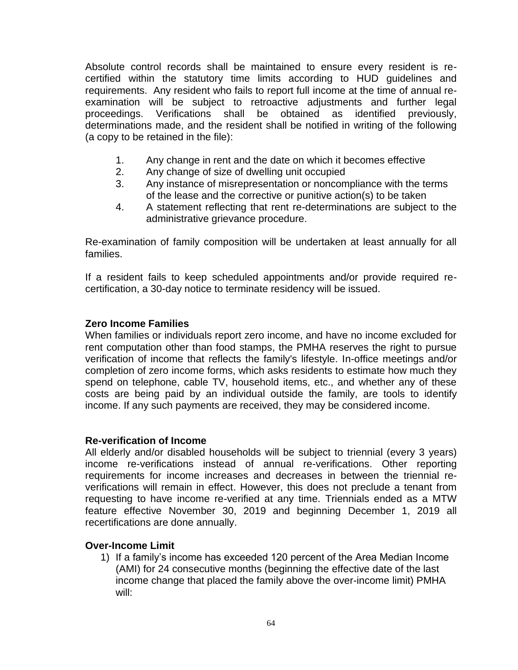Absolute control records shall be maintained to ensure every resident is recertified within the statutory time limits according to HUD guidelines and requirements. Any resident who fails to report full income at the time of annual reexamination will be subject to retroactive adjustments and further legal proceedings. Verifications shall be obtained as identified previously, determinations made, and the resident shall be notified in writing of the following (a copy to be retained in the file):

- 1. Any change in rent and the date on which it becomes effective
- 2. Any change of size of dwelling unit occupied
- 3. Any instance of misrepresentation or noncompliance with the terms of the lease and the corrective or punitive action(s) to be taken
- 4. A statement reflecting that rent re-determinations are subject to the administrative grievance procedure.

Re-examination of family composition will be undertaken at least annually for all families.

If a resident fails to keep scheduled appointments and/or provide required recertification, a 30-day notice to terminate residency will be issued.

### **Zero Income Families**

When families or individuals report zero income, and have no income excluded for rent computation other than food stamps, the PMHA reserves the right to pursue verification of income that reflects the family's lifestyle. In-office meetings and/or completion of zero income forms, which asks residents to estimate how much they spend on telephone, cable TV, household items, etc., and whether any of these costs are being paid by an individual outside the family, are tools to identify income. If any such payments are received, they may be considered income.

### **Re-verification of Income**

All elderly and/or disabled households will be subject to triennial (every 3 years) income re-verifications instead of annual re-verifications. Other reporting requirements for income increases and decreases in between the triennial reverifications will remain in effect. However, this does not preclude a tenant from requesting to have income re-verified at any time. Triennials ended as a MTW feature effective November 30, 2019 and beginning December 1, 2019 all recertifications are done annually.

### **Over-Income Limit**

1) If a family's income has exceeded 120 percent of the Area Median Income (AMI) for 24 consecutive months (beginning the effective date of the last income change that placed the family above the over-income limit) PMHA will: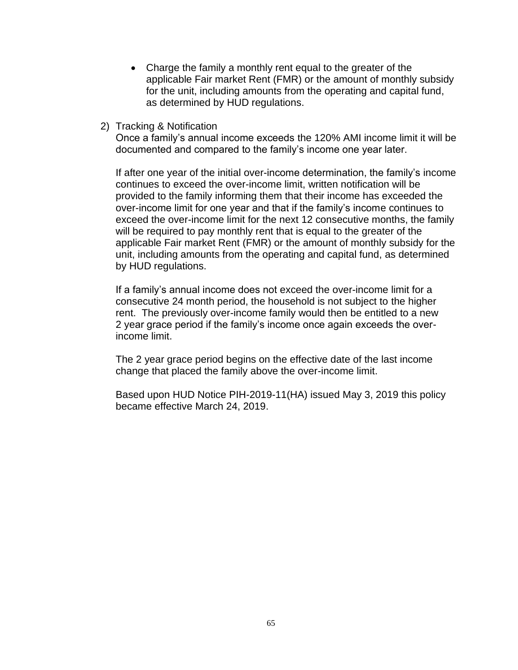- Charge the family a monthly rent equal to the greater of the applicable Fair market Rent (FMR) or the amount of monthly subsidy for the unit, including amounts from the operating and capital fund, as determined by HUD regulations.
- 2) Tracking & Notification

Once a family's annual income exceeds the 120% AMI income limit it will be documented and compared to the family's income one year later.

If after one year of the initial over-income determination, the family's income continues to exceed the over-income limit, written notification will be provided to the family informing them that their income has exceeded the over-income limit for one year and that if the family's income continues to exceed the over-income limit for the next 12 consecutive months, the family will be required to pay monthly rent that is equal to the greater of the applicable Fair market Rent (FMR) or the amount of monthly subsidy for the unit, including amounts from the operating and capital fund, as determined by HUD regulations.

If a family's annual income does not exceed the over-income limit for a consecutive 24 month period, the household is not subject to the higher rent. The previously over-income family would then be entitled to a new 2 year grace period if the family's income once again exceeds the overincome limit.

The 2 year grace period begins on the effective date of the last income change that placed the family above the over-income limit.

Based upon HUD Notice PIH-2019-11(HA) issued May 3, 2019 this policy became effective March 24, 2019.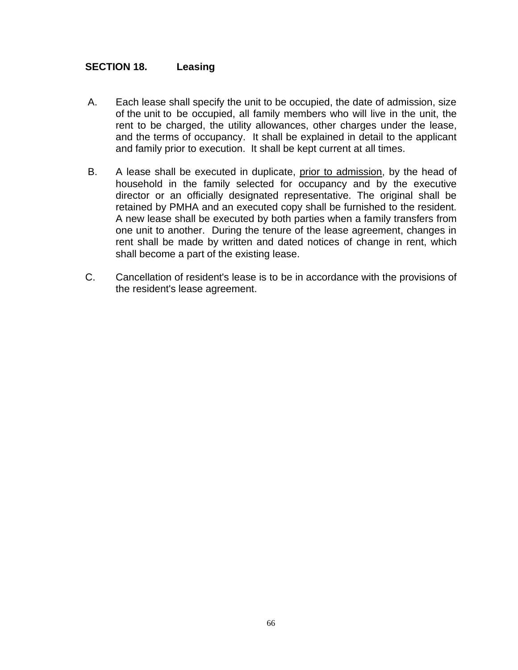### **SECTION 18. Leasing**

- A. Each lease shall specify the unit to be occupied, the date of admission, size of the unit to be occupied, all family members who will live in the unit, the rent to be charged, the utility allowances, other charges under the lease, and the terms of occupancy. It shall be explained in detail to the applicant and family prior to execution. It shall be kept current at all times.
- B. A lease shall be executed in duplicate, prior to admission, by the head of household in the family selected for occupancy and by the executive director or an officially designated representative. The original shall be retained by PMHA and an executed copy shall be furnished to the resident. A new lease shall be executed by both parties when a family transfers from one unit to another. During the tenure of the lease agreement, changes in rent shall be made by written and dated notices of change in rent, which shall become a part of the existing lease.
- C. Cancellation of resident's lease is to be in accordance with the provisions of the resident's lease agreement.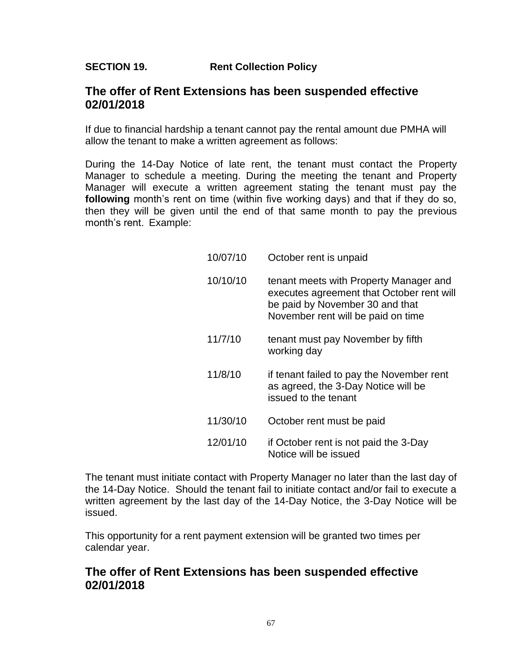# **SECTION 19. Rent Collection Policy**

# **The offer of Rent Extensions has been suspended effective 02/01/2018**

If due to financial hardship a tenant cannot pay the rental amount due PMHA will allow the tenant to make a written agreement as follows:

During the 14-Day Notice of late rent, the tenant must contact the Property Manager to schedule a meeting. During the meeting the tenant and Property Manager will execute a written agreement stating the tenant must pay the **following** month's rent on time (within five working days) and that if they do so, then they will be given until the end of that same month to pay the previous month's rent. Example:

| 10/07/10 | October rent is unpaid                                                                                                                                       |
|----------|--------------------------------------------------------------------------------------------------------------------------------------------------------------|
| 10/10/10 | tenant meets with Property Manager and<br>executes agreement that October rent will<br>be paid by November 30 and that<br>November rent will be paid on time |
| 11/7/10  | tenant must pay November by fifth<br>working day                                                                                                             |
| 11/8/10  | if tenant failed to pay the November rent<br>as agreed, the 3-Day Notice will be<br>issued to the tenant                                                     |
| 11/30/10 | October rent must be paid                                                                                                                                    |
| 12/01/10 | if October rent is not paid the 3-Day<br>Notice will be issued                                                                                               |

The tenant must initiate contact with Property Manager no later than the last day of the 14-Day Notice. Should the tenant fail to initiate contact and/or fail to execute a written agreement by the last day of the 14-Day Notice, the 3-Day Notice will be issued.

This opportunity for a rent payment extension will be granted two times per calendar year.

# **The offer of Rent Extensions has been suspended effective 02/01/2018**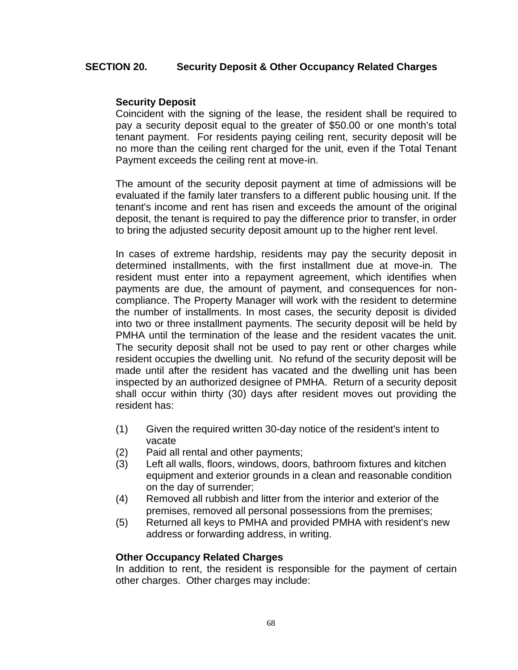### **SECTION 20. Security Deposit & Other Occupancy Related Charges**

### **Security Deposit**

Coincident with the signing of the lease, the resident shall be required to pay a security deposit equal to the greater of \$50.00 or one month's total tenant payment. For residents paying ceiling rent, security deposit will be no more than the ceiling rent charged for the unit, even if the Total Tenant Payment exceeds the ceiling rent at move-in.

The amount of the security deposit payment at time of admissions will be evaluated if the family later transfers to a different public housing unit. If the tenant's income and rent has risen and exceeds the amount of the original deposit, the tenant is required to pay the difference prior to transfer, in order to bring the adjusted security deposit amount up to the higher rent level.

In cases of extreme hardship, residents may pay the security deposit in determined installments, with the first installment due at move-in. The resident must enter into a repayment agreement, which identifies when payments are due, the amount of payment, and consequences for noncompliance. The Property Manager will work with the resident to determine the number of installments. In most cases, the security deposit is divided into two or three installment payments. The security deposit will be held by PMHA until the termination of the lease and the resident vacates the unit. The security deposit shall not be used to pay rent or other charges while resident occupies the dwelling unit. No refund of the security deposit will be made until after the resident has vacated and the dwelling unit has been inspected by an authorized designee of PMHA. Return of a security deposit shall occur within thirty (30) days after resident moves out providing the resident has:

- (1) Given the required written 30-day notice of the resident's intent to vacate
- (2) Paid all rental and other payments;
- (3) Left all walls, floors, windows, doors, bathroom fixtures and kitchen equipment and exterior grounds in a clean and reasonable condition on the day of surrender;
- (4) Removed all rubbish and litter from the interior and exterior of the premises, removed all personal possessions from the premises;
- (5) Returned all keys to PMHA and provided PMHA with resident's new address or forwarding address, in writing.

### **Other Occupancy Related Charges**

In addition to rent, the resident is responsible for the payment of certain other charges. Other charges may include: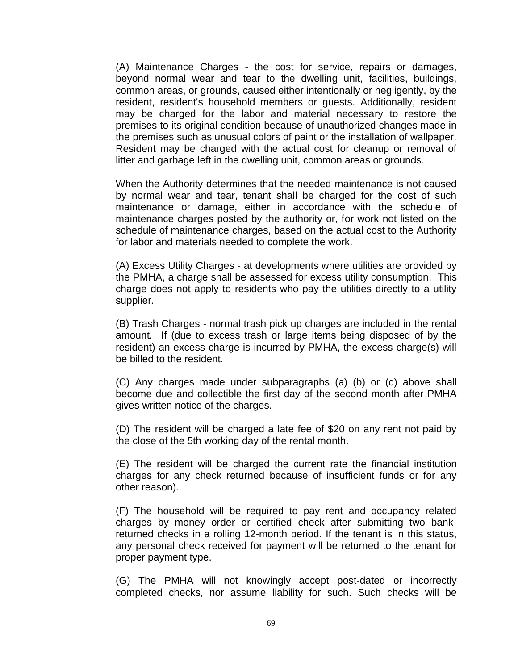(A) Maintenance Charges - the cost for service, repairs or damages, beyond normal wear and tear to the dwelling unit, facilities, buildings, common areas, or grounds, caused either intentionally or negligently, by the resident, resident's household members or guests. Additionally, resident may be charged for the labor and material necessary to restore the premises to its original condition because of unauthorized changes made in the premises such as unusual colors of paint or the installation of wallpaper. Resident may be charged with the actual cost for cleanup or removal of litter and garbage left in the dwelling unit, common areas or grounds.

When the Authority determines that the needed maintenance is not caused by normal wear and tear, tenant shall be charged for the cost of such maintenance or damage, either in accordance with the schedule of maintenance charges posted by the authority or, for work not listed on the schedule of maintenance charges, based on the actual cost to the Authority for labor and materials needed to complete the work.

(A) Excess Utility Charges - at developments where utilities are provided by the PMHA, a charge shall be assessed for excess utility consumption. This charge does not apply to residents who pay the utilities directly to a utility supplier.

(B) Trash Charges - normal trash pick up charges are included in the rental amount. If (due to excess trash or large items being disposed of by the resident) an excess charge is incurred by PMHA, the excess charge(s) will be billed to the resident.

(C) Any charges made under subparagraphs (a) (b) or (c) above shall become due and collectible the first day of the second month after PMHA gives written notice of the charges.

(D) The resident will be charged a late fee of \$20 on any rent not paid by the close of the 5th working day of the rental month.

(E) The resident will be charged the current rate the financial institution charges for any check returned because of insufficient funds or for any other reason).

(F) The household will be required to pay rent and occupancy related charges by money order or certified check after submitting two bankreturned checks in a rolling 12-month period. If the tenant is in this status, any personal check received for payment will be returned to the tenant for proper payment type.

(G) The PMHA will not knowingly accept post-dated or incorrectly completed checks, nor assume liability for such. Such checks will be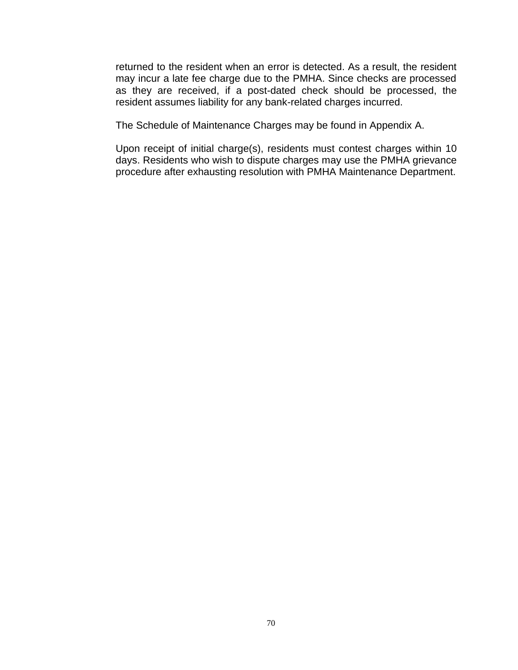returned to the resident when an error is detected. As a result, the resident may incur a late fee charge due to the PMHA. Since checks are processed as they are received, if a post-dated check should be processed, the resident assumes liability for any bank-related charges incurred.

The Schedule of Maintenance Charges may be found in Appendix A.

Upon receipt of initial charge(s), residents must contest charges within 10 days. Residents who wish to dispute charges may use the PMHA grievance procedure after exhausting resolution with PMHA Maintenance Department.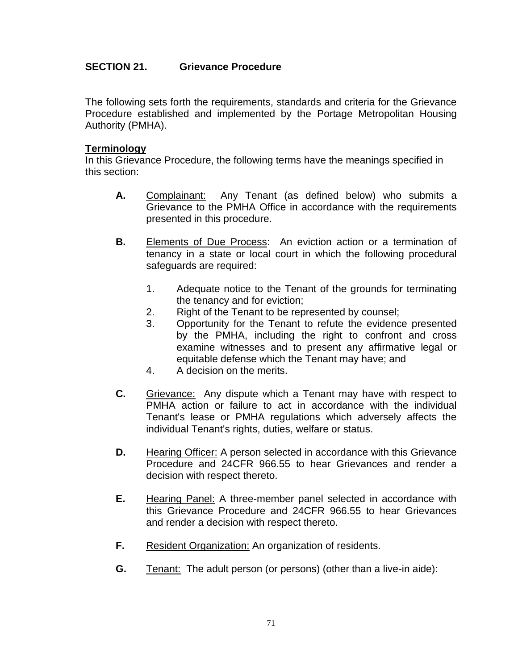# **SECTION 21. Grievance Procedure**

The following sets forth the requirements, standards and criteria for the Grievance Procedure established and implemented by the Portage Metropolitan Housing Authority (PMHA).

### **Terminology**

In this Grievance Procedure, the following terms have the meanings specified in this section:

- **A.** Complainant: Any Tenant (as defined below) who submits a Grievance to the PMHA Office in accordance with the requirements presented in this procedure.
- **B.** Elements of Due Process: An eviction action or a termination of tenancy in a state or local court in which the following procedural safeguards are required:
	- 1. Adequate notice to the Tenant of the grounds for terminating the tenancy and for eviction;
	- 2. Right of the Tenant to be represented by counsel;
	- 3. Opportunity for the Tenant to refute the evidence presented by the PMHA, including the right to confront and cross examine witnesses and to present any affirmative legal or equitable defense which the Tenant may have; and
	- 4. A decision on the merits.
- **C.** Grievance: Any dispute which a Tenant may have with respect to PMHA action or failure to act in accordance with the individual Tenant's lease or PMHA regulations which adversely affects the individual Tenant's rights, duties, welfare or status.
- **D.** Hearing Officer: A person selected in accordance with this Grievance Procedure and 24CFR 966.55 to hear Grievances and render a decision with respect thereto.
- **E.** Hearing Panel: A three-member panel selected in accordance with this Grievance Procedure and 24CFR 966.55 to hear Grievances and render a decision with respect thereto.
- **F.** Resident Organization: An organization of residents.
- **G.** Tenant: The adult person (or persons) (other than a live-in aide):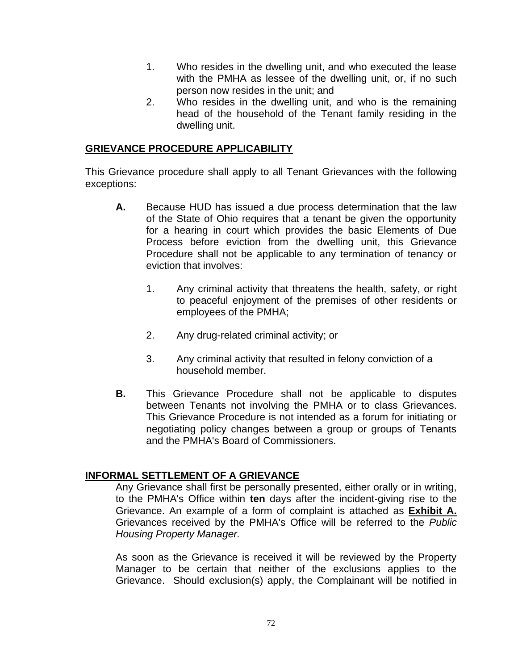- 1. Who resides in the dwelling unit, and who executed the lease with the PMHA as lessee of the dwelling unit, or, if no such person now resides in the unit; and
- 2. Who resides in the dwelling unit, and who is the remaining head of the household of the Tenant family residing in the dwelling unit.

## **GRIEVANCE PROCEDURE APPLICABILITY**

This Grievance procedure shall apply to all Tenant Grievances with the following exceptions:

- **A.** Because HUD has issued a due process determination that the law of the State of Ohio requires that a tenant be given the opportunity for a hearing in court which provides the basic Elements of Due Process before eviction from the dwelling unit, this Grievance Procedure shall not be applicable to any termination of tenancy or eviction that involves:
	- 1. Any criminal activity that threatens the health, safety, or right to peaceful enjoyment of the premises of other residents or employees of the PMHA;
	- 2. Any drug-related criminal activity; or
	- 3. Any criminal activity that resulted in felony conviction of a household member.
- **B.** This Grievance Procedure shall not be applicable to disputes between Tenants not involving the PMHA or to class Grievances. This Grievance Procedure is not intended as a forum for initiating or negotiating policy changes between a group or groups of Tenants and the PMHA's Board of Commissioners.

### **INFORMAL SETTLEMENT OF A GRIEVANCE**

Any Grievance shall first be personally presented, either orally or in writing, to the PMHA's Office within **ten** days after the incident-giving rise to the Grievance. An example of a form of complaint is attached as **Exhibit A.** Grievances received by the PMHA's Office will be referred to the *Public Housing Property Manager.*

As soon as the Grievance is received it will be reviewed by the Property Manager to be certain that neither of the exclusions applies to the Grievance. Should exclusion(s) apply, the Complainant will be notified in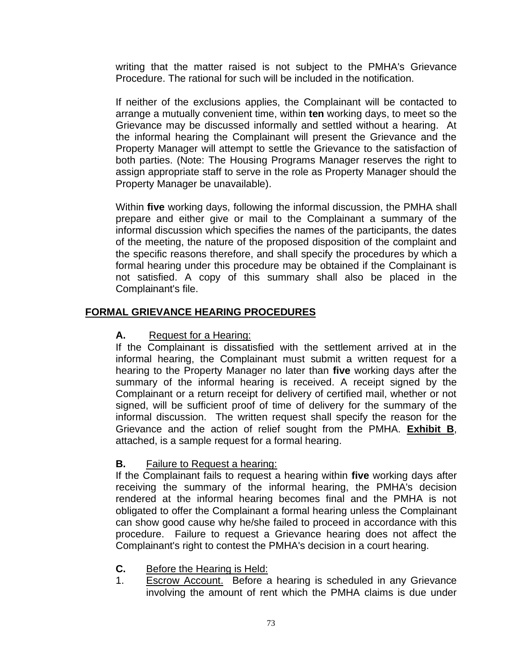writing that the matter raised is not subject to the PMHA's Grievance Procedure. The rational for such will be included in the notification.

If neither of the exclusions applies, the Complainant will be contacted to arrange a mutually convenient time, within **ten** working days, to meet so the Grievance may be discussed informally and settled without a hearing. At the informal hearing the Complainant will present the Grievance and the Property Manager will attempt to settle the Grievance to the satisfaction of both parties. (Note: The Housing Programs Manager reserves the right to assign appropriate staff to serve in the role as Property Manager should the Property Manager be unavailable).

Within **five** working days, following the informal discussion, the PMHA shall prepare and either give or mail to the Complainant a summary of the informal discussion which specifies the names of the participants, the dates of the meeting, the nature of the proposed disposition of the complaint and the specific reasons therefore, and shall specify the procedures by which a formal hearing under this procedure may be obtained if the Complainant is not satisfied. A copy of this summary shall also be placed in the Complainant's file.

## **FORMAL GRIEVANCE HEARING PROCEDURES**

### **A.** Request for a Hearing:

If the Complainant is dissatisfied with the settlement arrived at in the informal hearing, the Complainant must submit a written request for a hearing to the Property Manager no later than **five** working days after the summary of the informal hearing is received. A receipt signed by the Complainant or a return receipt for delivery of certified mail, whether or not signed, will be sufficient proof of time of delivery for the summary of the informal discussion. The written request shall specify the reason for the Grievance and the action of relief sought from the PMHA. **Exhibit B**, attached, is a sample request for a formal hearing.

### **B.** Failure to Request a hearing:

If the Complainant fails to request a hearing within **five** working days after receiving the summary of the informal hearing, the PMHA's decision rendered at the informal hearing becomes final and the PMHA is not obligated to offer the Complainant a formal hearing unless the Complainant can show good cause why he/she failed to proceed in accordance with this procedure. Failure to request a Grievance hearing does not affect the Complainant's right to contest the PMHA's decision in a court hearing.

- **C.** Before the Hearing is Held:
- 1. Escrow Account. Before a hearing is scheduled in any Grievance involving the amount of rent which the PMHA claims is due under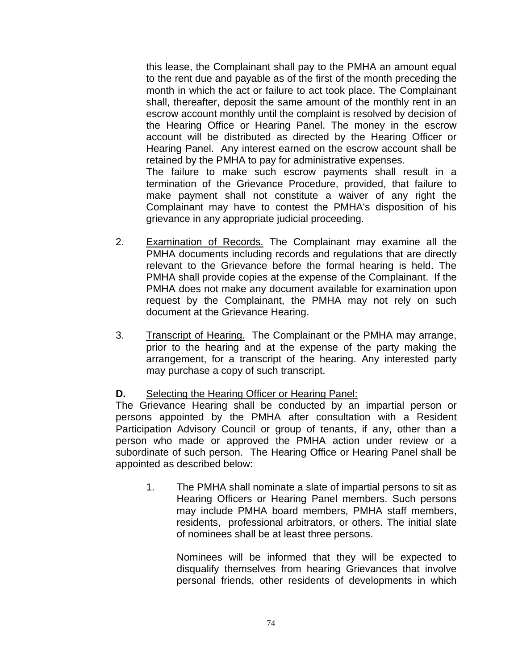this lease, the Complainant shall pay to the PMHA an amount equal to the rent due and payable as of the first of the month preceding the month in which the act or failure to act took place. The Complainant shall, thereafter, deposit the same amount of the monthly rent in an escrow account monthly until the complaint is resolved by decision of the Hearing Office or Hearing Panel. The money in the escrow account will be distributed as directed by the Hearing Officer or Hearing Panel. Any interest earned on the escrow account shall be retained by the PMHA to pay for administrative expenses.

The failure to make such escrow payments shall result in a termination of the Grievance Procedure, provided, that failure to make payment shall not constitute a waiver of any right the Complainant may have to contest the PMHA's disposition of his grievance in any appropriate judicial proceeding.

- 2. Examination of Records. The Complainant may examine all the PMHA documents including records and regulations that are directly relevant to the Grievance before the formal hearing is held. The PMHA shall provide copies at the expense of the Complainant. If the PMHA does not make any document available for examination upon request by the Complainant, the PMHA may not rely on such document at the Grievance Hearing.
- 3. Transcript of Hearing. The Complainant or the PMHA may arrange, prior to the hearing and at the expense of the party making the arrangement, for a transcript of the hearing. Any interested party may purchase a copy of such transcript.

### **D.** Selecting the Hearing Officer or Hearing Panel:

The Grievance Hearing shall be conducted by an impartial person or persons appointed by the PMHA after consultation with a Resident Participation Advisory Council or group of tenants, if any, other than a person who made or approved the PMHA action under review or a subordinate of such person. The Hearing Office or Hearing Panel shall be appointed as described below:

1. The PMHA shall nominate a slate of impartial persons to sit as Hearing Officers or Hearing Panel members. Such persons may include PMHA board members, PMHA staff members, residents, professional arbitrators, or others. The initial slate of nominees shall be at least three persons.

Nominees will be informed that they will be expected to disqualify themselves from hearing Grievances that involve personal friends, other residents of developments in which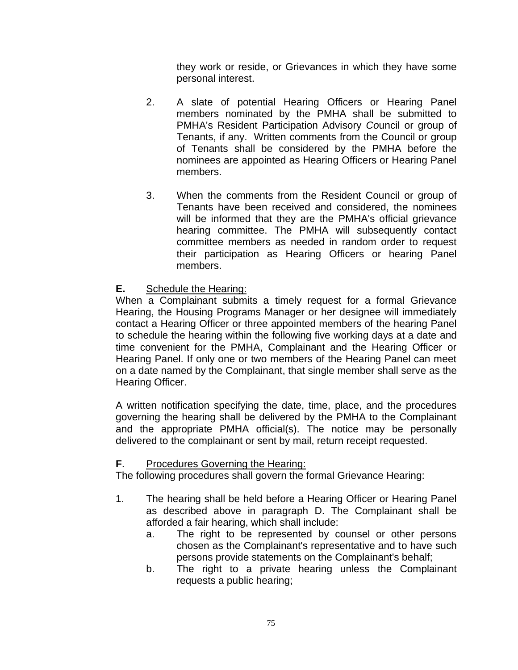they work or reside, or Grievances in which they have some personal interest.

- 2. A slate of potential Hearing Officers or Hearing Panel members nominated by the PMHA shall be submitted to PMHA's Resident Participation Advisory *Co*uncil or group of Tenants, if any. Written comments from the Council or group of Tenants shall be considered by the PMHA before the nominees are appointed as Hearing Officers or Hearing Panel members.
- 3. When the comments from the Resident Council or group of Tenants have been received and considered, the nominees will be informed that they are the PMHA's official grievance hearing committee. The PMHA will subsequently contact committee members as needed in random order to request their participation as Hearing Officers or hearing Panel members.

# **E.** Schedule the Hearing:

When a Complainant submits a timely request for a formal Grievance Hearing, the Housing Programs Manager or her designee will immediately contact a Hearing Officer or three appointed members of the hearing Panel to schedule the hearing within the following five working days at a date and time convenient for the PMHA, Complainant and the Hearing Officer or Hearing Panel. If only one or two members of the Hearing Panel can meet on a date named by the Complainant, that single member shall serve as the Hearing Officer.

A written notification specifying the date, time, place, and the procedures governing the hearing shall be delivered by the PMHA to the Complainant and the appropriate PMHA official(s). The notice may be personally delivered to the complainant or sent by mail, return receipt requested.

## **F.** Procedures Governing the Hearing:

The following procedures shall govern the formal Grievance Hearing:

- 1. The hearing shall be held before a Hearing Officer or Hearing Panel as described above in paragraph D. The Complainant shall be afforded a fair hearing, which shall include:
	- a. The right to be represented by counsel or other persons chosen as the Complainant's representative and to have such persons provide statements on the Complainant's behalf;
	- b. The right to a private hearing unless the Complainant requests a public hearing;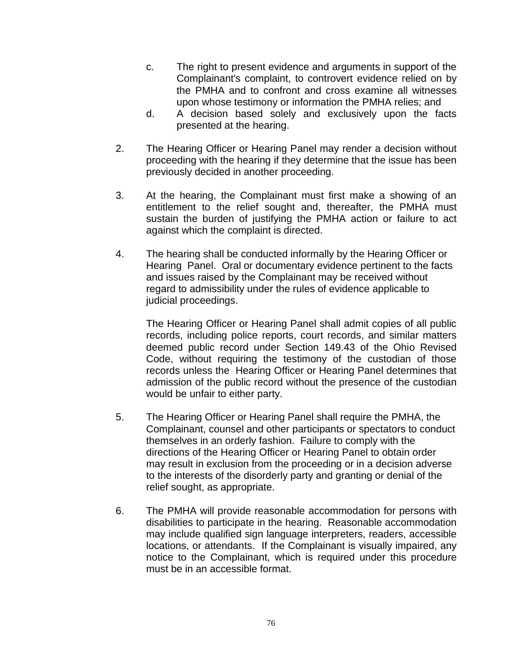- c. The right to present evidence and arguments in support of the Complainant's complaint, to controvert evidence relied on by the PMHA and to confront and cross examine all witnesses upon whose testimony or information the PMHA relies; and
- d. A decision based solely and exclusively upon the facts presented at the hearing.
- 2. The Hearing Officer or Hearing Panel may render a decision without proceeding with the hearing if they determine that the issue has been previously decided in another proceeding.
- 3. At the hearing, the Complainant must first make a showing of an entitlement to the relief sought and, thereafter, the PMHA must sustain the burden of justifying the PMHA action or failure to act against which the complaint is directed.
- 4. The hearing shall be conducted informally by the Hearing Officer or Hearing Panel. Oral or documentary evidence pertinent to the facts and issues raised by the Complainant may be received without regard to admissibility under the rules of evidence applicable to judicial proceedings.

The Hearing Officer or Hearing Panel shall admit copies of all public records, including police reports, court records, and similar matters deemed public record under Section 149.43 of the Ohio Revised Code, without requiring the testimony of the custodian of those records unless the Hearing Officer or Hearing Panel determines that admission of the public record without the presence of the custodian would be unfair to either party.

- 5. The Hearing Officer or Hearing Panel shall require the PMHA, the Complainant, counsel and other participants or spectators to conduct themselves in an orderly fashion. Failure to comply with the directions of the Hearing Officer or Hearing Panel to obtain order may result in exclusion from the proceeding or in a decision adverse to the interests of the disorderly party and granting or denial of the relief sought, as appropriate.
- 6. The PMHA will provide reasonable accommodation for persons with disabilities to participate in the hearing. Reasonable accommodation may include qualified sign language interpreters, readers, accessible locations, or attendants. If the Complainant is visually impaired, any notice to the Complainant, which is required under this procedure must be in an accessible format.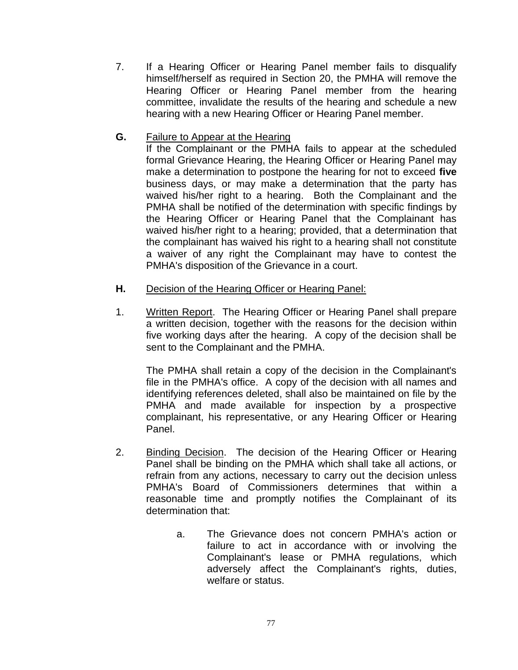7. If a Hearing Officer or Hearing Panel member fails to disqualify himself/herself as required in Section 20, the PMHA will remove the Hearing Officer or Hearing Panel member from the hearing committee, invalidate the results of the hearing and schedule a new hearing with a new Hearing Officer or Hearing Panel member.

## **G.** Failure to Appear at the Hearing

If the Complainant or the PMHA fails to appear at the scheduled formal Grievance Hearing, the Hearing Officer or Hearing Panel may make a determination to postpone the hearing for not to exceed **five** business days, or may make a determination that the party has waived his/her right to a hearing. Both the Complainant and the PMHA shall be notified of the determination with specific findings by the Hearing Officer or Hearing Panel that the Complainant has waived his/her right to a hearing; provided, that a determination that the complainant has waived his right to a hearing shall not constitute a waiver of any right the Complainant may have to contest the PMHA's disposition of the Grievance in a court.

- **H.** Decision of the Hearing Officer or Hearing Panel:
- 1. Written Report. The Hearing Officer or Hearing Panel shall prepare a written decision, together with the reasons for the decision within five working days after the hearing. A copy of the decision shall be sent to the Complainant and the PMHA.

The PMHA shall retain a copy of the decision in the Complainant's file in the PMHA's office. A copy of the decision with all names and identifying references deleted, shall also be maintained on file by the PMHA and made available for inspection by a prospective complainant, his representative, or any Hearing Officer or Hearing Panel.

- 2. Binding Decision. The decision of the Hearing Officer or Hearing Panel shall be binding on the PMHA which shall take all actions, or refrain from any actions, necessary to carry out the decision unless PMHA's Board of Commissioners determines that within a reasonable time and promptly notifies the Complainant of its determination that:
	- a. The Grievance does not concern PMHA's action or failure to act in accordance with or involving the Complainant's lease or PMHA regulations, which adversely affect the Complainant's rights, duties, welfare or status.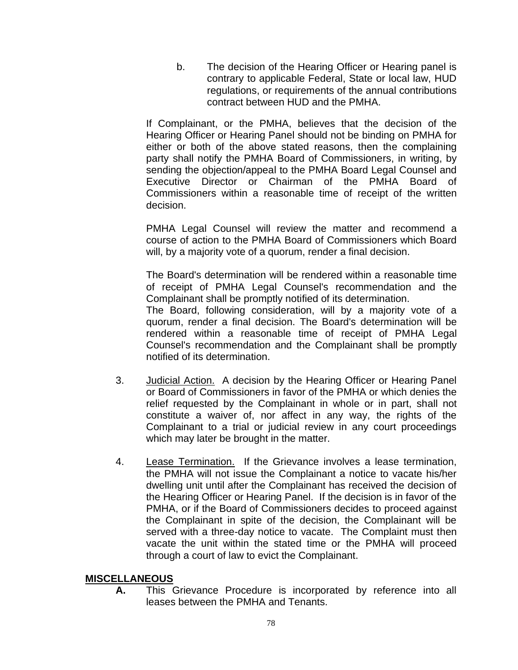b. The decision of the Hearing Officer or Hearing panel is contrary to applicable Federal, State or local law, HUD regulations, or requirements of the annual contributions contract between HUD and the PMHA.

If Complainant, or the PMHA, believes that the decision of the Hearing Officer or Hearing Panel should not be binding on PMHA for either or both of the above stated reasons, then the complaining party shall notify the PMHA Board of Commissioners, in writing, by sending the objection/appeal to the PMHA Board Legal Counsel and Executive Director or Chairman of the PMHA Board of Commissioners within a reasonable time of receipt of the written decision.

PMHA Legal Counsel will review the matter and recommend a course of action to the PMHA Board of Commissioners which Board will, by a majority vote of a quorum, render a final decision.

The Board's determination will be rendered within a reasonable time of receipt of PMHA Legal Counsel's recommendation and the Complainant shall be promptly notified of its determination.

The Board, following consideration, will by a majority vote of a quorum, render a final decision. The Board's determination will be rendered within a reasonable time of receipt of PMHA Legal Counsel's recommendation and the Complainant shall be promptly notified of its determination.

- 3. Judicial Action. A decision by the Hearing Officer or Hearing Panel or Board of Commissioners in favor of the PMHA or which denies the relief requested by the Complainant in whole or in part, shall not constitute a waiver of, nor affect in any way, the rights of the Complainant to a trial or judicial review in any court proceedings which may later be brought in the matter.
- 4. Lease Termination. If the Grievance involves a lease termination, the PMHA will not issue the Complainant a notice to vacate his/her dwelling unit until after the Complainant has received the decision of the Hearing Officer or Hearing Panel. If the decision is in favor of the PMHA, or if the Board of Commissioners decides to proceed against the Complainant in spite of the decision, the Complainant will be served with a three-day notice to vacate. The Complaint must then vacate the unit within the stated time or the PMHA will proceed through a court of law to evict the Complainant.

### **MISCELLANEOUS**

**A.** This Grievance Procedure is incorporated by reference into all leases between the PMHA and Tenants.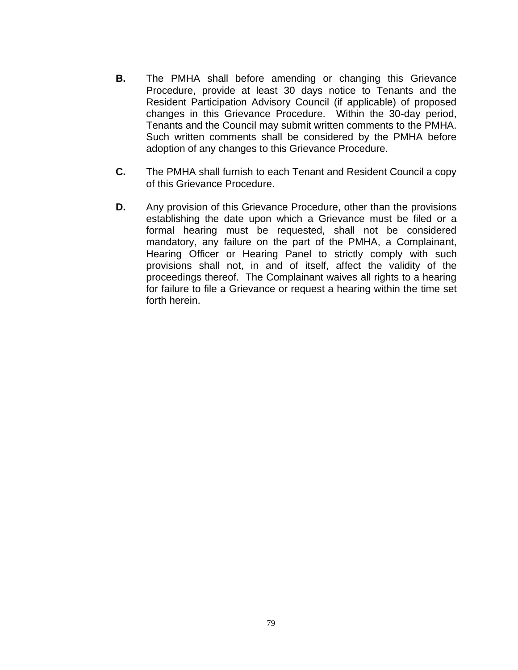- **B.** The PMHA shall before amending or changing this Grievance Procedure, provide at least 30 days notice to Tenants and the Resident Participation Advisory Council (if applicable) of proposed changes in this Grievance Procedure. Within the 30-day period, Tenants and the Council may submit written comments to the PMHA. Such written comments shall be considered by the PMHA before adoption of any changes to this Grievance Procedure.
- **C.** The PMHA shall furnish to each Tenant and Resident Council a copy of this Grievance Procedure.
- **D.** Any provision of this Grievance Procedure, other than the provisions establishing the date upon which a Grievance must be filed or a formal hearing must be requested, shall not be considered mandatory, any failure on the part of the PMHA, a Complainant, Hearing Officer or Hearing Panel to strictly comply with such provisions shall not, in and of itself, affect the validity of the proceedings thereof. The Complainant waives all rights to a hearing for failure to file a Grievance or request a hearing within the time set forth herein.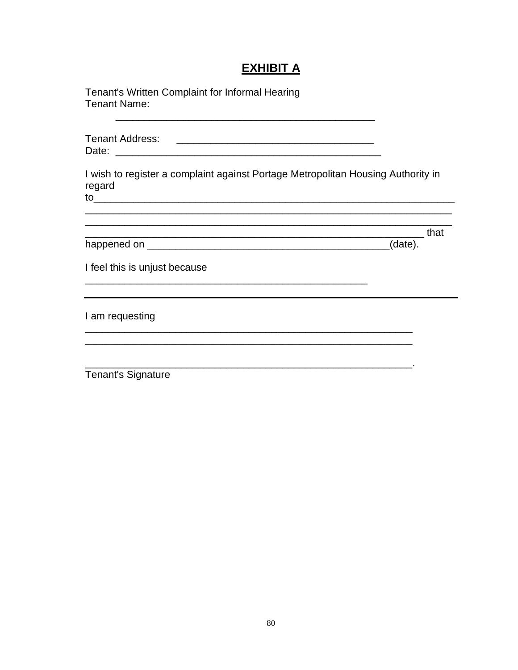# **EXHIBIT A**

Tenant's Written Complaint for Informal Hearing<br>Tenant Name:

| I wish to register a complaint against Portage Metropolitan Housing Authority in<br>regard |      |  |  |
|--------------------------------------------------------------------------------------------|------|--|--|
|                                                                                            | that |  |  |
|                                                                                            |      |  |  |
| I feel this is unjust because                                                              |      |  |  |
| I am requesting                                                                            |      |  |  |
|                                                                                            |      |  |  |
| <b>Tenant's Signature</b>                                                                  |      |  |  |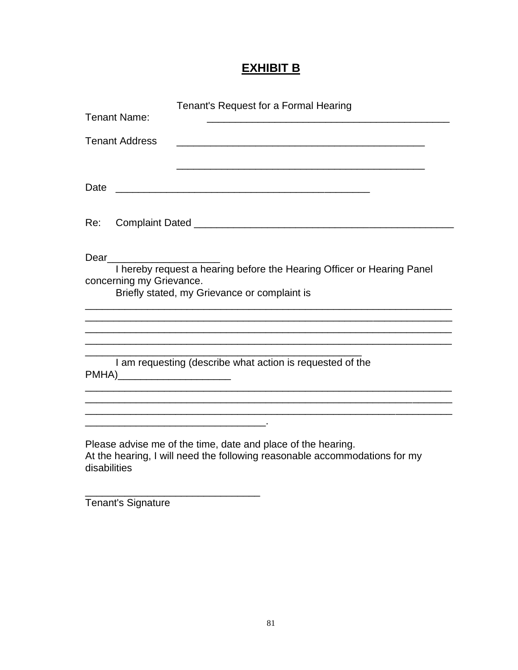# **EXHIBIT B**

| <b>Tenant Name:</b>   | Tenant's Request for a Formal Hearing                                                                                                                                                                                                                              |
|-----------------------|--------------------------------------------------------------------------------------------------------------------------------------------------------------------------------------------------------------------------------------------------------------------|
| <b>Tenant Address</b> |                                                                                                                                                                                                                                                                    |
|                       |                                                                                                                                                                                                                                                                    |
| Re:                   |                                                                                                                                                                                                                                                                    |
|                       | I hereby request a hearing before the Hearing Officer or Hearing Panel<br>concerning my Grievance.<br>Briefly stated, my Grievance or complaint is                                                                                                                 |
|                       | I am requesting (describe what action is requested of the                                                                                                                                                                                                          |
| disabilities          | <u> 1989 - Johann Stein, marwolaethau a bhann an t-Amhair ann an t-Amhair an t-Amhair an t-Amhair an t-Amhair an</u><br>Please advise me of the time, date and place of the hearing.<br>At the hearing, I will need the following reasonable accommodations for my |

Tenant's Signature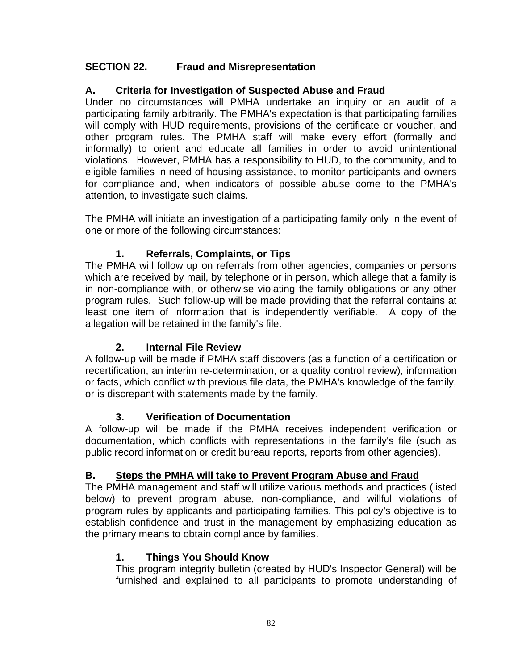# **SECTION 22. Fraud and Misrepresentation**

# **A. Criteria for Investigation of Suspected Abuse and Fraud**

Under no circumstances will PMHA undertake an inquiry or an audit of a participating family arbitrarily. The PMHA's expectation is that participating families will comply with HUD requirements, provisions of the certificate or voucher, and other program rules. The PMHA staff will make every effort (formally and informally) to orient and educate all families in order to avoid unintentional violations. However, PMHA has a responsibility to HUD, to the community, and to eligible families in need of housing assistance, to monitor participants and owners for compliance and, when indicators of possible abuse come to the PMHA's attention, to investigate such claims.

The PMHA will initiate an investigation of a participating family only in the event of one or more of the following circumstances:

## **1. Referrals, Complaints, or Tips**

The PMHA will follow up on referrals from other agencies, companies or persons which are received by mail, by telephone or in person, which allege that a family is in non-compliance with, or otherwise violating the family obligations or any other program rules. Such follow-up will be made providing that the referral contains at least one item of information that is independently verifiable. A copy of the allegation will be retained in the family's file.

## **2. Internal File Review**

A follow-up will be made if PMHA staff discovers (as a function of a certification or recertification, an interim re-determination, or a quality control review), information or facts, which conflict with previous file data, the PMHA's knowledge of the family, or is discrepant with statements made by the family.

## **3. Verification of Documentation**

A follow-up will be made if the PMHA receives independent verification or documentation, which conflicts with representations in the family's file (such as public record information or credit bureau reports, reports from other agencies).

## **B. Steps the PMHA will take to Prevent Program Abuse and Fraud**

The PMHA management and staff will utilize various methods and practices (listed below) to prevent program abuse, non-compliance, and willful violations of program rules by applicants and participating families. This policy's objective is to establish confidence and trust in the management by emphasizing education as the primary means to obtain compliance by families.

## **1. Things You Should Know**

This program integrity bulletin (created by HUD's Inspector General) will be furnished and explained to all participants to promote understanding of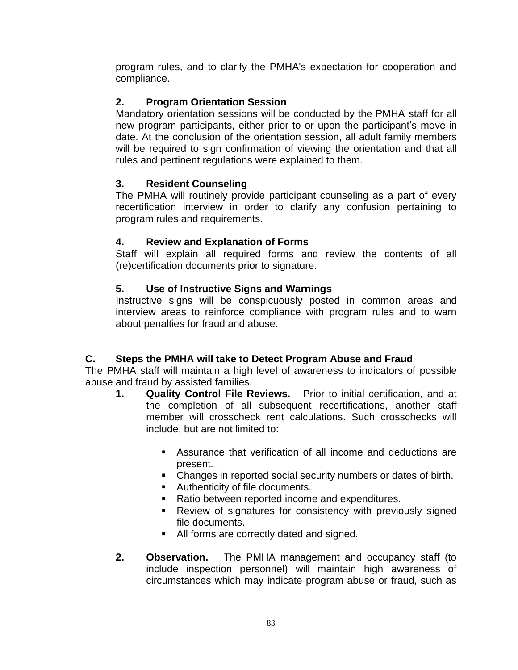program rules, and to clarify the PMHA's expectation for cooperation and compliance.

# **2. Program Orientation Session**

Mandatory orientation sessions will be conducted by the PMHA staff for all new program participants, either prior to or upon the participant's move-in date. At the conclusion of the orientation session, all adult family members will be required to sign confirmation of viewing the orientation and that all rules and pertinent regulations were explained to them.

# **3. Resident Counseling**

The PMHA will routinely provide participant counseling as a part of every recertification interview in order to clarify any confusion pertaining to program rules and requirements.

# **4. Review and Explanation of Forms**

Staff will explain all required forms and review the contents of all (re)certification documents prior to signature.

## **5. Use of Instructive Signs and Warnings**

Instructive signs will be conspicuously posted in common areas and interview areas to reinforce compliance with program rules and to warn about penalties for fraud and abuse.

## **C. Steps the PMHA will take to Detect Program Abuse and Fraud**

The PMHA staff will maintain a high level of awareness to indicators of possible abuse and fraud by assisted families.

- **1. Quality Control File Reviews.** Prior to initial certification, and at the completion of all subsequent recertifications, another staff member will crosscheck rent calculations. Such crosschecks will include, but are not limited to:
	- Assurance that verification of all income and deductions are present.
	- Changes in reported social security numbers or dates of birth.
	- Authenticity of file documents.
	- Ratio between reported income and expenditures.
	- Review of signatures for consistency with previously signed file documents.
	- All forms are correctly dated and signed.
- **2. Observation.** The PMHA management and occupancy staff (to include inspection personnel) will maintain high awareness of circumstances which may indicate program abuse or fraud, such as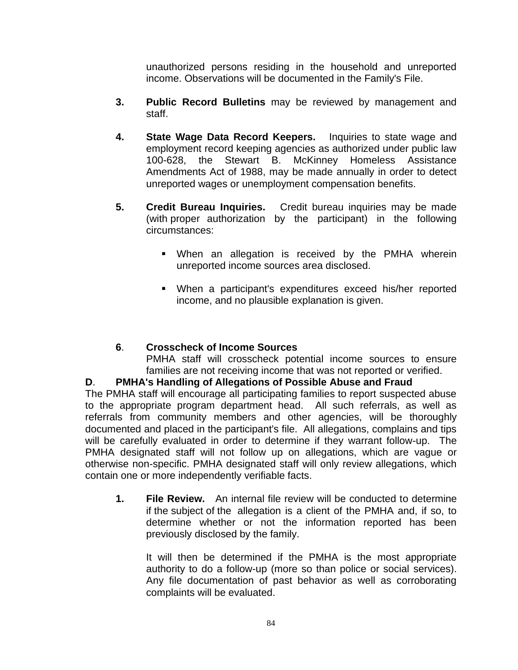unauthorized persons residing in the household and unreported income. Observations will be documented in the Family's File.

- **3. Public Record Bulletins** may be reviewed by management and staff.
- **4. State Wage Data Record Keepers.** Inquiries to state wage and employment record keeping agencies as authorized under public law 100-628, the Stewart B. McKinney Homeless Assistance Amendments Act of 1988, may be made annually in order to detect unreported wages or unemployment compensation benefits.
- **5. Credit Bureau Inquiries.** Credit bureau inquiries may be made (with proper authorization by the participant) in the following circumstances:
	- **E** When an allegation is received by the PMHA wherein unreported income sources area disclosed.
	- When a participant's expenditures exceed his/her reported income, and no plausible explanation is given.

## **6**. **Crosscheck of Income Sources**

PMHA staff will crosscheck potential income sources to ensure families are not receiving income that was not reported or verified.

## **D**. **PMHA's Handling of Allegations of Possible Abuse and Fraud**

The PMHA staff will encourage all participating families to report suspected abuse to the appropriate program department head. All such referrals, as well as referrals from community members and other agencies, will be thoroughly documented and placed in the participant's file. All allegations, complains and tips will be carefully evaluated in order to determine if they warrant follow-up. The PMHA designated staff will not follow up on allegations, which are vague or otherwise non-specific. PMHA designated staff will only review allegations, which contain one or more independently verifiable facts.

**1. File Review.** An internal file review will be conducted to determine if the subject of the allegation is a client of the PMHA and, if so, to determine whether or not the information reported has been previously disclosed by the family.

It will then be determined if the PMHA is the most appropriate authority to do a follow-up (more so than police or social services). Any file documentation of past behavior as well as corroborating complaints will be evaluated.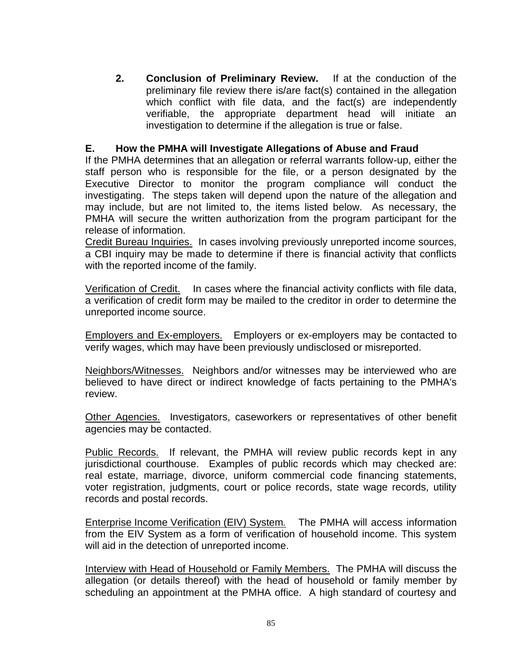**2. Conclusion of Preliminary Review.** If at the conduction of the preliminary file review there is/are fact(s) contained in the allegation which conflict with file data, and the fact(s) are independently verifiable, the appropriate department head will initiate an investigation to determine if the allegation is true or false.

## **E. How the PMHA will Investigate Allegations of Abuse and Fraud**

If the PMHA determines that an allegation or referral warrants follow-up, either the staff person who is responsible for the file, or a person designated by the Executive Director to monitor the program compliance will conduct the investigating. The steps taken will depend upon the nature of the allegation and may include, but are not limited to, the items listed below. As necessary, the PMHA will secure the written authorization from the program participant for the release of information.

Credit Bureau Inquiries. In cases involving previously unreported income sources, a CBI inquiry may be made to determine if there is financial activity that conflicts with the reported income of the family.

Verification of Credit. In cases where the financial activity conflicts with file data, a verification of credit form may be mailed to the creditor in order to determine the unreported income source.

Employers and Ex-employers. Employers or ex-employers may be contacted to verify wages, which may have been previously undisclosed or misreported.

Neighbors/Witnesses. Neighbors and/or witnesses may be interviewed who are believed to have direct or indirect knowledge of facts pertaining to the PMHA's review.

Other Agencies. Investigators, caseworkers or representatives of other benefit agencies may be contacted.

Public Records. If relevant, the PMHA will review public records kept in any jurisdictional courthouse. Examples of public records which may checked are: real estate, marriage, divorce, uniform commercial code financing statements, voter registration, judgments, court or police records, state wage records, utility records and postal records.

Enterprise Income Verification (EIV) System*.* The PMHA will access information from the EIV System as a form of verification of household income. This system will aid in the detection of unreported income.

Interview with Head of Household or Family Members. The PMHA will discuss the allegation (or details thereof) with the head of household or family member by scheduling an appointment at the PMHA office. A high standard of courtesy and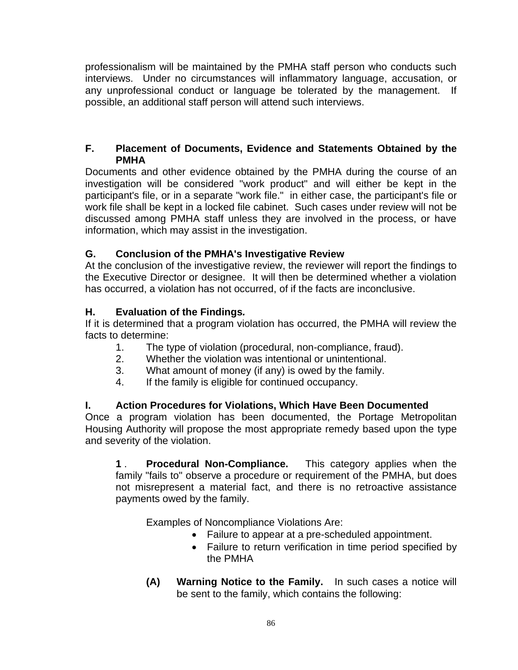professionalism will be maintained by the PMHA staff person who conducts such interviews. Under no circumstances will inflammatory language, accusation, or any unprofessional conduct or language be tolerated by the management. If possible, an additional staff person will attend such interviews.

## **F. Placement of Documents, Evidence and Statements Obtained by the PMHA**

Documents and other evidence obtained by the PMHA during the course of an investigation will be considered "work product" and will either be kept in the participant's file, or in a separate "work file." in either case, the participant's file or work file shall be kept in a locked file cabinet. Such cases under review will not be discussed among PMHA staff unless they are involved in the process, or have information, which may assist in the investigation.

## **G. Conclusion of the PMHA's Investigative Review**

At the conclusion of the investigative review, the reviewer will report the findings to the Executive Director or designee. It will then be determined whether a violation has occurred, a violation has not occurred, of if the facts are inconclusive.

# **H. Evaluation of the Findings***.*

If it is determined that a program violation has occurred, the PMHA will review the facts to determine:

- 1. The type of violation (procedural, non-compliance, fraud).
- 2. Whether the violation was intentional or unintentional.
- 3. What amount of money (if any) is owed by the family.
- 4. If the family is eligible for continued occupancy.

## **I. Action Procedures for Violations, Which Have Been Documented**

Once a program violation has been documented, the Portage Metropolitan Housing Authority will propose the most appropriate remedy based upon the type and severity of the violation.

**1** . **Procedural Non-Compliance.** This category applies when the family "fails to" observe a procedure or requirement of the PMHA, but does not misrepresent a material fact, and there is no retroactive assistance payments owed by the family.

Examples of Noncompliance Violations Are:

- Failure to appear at a pre-scheduled appointment.
- Failure to return verification in time period specified by the PMHA
- **(A) Warning Notice to the Family.** In such cases a notice will be sent to the family, which contains the following: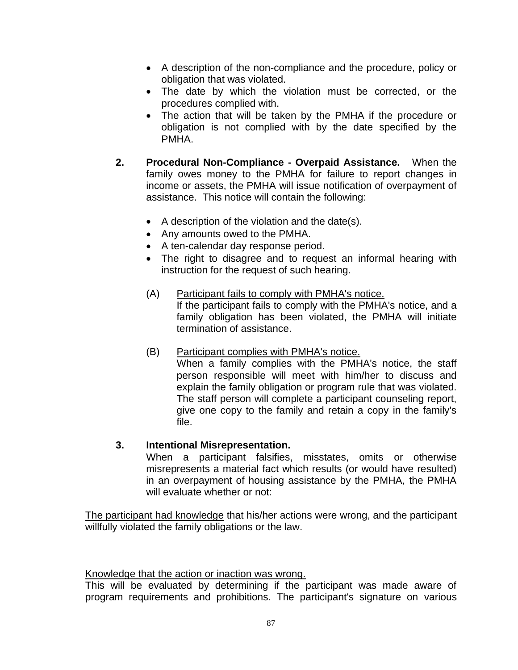- A description of the non-compliance and the procedure, policy or obligation that was violated.
- The date by which the violation must be corrected, or the procedures complied with.
- The action that will be taken by the PMHA if the procedure or obligation is not complied with by the date specified by the PMHA.
- **2. Procedural Non-Compliance - Overpaid Assistance.** When the family owes money to the PMHA for failure to report changes in income or assets, the PMHA will issue notification of overpayment of assistance. This notice will contain the following:
	- A description of the violation and the date(s).
	- Any amounts owed to the PMHA.
	- A ten-calendar day response period.
	- The right to disagree and to request an informal hearing with instruction for the request of such hearing.

### (A) Participant fails to comply with PMHA's notice. If the participant fails to comply with the PMHA's notice, and a family obligation has been violated, the PMHA will initiate termination of assistance.

(B) Participant complies with PMHA's notice.

When a family complies with the PMHA's notice, the staff person responsible will meet with him/her to discuss and explain the family obligation or program rule that was violated. The staff person will complete a participant counseling report, give one copy to the family and retain a copy in the family's file.

### **3. Intentional Misrepresentation.**

When a participant falsifies, misstates, omits or otherwise misrepresents a material fact which results (or would have resulted) in an overpayment of housing assistance by the PMHA, the PMHA will evaluate whether or not:

The participant had knowledge that his/her actions were wrong, and the participant willfully violated the family obligations or the law.

Knowledge that the action or inaction was wrong.

This will be evaluated by determining if the participant was made aware of program requirements and prohibitions. The participant's signature on various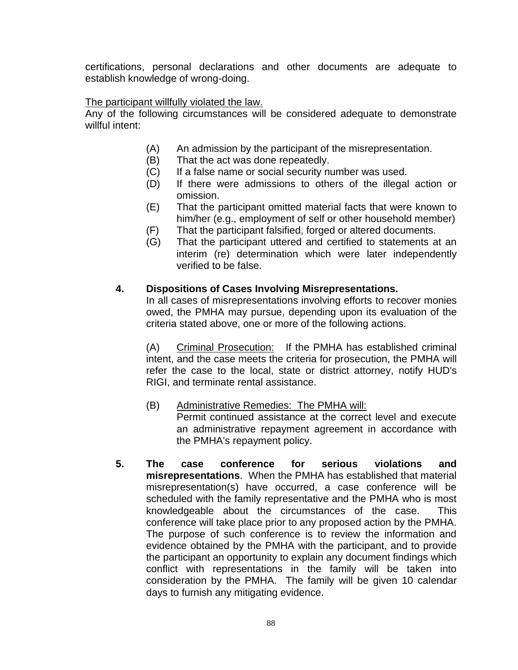certifications, personal declarations and other documents are adequate to establish knowledge of wrong-doing.

#### The participant willfully violated the law.

Any of the following circumstances will be considered adequate to demonstrate willful intent:

- (A) An admission by the participant of the misrepresentation.
- (B) That the act was done repeatedly.
- (C) If a false name or social security number was used.
- (D) If there were admissions to others of the illegal action or omission.
- (E) That the participant omitted material facts that were known to him/her (e.g., employment of self or other household member)
- (F) That the participant falsified, forged or altered documents.
- (G) That the participant uttered and certified to statements at an interim (re) determination which were later independently verified to be false.

## **4. Dispositions of Cases Involving Misrepresentations.**

In all cases of misrepresentations involving efforts to recover monies owed, the PMHA may pursue, depending upon its evaluation of the criteria stated above, one or more of the following actions.

(A) Criminal Prosecution: If the PMHA has established criminal intent, and the case meets the criteria for prosecution, the PMHA will refer the case to the local, state or district attorney, notify HUD's RIGI, and terminate rental assistance.

# (B) Administrative Remedies: The PMHA will:

Permit continued assistance at the correct level and execute an administrative repayment agreement in accordance with the PMHA's repayment policy.

**5. The case conference for serious violations and misrepresentations**. When the PMHA has established that material misrepresentation(s) have occurred, a case conference will be scheduled with the family representative and the PMHA who is most knowledgeable about the circumstances of the case. This conference will take place prior to any proposed action by the PMHA. The purpose of such conference is to review the information and evidence obtained by the PMHA with the participant, and to provide the participant an opportunity to explain any document findings which conflict with representations in the family will be taken into consideration by the PMHA. The family will be given 10 calendar days to furnish any mitigating evidence.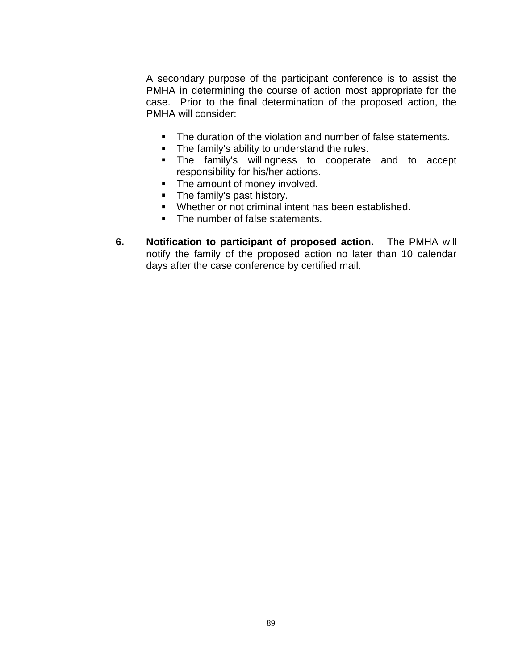A secondary purpose of the participant conference is to assist the PMHA in determining the course of action most appropriate for the case. Prior to the final determination of the proposed action, the PMHA will consider:

- The duration of the violation and number of false statements.
- The family's ability to understand the rules.
- The family's willingness to cooperate and to accept responsibility for his/her actions.
- The amount of money involved.
- The family's past history.
- Whether or not criminal intent has been established.
- The number of false statements.
- **6. Notification to participant of proposed action.** The PMHA will notify the family of the proposed action no later than 10 calendar days after the case conference by certified mail.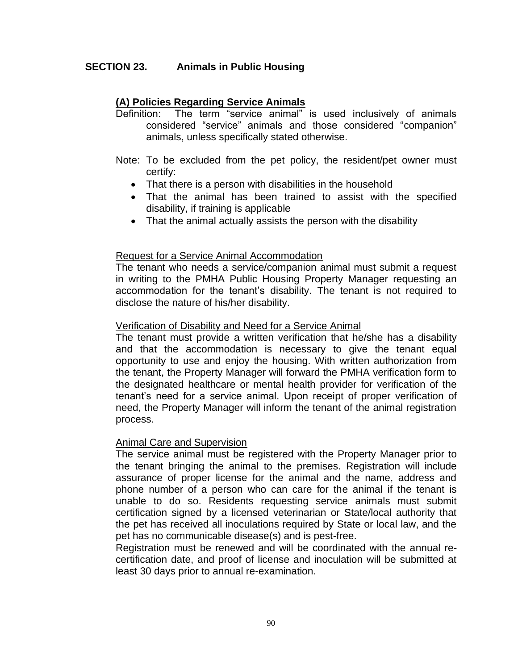## **SECTION 23. Animals in Public Housing**

### **(A) Policies Regarding Service Animals**

Definition: The term "service animal" is used inclusively of animals considered "service" animals and those considered "companion" animals, unless specifically stated otherwise.

#### Note: To be excluded from the pet policy, the resident/pet owner must certify:

- That there is a person with disabilities in the household
- That the animal has been trained to assist with the specified disability, if training is applicable
- That the animal actually assists the person with the disability

#### Request for a Service Animal Accommodation

The tenant who needs a service/companion animal must submit a request in writing to the PMHA Public Housing Property Manager requesting an accommodation for the tenant's disability. The tenant is not required to disclose the nature of his/her disability.

#### Verification of Disability and Need for a Service Animal

The tenant must provide a written verification that he/she has a disability and that the accommodation is necessary to give the tenant equal opportunity to use and enjoy the housing. With written authorization from the tenant, the Property Manager will forward the PMHA verification form to the designated healthcare or mental health provider for verification of the tenant's need for a service animal. Upon receipt of proper verification of need, the Property Manager will inform the tenant of the animal registration process.

#### Animal Care and Supervision

The service animal must be registered with the Property Manager prior to the tenant bringing the animal to the premises. Registration will include assurance of proper license for the animal and the name, address and phone number of a person who can care for the animal if the tenant is unable to do so. Residents requesting service animals must submit certification signed by a licensed veterinarian or State/local authority that the pet has received all inoculations required by State or local law, and the pet has no communicable disease(s) and is pest-free.

Registration must be renewed and will be coordinated with the annual recertification date, and proof of license and inoculation will be submitted at least 30 days prior to annual re-examination.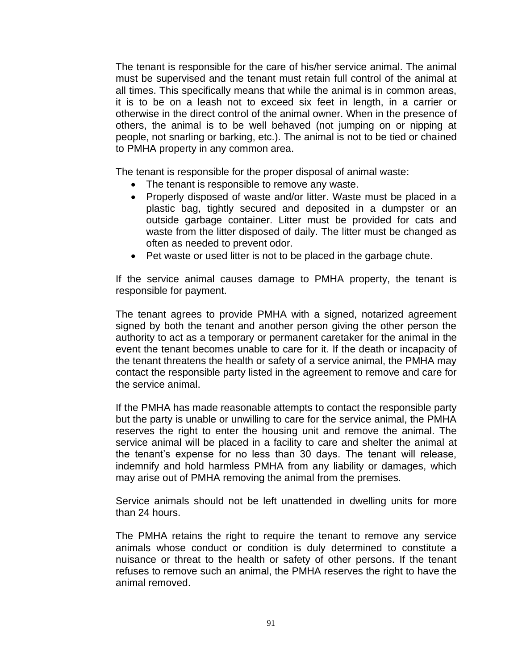The tenant is responsible for the care of his/her service animal. The animal must be supervised and the tenant must retain full control of the animal at all times. This specifically means that while the animal is in common areas, it is to be on a leash not to exceed six feet in length, in a carrier or otherwise in the direct control of the animal owner. When in the presence of others, the animal is to be well behaved (not jumping on or nipping at people, not snarling or barking, etc.). The animal is not to be tied or chained to PMHA property in any common area.

The tenant is responsible for the proper disposal of animal waste:

- The tenant is responsible to remove any waste.
- Properly disposed of waste and/or litter. Waste must be placed in a plastic bag, tightly secured and deposited in a dumpster or an outside garbage container. Litter must be provided for cats and waste from the litter disposed of daily. The litter must be changed as often as needed to prevent odor.
- Pet waste or used litter is not to be placed in the garbage chute.

If the service animal causes damage to PMHA property, the tenant is responsible for payment.

The tenant agrees to provide PMHA with a signed, notarized agreement signed by both the tenant and another person giving the other person the authority to act as a temporary or permanent caretaker for the animal in the event the tenant becomes unable to care for it. If the death or incapacity of the tenant threatens the health or safety of a service animal, the PMHA may contact the responsible party listed in the agreement to remove and care for the service animal.

If the PMHA has made reasonable attempts to contact the responsible party but the party is unable or unwilling to care for the service animal, the PMHA reserves the right to enter the housing unit and remove the animal. The service animal will be placed in a facility to care and shelter the animal at the tenant's expense for no less than 30 days. The tenant will release, indemnify and hold harmless PMHA from any liability or damages, which may arise out of PMHA removing the animal from the premises.

Service animals should not be left unattended in dwelling units for more than 24 hours.

The PMHA retains the right to require the tenant to remove any service animals whose conduct or condition is duly determined to constitute a nuisance or threat to the health or safety of other persons. If the tenant refuses to remove such an animal, the PMHA reserves the right to have the animal removed.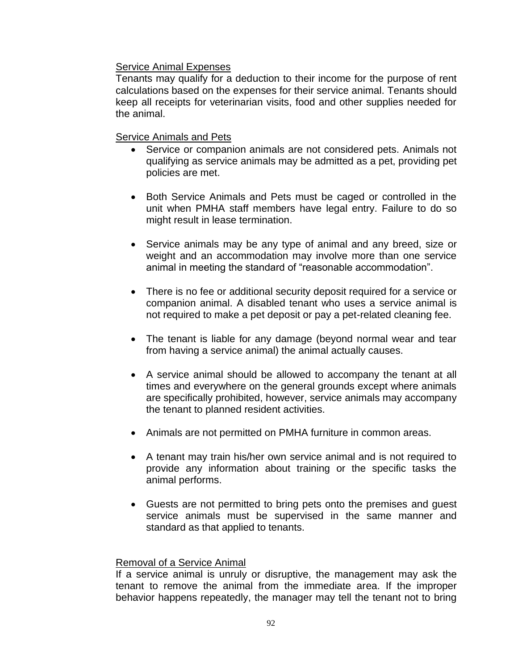## Service Animal Expenses

Tenants may qualify for a deduction to their income for the purpose of rent calculations based on the expenses for their service animal. Tenants should keep all receipts for veterinarian visits, food and other supplies needed for the animal.

## Service Animals and Pets

- Service or companion animals are not considered pets. Animals not qualifying as service animals may be admitted as a pet, providing pet policies are met.
- Both Service Animals and Pets must be caged or controlled in the unit when PMHA staff members have legal entry. Failure to do so might result in lease termination.
- Service animals may be any type of animal and any breed, size or weight and an accommodation may involve more than one service animal in meeting the standard of "reasonable accommodation".
- There is no fee or additional security deposit required for a service or companion animal. A disabled tenant who uses a service animal is not required to make a pet deposit or pay a pet-related cleaning fee.
- The tenant is liable for any damage (beyond normal wear and tear from having a service animal) the animal actually causes.
- A service animal should be allowed to accompany the tenant at all times and everywhere on the general grounds except where animals are specifically prohibited, however, service animals may accompany the tenant to planned resident activities.
- Animals are not permitted on PMHA furniture in common areas.
- A tenant may train his/her own service animal and is not required to provide any information about training or the specific tasks the animal performs.
- Guests are not permitted to bring pets onto the premises and guest service animals must be supervised in the same manner and standard as that applied to tenants.

### Removal of a Service Animal

If a service animal is unruly or disruptive, the management may ask the tenant to remove the animal from the immediate area. If the improper behavior happens repeatedly, the manager may tell the tenant not to bring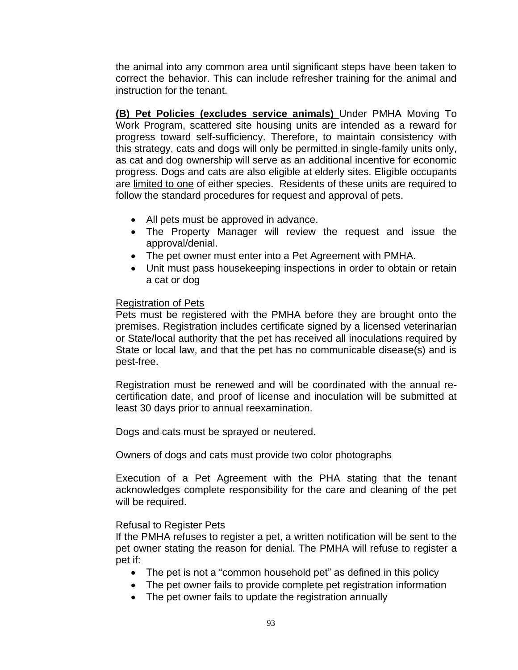the animal into any common area until significant steps have been taken to correct the behavior. This can include refresher training for the animal and instruction for the tenant.

**(B) Pet Policies (excludes service animals)** Under PMHA Moving To Work Program, scattered site housing units are intended as a reward for progress toward self-sufficiency. Therefore, to maintain consistency with this strategy, cats and dogs will only be permitted in single-family units only, as cat and dog ownership will serve as an additional incentive for economic progress. Dogs and cats are also eligible at elderly sites. Eligible occupants are limited to one of either species. Residents of these units are required to follow the standard procedures for request and approval of pets.

- All pets must be approved in advance.
- The Property Manager will review the request and issue the approval/denial.
- The pet owner must enter into a Pet Agreement with PMHA.
- Unit must pass housekeeping inspections in order to obtain or retain a cat or dog

### Registration of Pets

Pets must be registered with the PMHA before they are brought onto the premises. Registration includes certificate signed by a licensed veterinarian or State/local authority that the pet has received all inoculations required by State or local law, and that the pet has no communicable disease(s) and is pest-free.

Registration must be renewed and will be coordinated with the annual recertification date, and proof of license and inoculation will be submitted at least 30 days prior to annual reexamination.

Dogs and cats must be sprayed or neutered.

Owners of dogs and cats must provide two color photographs

Execution of a Pet Agreement with the PHA stating that the tenant acknowledges complete responsibility for the care and cleaning of the pet will be required.

### Refusal to Register Pets

If the PMHA refuses to register a pet, a written notification will be sent to the pet owner stating the reason for denial. The PMHA will refuse to register a pet if:

- The pet is not a "common household pet" as defined in this policy
- The pet owner fails to provide complete pet registration information
- The pet owner fails to update the registration annually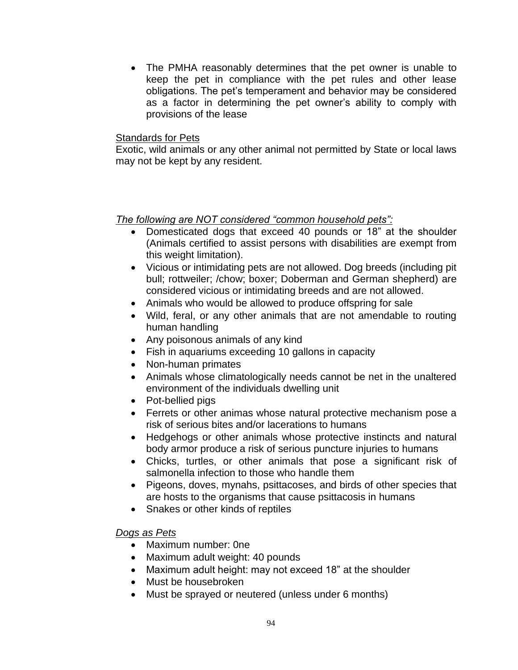• The PMHA reasonably determines that the pet owner is unable to keep the pet in compliance with the pet rules and other lease obligations. The pet's temperament and behavior may be considered as a factor in determining the pet owner's ability to comply with provisions of the lease

#### **Standards for Pets**

Exotic, wild animals or any other animal not permitted by State or local laws may not be kept by any resident.

## *The following are NOT considered "common household pets":*

- Domesticated dogs that exceed 40 pounds or 18" at the shoulder (Animals certified to assist persons with disabilities are exempt from this weight limitation).
- Vicious or intimidating pets are not allowed. Dog breeds (including pit bull; rottweiler; /chow; boxer; Doberman and German shepherd) are considered vicious or intimidating breeds and are not allowed.
- Animals who would be allowed to produce offspring for sale
- Wild, feral, or any other animals that are not amendable to routing human handling
- Any poisonous animals of any kind
- Fish in aquariums exceeding 10 gallons in capacity
- Non-human primates
- Animals whose climatologically needs cannot be net in the unaltered environment of the individuals dwelling unit
- Pot-bellied pigs
- Ferrets or other animas whose natural protective mechanism pose a risk of serious bites and/or lacerations to humans
- Hedgehogs or other animals whose protective instincts and natural body armor produce a risk of serious puncture injuries to humans
- Chicks, turtles, or other animals that pose a significant risk of salmonella infection to those who handle them
- Pigeons, doves, mynahs, psittacoses, and birds of other species that are hosts to the organisms that cause psittacosis in humans
- Snakes or other kinds of reptiles

### *Dogs as Pets*

- Maximum number: 0ne
- Maximum adult weight: 40 pounds
- Maximum adult height: may not exceed 18" at the shoulder
- Must be housebroken
- Must be sprayed or neutered (unless under 6 months)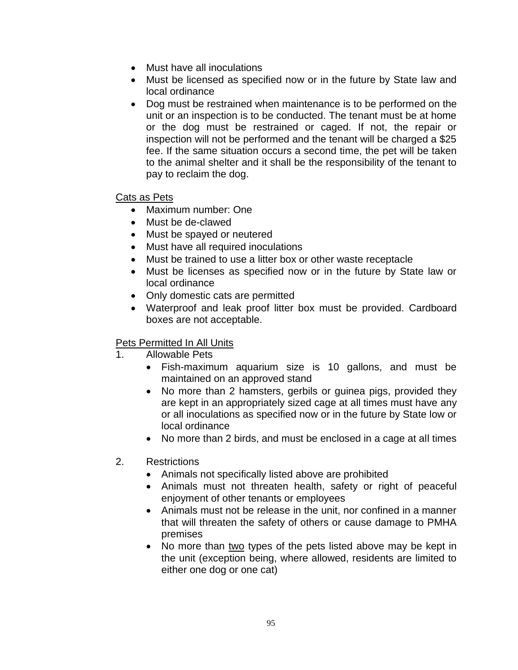- Must have all inoculations
- Must be licensed as specified now or in the future by State law and local ordinance
- Dog must be restrained when maintenance is to be performed on the unit or an inspection is to be conducted. The tenant must be at home or the dog must be restrained or caged. If not, the repair or inspection will not be performed and the tenant will be charged a \$25 fee. If the same situation occurs a second time, the pet will be taken to the animal shelter and it shall be the responsibility of the tenant to pay to reclaim the dog.

### Cats as Pets

- Maximum number: One
- Must be de-clawed
- Must be spayed or neutered
- Must have all required inoculations
- Must be trained to use a litter box or other waste receptacle
- Must be licenses as specified now or in the future by State law or local ordinance
- Only domestic cats are permitted
- Waterproof and leak proof litter box must be provided. Cardboard boxes are not acceptable.

### Pets Permitted In All Units

- 1. Allowable Pets
	- Fish-maximum aquarium size is 10 gallons, and must be maintained on an approved stand
	- No more than 2 hamsters, gerbils or guinea pigs, provided they are kept in an appropriately sized cage at all times must have any or all inoculations as specified now or in the future by State low or local ordinance
	- No more than 2 birds, and must be enclosed in a cage at all times
- 2. Restrictions
	- Animals not specifically listed above are prohibited
	- Animals must not threaten health, safety or right of peaceful enjoyment of other tenants or employees
	- Animals must not be release in the unit, nor confined in a manner that will threaten the safety of others or cause damage to PMHA premises
	- No more than two types of the pets listed above may be kept in the unit (exception being, where allowed, residents are limited to either one dog or one cat)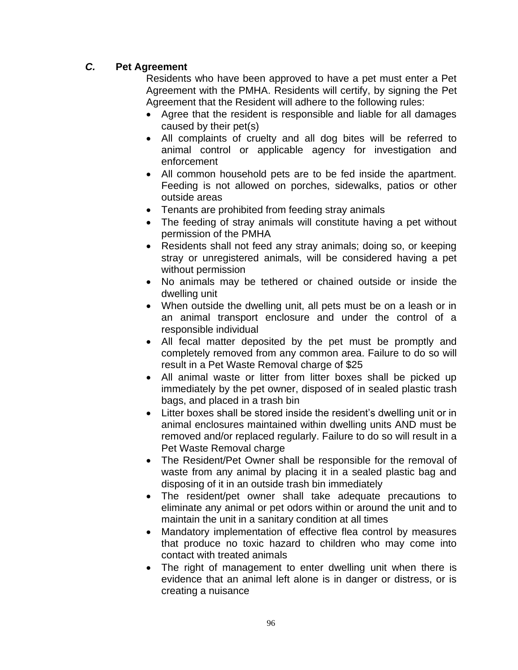## *C.* **Pet Agreement**

Residents who have been approved to have a pet must enter a Pet Agreement with the PMHA. Residents will certify, by signing the Pet Agreement that the Resident will adhere to the following rules:

- Agree that the resident is responsible and liable for all damages caused by their pet(s)
- All complaints of cruelty and all dog bites will be referred to animal control or applicable agency for investigation and enforcement
- All common household pets are to be fed inside the apartment. Feeding is not allowed on porches, sidewalks, patios or other outside areas
- Tenants are prohibited from feeding stray animals
- The feeding of stray animals will constitute having a pet without permission of the PMHA
- Residents shall not feed any stray animals; doing so, or keeping stray or unregistered animals, will be considered having a pet without permission
- No animals may be tethered or chained outside or inside the dwelling unit
- When outside the dwelling unit, all pets must be on a leash or in an animal transport enclosure and under the control of a responsible individual
- All fecal matter deposited by the pet must be promptly and completely removed from any common area. Failure to do so will result in a Pet Waste Removal charge of \$25
- All animal waste or litter from litter boxes shall be picked up immediately by the pet owner, disposed of in sealed plastic trash bags, and placed in a trash bin
- Litter boxes shall be stored inside the resident's dwelling unit or in animal enclosures maintained within dwelling units AND must be removed and/or replaced regularly. Failure to do so will result in a Pet Waste Removal charge
- The Resident/Pet Owner shall be responsible for the removal of waste from any animal by placing it in a sealed plastic bag and disposing of it in an outside trash bin immediately
- The resident/pet owner shall take adequate precautions to eliminate any animal or pet odors within or around the unit and to maintain the unit in a sanitary condition at all times
- Mandatory implementation of effective flea control by measures that produce no toxic hazard to children who may come into contact with treated animals
- The right of management to enter dwelling unit when there is evidence that an animal left alone is in danger or distress, or is creating a nuisance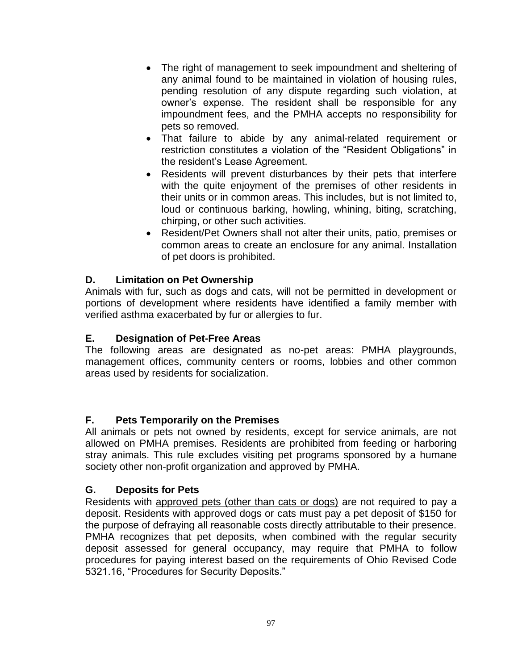- The right of management to seek impoundment and sheltering of any animal found to be maintained in violation of housing rules, pending resolution of any dispute regarding such violation, at owner's expense. The resident shall be responsible for any impoundment fees, and the PMHA accepts no responsibility for pets so removed.
- That failure to abide by any animal-related requirement or restriction constitutes a violation of the "Resident Obligations" in the resident's Lease Agreement.
- Residents will prevent disturbances by their pets that interfere with the quite enjoyment of the premises of other residents in their units or in common areas. This includes, but is not limited to, loud or continuous barking, howling, whining, biting, scratching, chirping, or other such activities.
- Resident/Pet Owners shall not alter their units, patio, premises or common areas to create an enclosure for any animal. Installation of pet doors is prohibited.

## **D. Limitation on Pet Ownership**

Animals with fur, such as dogs and cats, will not be permitted in development or portions of development where residents have identified a family member with verified asthma exacerbated by fur or allergies to fur.

## **E. Designation of Pet-Free Areas**

The following areas are designated as no-pet areas: PMHA playgrounds, management offices, community centers or rooms, lobbies and other common areas used by residents for socialization.

### **F. Pets Temporarily on the Premises**

All animals or pets not owned by residents, except for service animals, are not allowed on PMHA premises. Residents are prohibited from feeding or harboring stray animals. This rule excludes visiting pet programs sponsored by a humane society other non-profit organization and approved by PMHA.

### **G. Deposits for Pets**

Residents with approved pets (other than cats or dogs) are not required to pay a deposit. Residents with approved dogs or cats must pay a pet deposit of \$150 for the purpose of defraying all reasonable costs directly attributable to their presence. PMHA recognizes that pet deposits, when combined with the regular security deposit assessed for general occupancy, may require that PMHA to follow procedures for paying interest based on the requirements of Ohio Revised Code 5321.16, "Procedures for Security Deposits."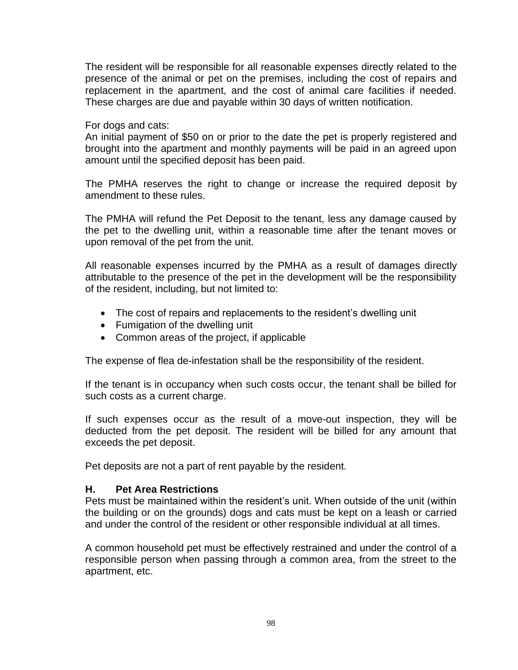The resident will be responsible for all reasonable expenses directly related to the presence of the animal or pet on the premises, including the cost of repairs and replacement in the apartment, and the cost of animal care facilities if needed. These charges are due and payable within 30 days of written notification.

#### For dogs and cats:

An initial payment of \$50 on or prior to the date the pet is properly registered and brought into the apartment and monthly payments will be paid in an agreed upon amount until the specified deposit has been paid.

The PMHA reserves the right to change or increase the required deposit by amendment to these rules.

The PMHA will refund the Pet Deposit to the tenant, less any damage caused by the pet to the dwelling unit, within a reasonable time after the tenant moves or upon removal of the pet from the unit.

All reasonable expenses incurred by the PMHA as a result of damages directly attributable to the presence of the pet in the development will be the responsibility of the resident, including, but not limited to:

- The cost of repairs and replacements to the resident's dwelling unit
- Fumigation of the dwelling unit
- Common areas of the project, if applicable

The expense of flea de-infestation shall be the responsibility of the resident.

If the tenant is in occupancy when such costs occur, the tenant shall be billed for such costs as a current charge.

If such expenses occur as the result of a move-out inspection, they will be deducted from the pet deposit. The resident will be billed for any amount that exceeds the pet deposit.

Pet deposits are not a part of rent payable by the resident.

#### **H. Pet Area Restrictions**

Pets must be maintained within the resident's unit. When outside of the unit (within the building or on the grounds) dogs and cats must be kept on a leash or carried and under the control of the resident or other responsible individual at all times.

A common household pet must be effectively restrained and under the control of a responsible person when passing through a common area, from the street to the apartment, etc.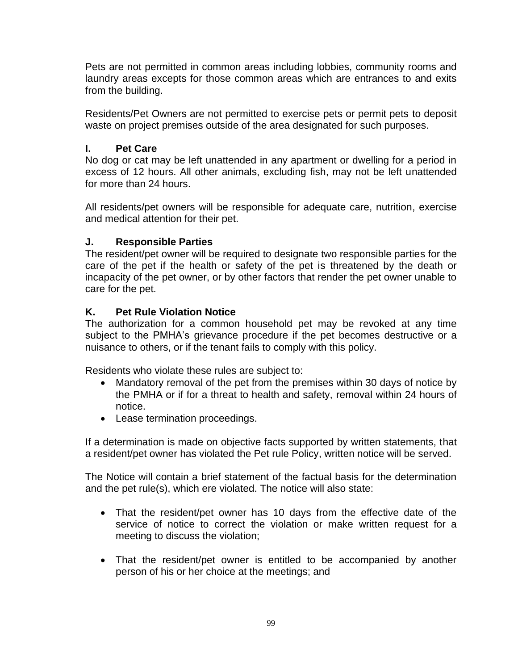Pets are not permitted in common areas including lobbies, community rooms and laundry areas excepts for those common areas which are entrances to and exits from the building.

Residents/Pet Owners are not permitted to exercise pets or permit pets to deposit waste on project premises outside of the area designated for such purposes.

## **I. Pet Care**

No dog or cat may be left unattended in any apartment or dwelling for a period in excess of 12 hours. All other animals, excluding fish, may not be left unattended for more than 24 hours.

All residents/pet owners will be responsible for adequate care, nutrition, exercise and medical attention for their pet.

## **J. Responsible Parties**

The resident/pet owner will be required to designate two responsible parties for the care of the pet if the health or safety of the pet is threatened by the death or incapacity of the pet owner, or by other factors that render the pet owner unable to care for the pet.

## **K. Pet Rule Violation Notice**

The authorization for a common household pet may be revoked at any time subject to the PMHA's grievance procedure if the pet becomes destructive or a nuisance to others, or if the tenant fails to comply with this policy.

Residents who violate these rules are subject to:

- Mandatory removal of the pet from the premises within 30 days of notice by the PMHA or if for a threat to health and safety, removal within 24 hours of notice.
- Lease termination proceedings.

If a determination is made on objective facts supported by written statements, that a resident/pet owner has violated the Pet rule Policy, written notice will be served.

The Notice will contain a brief statement of the factual basis for the determination and the pet rule(s), which ere violated. The notice will also state:

- That the resident/pet owner has 10 days from the effective date of the service of notice to correct the violation or make written request for a meeting to discuss the violation;
- That the resident/pet owner is entitled to be accompanied by another person of his or her choice at the meetings; and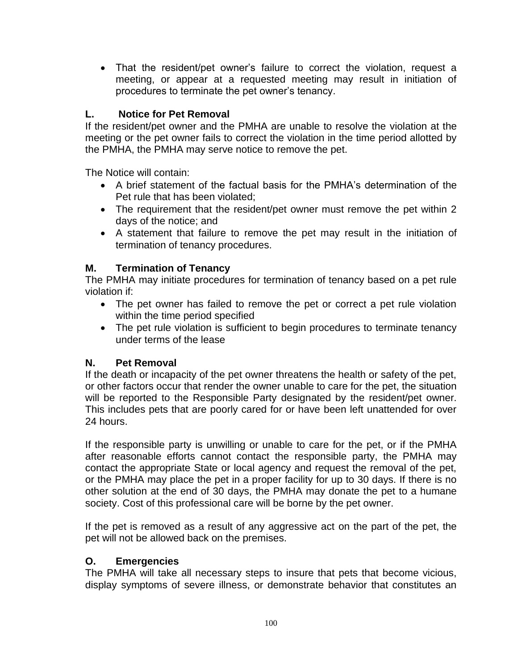• That the resident/pet owner's failure to correct the violation, request a meeting, or appear at a requested meeting may result in initiation of procedures to terminate the pet owner's tenancy.

# **L. Notice for Pet Removal**

If the resident/pet owner and the PMHA are unable to resolve the violation at the meeting or the pet owner fails to correct the violation in the time period allotted by the PMHA, the PMHA may serve notice to remove the pet.

The Notice will contain:

- A brief statement of the factual basis for the PMHA's determination of the Pet rule that has been violated;
- The requirement that the resident/pet owner must remove the pet within 2 days of the notice; and
- A statement that failure to remove the pet may result in the initiation of termination of tenancy procedures.

## **M. Termination of Tenancy**

The PMHA may initiate procedures for termination of tenancy based on a pet rule violation if:

- The pet owner has failed to remove the pet or correct a pet rule violation within the time period specified
- The pet rule violation is sufficient to begin procedures to terminate tenancy under terms of the lease

## **N. Pet Removal**

If the death or incapacity of the pet owner threatens the health or safety of the pet, or other factors occur that render the owner unable to care for the pet, the situation will be reported to the Responsible Party designated by the resident/pet owner. This includes pets that are poorly cared for or have been left unattended for over 24 hours.

If the responsible party is unwilling or unable to care for the pet, or if the PMHA after reasonable efforts cannot contact the responsible party, the PMHA may contact the appropriate State or local agency and request the removal of the pet, or the PMHA may place the pet in a proper facility for up to 30 days. If there is no other solution at the end of 30 days, the PMHA may donate the pet to a humane society. Cost of this professional care will be borne by the pet owner.

If the pet is removed as a result of any aggressive act on the part of the pet, the pet will not be allowed back on the premises.

### **O. Emergencies**

The PMHA will take all necessary steps to insure that pets that become vicious, display symptoms of severe illness, or demonstrate behavior that constitutes an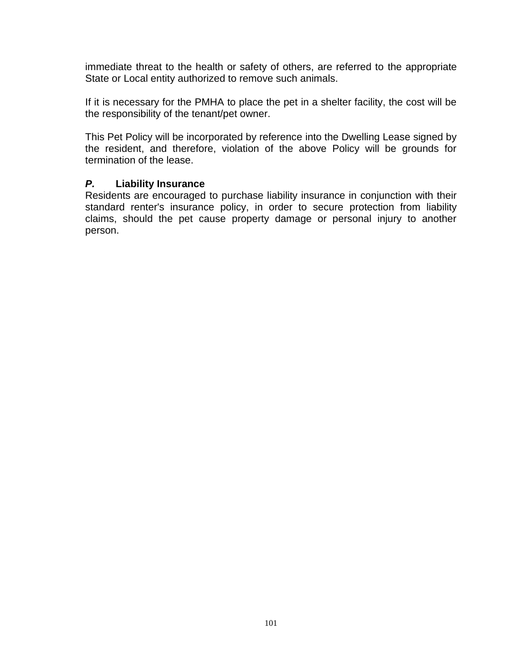immediate threat to the health or safety of others, are referred to the appropriate State or Local entity authorized to remove such animals.

If it is necessary for the PMHA to place the pet in a shelter facility, the cost will be the responsibility of the tenant/pet owner.

This Pet Policy will be incorporated by reference into the Dwelling Lease signed by the resident, and therefore, violation of the above Policy will be grounds for termination of the lease.

### *P.* **Liability Insurance**

Residents are encouraged to purchase liability insurance in conjunction with their standard renter's insurance policy, in order to secure protection from liability claims, should the pet cause property damage or personal injury to another person.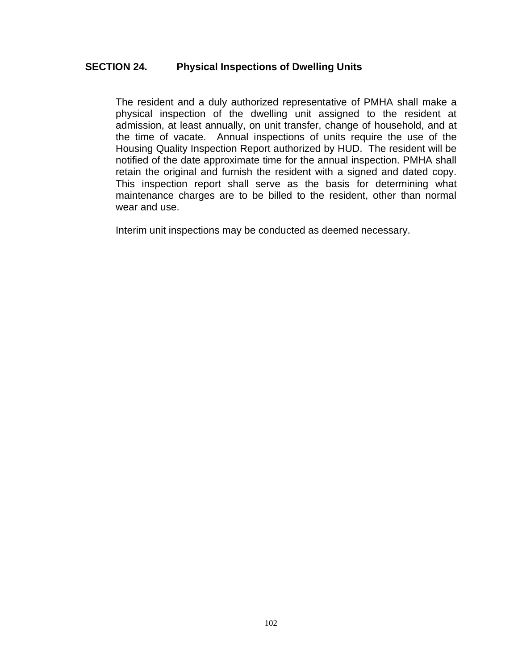#### **SECTION 24. Physical Inspections of Dwelling Units**

The resident and a duly authorized representative of PMHA shall make a physical inspection of the dwelling unit assigned to the resident at admission, at least annually, on unit transfer, change of household, and at the time of vacate. Annual inspections of units require the use of the Housing Quality Inspection Report authorized by HUD. The resident will be notified of the date approximate time for the annual inspection. PMHA shall retain the original and furnish the resident with a signed and dated copy. This inspection report shall serve as the basis for determining what maintenance charges are to be billed to the resident, other than normal wear and use.

Interim unit inspections may be conducted as deemed necessary.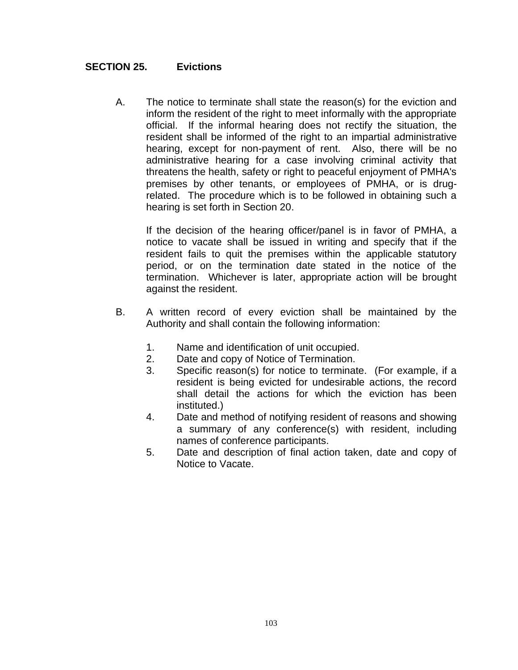### **SECTION 25. Evictions**

A. The notice to terminate shall state the reason(s) for the eviction and inform the resident of the right to meet informally with the appropriate official. If the informal hearing does not rectify the situation, the resident shall be informed of the right to an impartial administrative hearing, except for non-payment of rent. Also, there will be no administrative hearing for a case involving criminal activity that threatens the health, safety or right to peaceful enjoyment of PMHA's premises by other tenants, or employees of PMHA, or is drugrelated. The procedure which is to be followed in obtaining such a hearing is set forth in Section 20.

If the decision of the hearing officer/panel is in favor of PMHA, a notice to vacate shall be issued in writing and specify that if the resident fails to quit the premises within the applicable statutory period, or on the termination date stated in the notice of the termination. Whichever is later, appropriate action will be brought against the resident.

- B. A written record of every eviction shall be maintained by the Authority and shall contain the following information:
	- 1. Name and identification of unit occupied.
	- 2. Date and copy of Notice of Termination.
	- 3. Specific reason(s) for notice to terminate. (For example, if a resident is being evicted for undesirable actions, the record shall detail the actions for which the eviction has been instituted.)
	- 4. Date and method of notifying resident of reasons and showing a summary of any conference(s) with resident, including names of conference participants.
	- 5. Date and description of final action taken, date and copy of Notice to Vacate.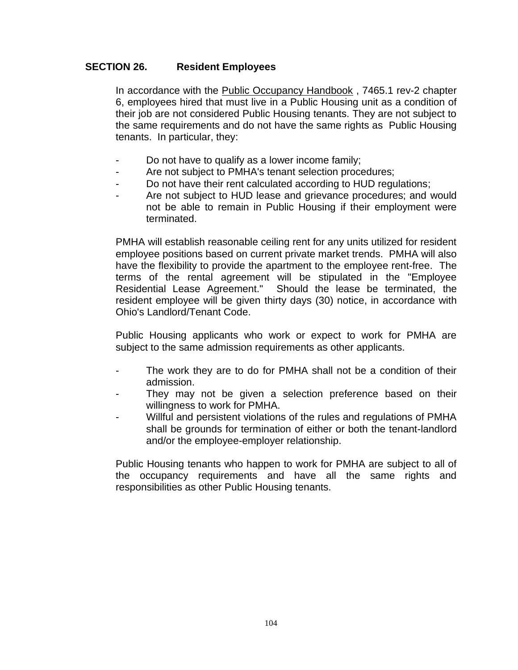### **SECTION 26. Resident Employees**

In accordance with the Public Occupancy Handbook , 7465.1 rev-2 chapter 6, employees hired that must live in a Public Housing unit as a condition of their job are not considered Public Housing tenants. They are not subject to the same requirements and do not have the same rights as Public Housing tenants. In particular, they:

- Do not have to qualify as a lower income family;
- Are not subject to PMHA's tenant selection procedures;
- Do not have their rent calculated according to HUD regulations;
- Are not subject to HUD lease and grievance procedures; and would not be able to remain in Public Housing if their employment were terminated.

PMHA will establish reasonable ceiling rent for any units utilized for resident employee positions based on current private market trends. PMHA will also have the flexibility to provide the apartment to the employee rent-free. The terms of the rental agreement will be stipulated in the "Employee Residential Lease Agreement." Should the lease be terminated, the resident employee will be given thirty days (30) notice, in accordance with Ohio's Landlord/Tenant Code.

Public Housing applicants who work or expect to work for PMHA are subject to the same admission requirements as other applicants.

- The work they are to do for PMHA shall not be a condition of their admission.
- They may not be given a selection preference based on their willingness to work for PMHA.
- Willful and persistent violations of the rules and regulations of PMHA shall be grounds for termination of either or both the tenant-landlord and/or the employee-employer relationship.

Public Housing tenants who happen to work for PMHA are subject to all of the occupancy requirements and have all the same rights and responsibilities as other Public Housing tenants.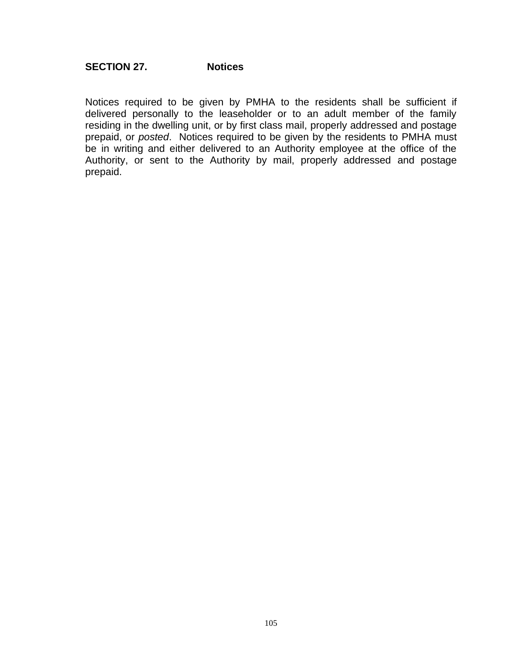## **SECTION 27. Notices**

Notices required to be given by PMHA to the residents shall be sufficient if delivered personally to the leaseholder or to an adult member of the family residing in the dwelling unit, or by first class mail, properly addressed and postage prepaid, or *posted*. Notices required to be given by the residents to PMHA must be in writing and either delivered to an Authority employee at the office of the Authority, or sent to the Authority by mail, properly addressed and postage prepaid.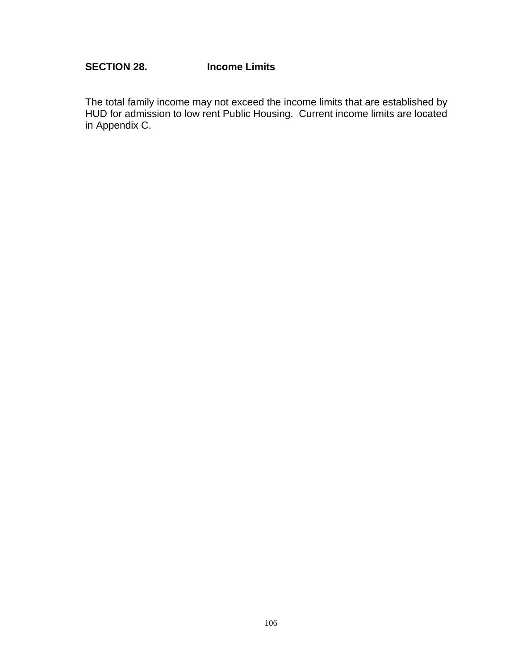# **SECTION 28. Income Limits**

The total family income may not exceed the income limits that are established by HUD for admission to low rent Public Housing. Current income limits are located in Appendix C.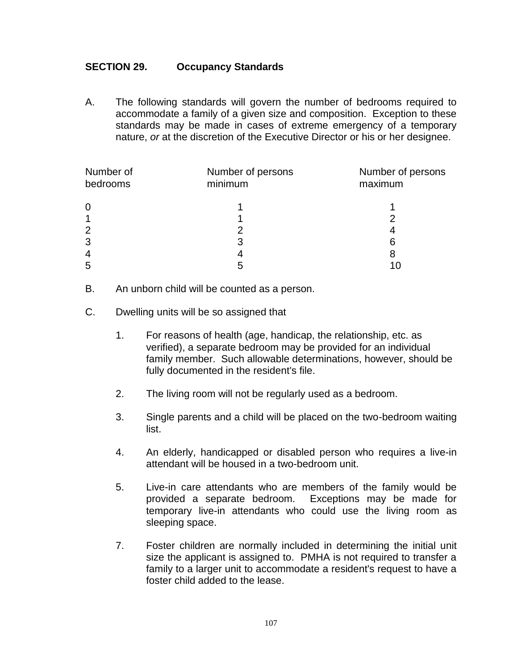### **SECTION 29. Occupancy Standards**

A. The following standards will govern the number of bedrooms required to accommodate a family of a given size and composition. Exception to these standards may be made in cases of extreme emergency of a temporary nature, *or* at the discretion of the Executive Director or his or her designee.

| Number of<br>bedrooms | Number of persons<br>minimum | Number of persons<br>maximum |
|-----------------------|------------------------------|------------------------------|
| 0                     |                              |                              |
| 1                     |                              |                              |
| $\overline{2}$        |                              |                              |
| 3                     |                              |                              |
| $\overline{4}$        |                              |                              |
| 5                     | n                            |                              |

- B. An unborn child will be counted as a person.
- C. Dwelling units will be so assigned that
	- 1. For reasons of health (age, handicap, the relationship, etc. as verified), a separate bedroom may be provided for an individual family member. Such allowable determinations, however, should be fully documented in the resident's file.
	- 2. The living room will not be regularly used as a bedroom.
	- 3. Single parents and a child will be placed on the two-bedroom waiting list.
	- 4. An elderly, handicapped or disabled person who requires a live-in attendant will be housed in a two-bedroom unit.
	- 5. Live-in care attendants who are members of the family would be provided a separate bedroom. Exceptions may be made for temporary live-in attendants who could use the living room as sleeping space.
	- 7. Foster children are normally included in determining the initial unit size the applicant is assigned to. PMHA is not required to transfer a family to a larger unit to accommodate a resident's request to have a foster child added to the lease.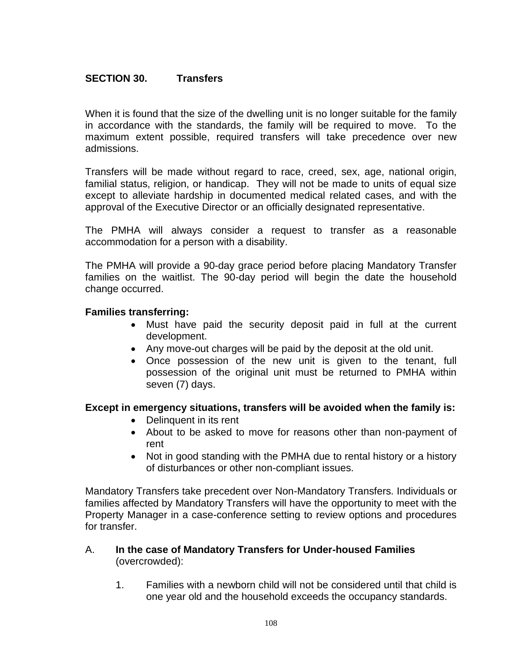### **SECTION 30. Transfers**

When it is found that the size of the dwelling unit is no longer suitable for the family in accordance with the standards, the family will be required to move. To the maximum extent possible, required transfers will take precedence over new admissions.

Transfers will be made without regard to race, creed, sex, age, national origin, familial status, religion, or handicap. They will not be made to units of equal size except to alleviate hardship in documented medical related cases, and with the approval of the Executive Director or an officially designated representative.

The PMHA will always consider a request to transfer as a reasonable accommodation for a person with a disability.

The PMHA will provide a 90-day grace period before placing Mandatory Transfer families on the waitlist. The 90-day period will begin the date the household change occurred.

#### **Families transferring:**

- Must have paid the security deposit paid in full at the current development.
- Any move-out charges will be paid by the deposit at the old unit.
- Once possession of the new unit is given to the tenant, full possession of the original unit must be returned to PMHA within seven (7) days.

### **Except in emergency situations, transfers will be avoided when the family is:**

- Delinquent in its rent
- About to be asked to move for reasons other than non-payment of rent
- Not in good standing with the PMHA due to rental history or a history of disturbances or other non-compliant issues.

Mandatory Transfers take precedent over Non-Mandatory Transfers. Individuals or families affected by Mandatory Transfers will have the opportunity to meet with the Property Manager in a case-conference setting to review options and procedures for transfer.

#### A. **In the case of Mandatory Transfers for Under-housed Families** (overcrowded):

1. Families with a newborn child will not be considered until that child is one year old and the household exceeds the occupancy standards.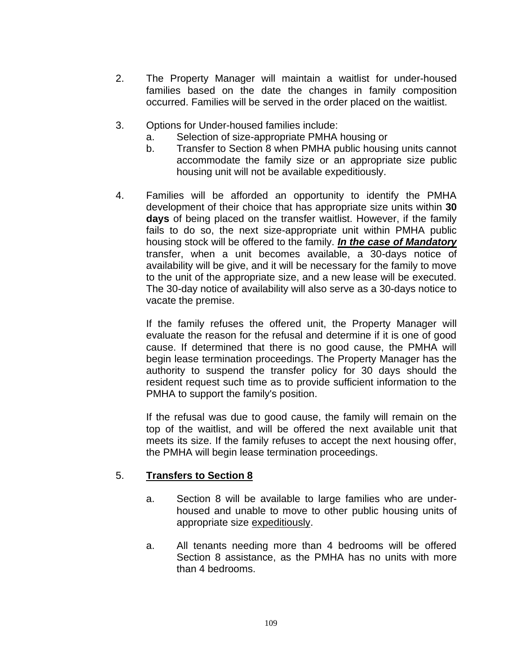- 2. The Property Manager will maintain a waitlist for under-housed families based on the date the changes in family composition occurred. Families will be served in the order placed on the waitlist.
- 3. Options for Under-housed families include:
	- a. Selection of size-appropriate PMHA housing or
	- b. Transfer to Section 8 when PMHA public housing units cannot accommodate the family size or an appropriate size public housing unit will not be available expeditiously.
- 4. Families will be afforded an opportunity to identify the PMHA development of their choice that has appropriate size units within **30 days** of being placed on the transfer waitlist. However, if the family fails to do so, the next size-appropriate unit within PMHA public housing stock will be offered to the family. *In the case of Mandatory* transfer, when a unit becomes available, a 30-days notice of availability will be give, and it will be necessary for the family to move to the unit of the appropriate size, and a new lease will be executed. The 30-day notice of availability will also serve as a 30-days notice to vacate the premise.

If the family refuses the offered unit, the Property Manager will evaluate the reason for the refusal and determine if it is one of good cause. If determined that there is no good cause, the PMHA will begin lease termination proceedings. The Property Manager has the authority to suspend the transfer policy for 30 days should the resident request such time as to provide sufficient information to the PMHA to support the family's position.

If the refusal was due to good cause, the family will remain on the top of the waitlist, and will be offered the next available unit that meets its size. If the family refuses to accept the next housing offer, the PMHA will begin lease termination proceedings.

# 5. **Transfers to Section 8**

- a. Section 8 will be available to large families who are underhoused and unable to move to other public housing units of appropriate size expeditiously.
- a. All tenants needing more than 4 bedrooms will be offered Section 8 assistance, as the PMHA has no units with more than 4 bedrooms.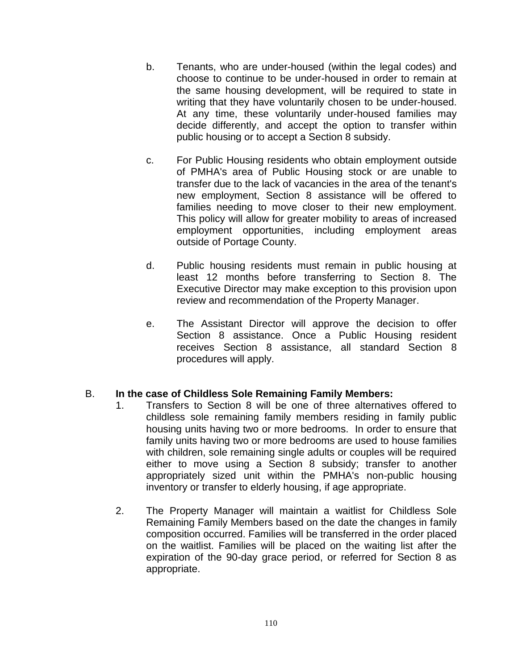- b. Tenants, who are under-housed (within the legal codes) and choose to continue to be under-housed in order to remain at the same housing development, will be required to state in writing that they have voluntarily chosen to be under-housed. At any time, these voluntarily under-housed families may decide differently, and accept the option to transfer within public housing or to accept a Section 8 subsidy.
- c. For Public Housing residents who obtain employment outside of PMHA's area of Public Housing stock or are unable to transfer due to the lack of vacancies in the area of the tenant's new employment, Section 8 assistance will be offered to families needing to move closer to their new employment. This policy will allow for greater mobility to areas of increased employment opportunities, including employment areas outside of Portage County.
- d. Public housing residents must remain in public housing at least 12 months before transferring to Section 8. The Executive Director may make exception to this provision upon review and recommendation of the Property Manager.
- e. The Assistant Director will approve the decision to offer Section 8 assistance. Once a Public Housing resident receives Section 8 assistance, all standard Section 8 procedures will apply.

# B. **In the case of Childless Sole Remaining Family Members:**

- 1. Transfers to Section 8 will be one of three alternatives offered to childless sole remaining family members residing in family public housing units having two or more bedrooms. In order to ensure that family units having two or more bedrooms are used to house families with children, sole remaining single adults or couples will be required either to move using a Section 8 subsidy; transfer to another appropriately sized unit within the PMHA's non-public housing inventory or transfer to elderly housing, if age appropriate.
- 2. The Property Manager will maintain a waitlist for Childless Sole Remaining Family Members based on the date the changes in family composition occurred. Families will be transferred in the order placed on the waitlist. Families will be placed on the waiting list after the expiration of the 90-day grace period, or referred for Section 8 as appropriate.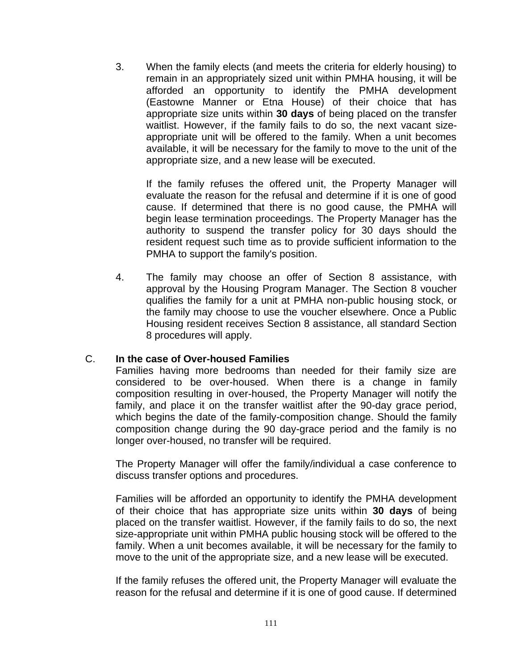3. When the family elects (and meets the criteria for elderly housing) to remain in an appropriately sized unit within PMHA housing, it will be afforded an opportunity to identify the PMHA development (Eastowne Manner or Etna House) of their choice that has appropriate size units within **30 days** of being placed on the transfer waitlist. However, if the family fails to do so, the next vacant sizeappropriate unit will be offered to the family. When a unit becomes available, it will be necessary for the family to move to the unit of the appropriate size, and a new lease will be executed.

If the family refuses the offered unit, the Property Manager will evaluate the reason for the refusal and determine if it is one of good cause. If determined that there is no good cause, the PMHA will begin lease termination proceedings. The Property Manager has the authority to suspend the transfer policy for 30 days should the resident request such time as to provide sufficient information to the PMHA to support the family's position.

4. The family may choose an offer of Section 8 assistance, with approval by the Housing Program Manager. The Section 8 voucher qualifies the family for a unit at PMHA non-public housing stock, or the family may choose to use the voucher elsewhere. Once a Public Housing resident receives Section 8 assistance, all standard Section 8 procedures will apply.

# C. **In the case of Over-housed Families**

Families having more bedrooms than needed for their family size are considered to be over-housed. When there is a change in family composition resulting in over-housed, the Property Manager will notify the family, and place it on the transfer waitlist after the 90-day grace period, which begins the date of the family-composition change. Should the family composition change during the 90 day-grace period and the family is no longer over-housed, no transfer will be required.

The Property Manager will offer the family/individual a case conference to discuss transfer options and procedures.

Families will be afforded an opportunity to identify the PMHA development of their choice that has appropriate size units within **30 days** of being placed on the transfer waitlist. However, if the family fails to do so, the next size-appropriate unit within PMHA public housing stock will be offered to the family. When a unit becomes available, it will be necessary for the family to move to the unit of the appropriate size, and a new lease will be executed.

If the family refuses the offered unit, the Property Manager will evaluate the reason for the refusal and determine if it is one of good cause. If determined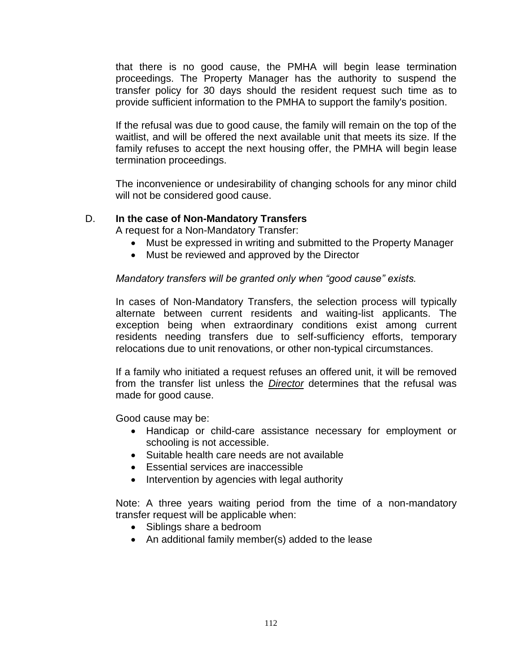that there is no good cause, the PMHA will begin lease termination proceedings. The Property Manager has the authority to suspend the transfer policy for 30 days should the resident request such time as to provide sufficient information to the PMHA to support the family's position.

If the refusal was due to good cause, the family will remain on the top of the waitlist, and will be offered the next available unit that meets its size. If the family refuses to accept the next housing offer, the PMHA will begin lease termination proceedings.

The inconvenience or undesirability of changing schools for any minor child will not be considered good cause.

# D. **In the case of Non-Mandatory Transfers**

A request for a Non-Mandatory Transfer:

- Must be expressed in writing and submitted to the Property Manager
- Must be reviewed and approved by the Director

# *Mandatory transfers will be granted only when "good cause" exists.*

In cases of Non-Mandatory Transfers, the selection process will typically alternate between current residents and waiting-list applicants. The exception being when extraordinary conditions exist among current residents needing transfers due to self-sufficiency efforts, temporary relocations due to unit renovations, or other non-typical circumstances.

If a family who initiated a request refuses an offered unit, it will be removed from the transfer list unless the *Director* determines that the refusal was made for good cause.

Good cause may be:

- Handicap or child-care assistance necessary for employment or schooling is not accessible.
- Suitable health care needs are not available
- Essential services are inaccessible
- Intervention by agencies with legal authority

Note: A three years waiting period from the time of a non-mandatory transfer request will be applicable when:

- Siblings share a bedroom
- An additional family member(s) added to the lease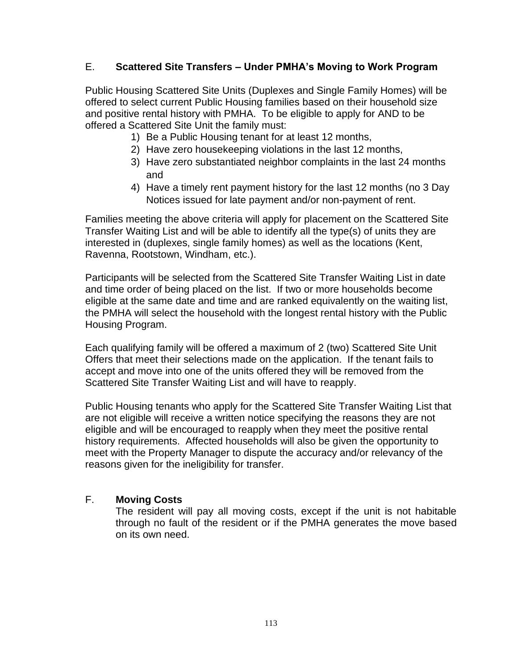# E. **Scattered Site Transfers – Under PMHA's Moving to Work Program**

Public Housing Scattered Site Units (Duplexes and Single Family Homes) will be offered to select current Public Housing families based on their household size and positive rental history with PMHA. To be eligible to apply for AND to be offered a Scattered Site Unit the family must:

- 1) Be a Public Housing tenant for at least 12 months,
- 2) Have zero housekeeping violations in the last 12 months,
- 3) Have zero substantiated neighbor complaints in the last 24 months and
- 4) Have a timely rent payment history for the last 12 months (no 3 Day Notices issued for late payment and/or non-payment of rent.

Families meeting the above criteria will apply for placement on the Scattered Site Transfer Waiting List and will be able to identify all the type(s) of units they are interested in (duplexes, single family homes) as well as the locations (Kent, Ravenna, Rootstown, Windham, etc.).

Participants will be selected from the Scattered Site Transfer Waiting List in date and time order of being placed on the list. If two or more households become eligible at the same date and time and are ranked equivalently on the waiting list, the PMHA will select the household with the longest rental history with the Public Housing Program.

Each qualifying family will be offered a maximum of 2 (two) Scattered Site Unit Offers that meet their selections made on the application. If the tenant fails to accept and move into one of the units offered they will be removed from the Scattered Site Transfer Waiting List and will have to reapply.

Public Housing tenants who apply for the Scattered Site Transfer Waiting List that are not eligible will receive a written notice specifying the reasons they are not eligible and will be encouraged to reapply when they meet the positive rental history requirements. Affected households will also be given the opportunity to meet with the Property Manager to dispute the accuracy and/or relevancy of the reasons given for the ineligibility for transfer.

# F. **Moving Costs**

The resident will pay all moving costs, except if the unit is not habitable through no fault of the resident or if the PMHA generates the move based on its own need.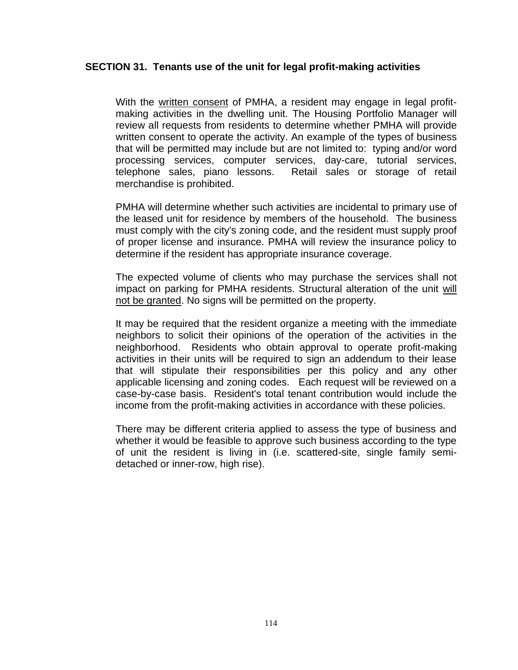#### **SECTION 31. Tenants use of the unit for legal profit-making activities**

With the written consent of PMHA, a resident may engage in legal profitmaking activities in the dwelling unit. The Housing Portfolio Manager will review all requests from residents to determine whether PMHA will provide written consent to operate the activity. An example of the types of business that will be permitted may include but are not limited to: typing and/or word processing services, computer services, day-care, tutorial services, telephone sales, piano lessons. Retail sales or storage of retail merchandise is prohibited.

PMHA will determine whether such activities are incidental to primary use of the leased unit for residence by members of the household. The business must comply with the city's zoning code, and the resident must supply proof of proper license and insurance. PMHA will review the insurance policy to determine if the resident has appropriate insurance coverage.

The expected volume of clients who may purchase the services shall not impact on parking for PMHA residents. Structural alteration of the unit will not be granted. No signs will be permitted on the property.

It may be required that the resident organize a meeting with the immediate neighbors to solicit their opinions of the operation of the activities in the neighborhood. Residents who obtain approval to operate profit-making activities in their units will be required to sign an addendum to their lease that will stipulate their responsibilities per this policy and any other applicable licensing and zoning codes. Each request will be reviewed on a case-by-case basis. Resident's total tenant contribution would include the income from the profit-making activities in accordance with these policies.

There may be different criteria applied to assess the type of business and whether it would be feasible to approve such business according to the type of unit the resident is living in (i.e. scattered-site, single family semidetached or inner-row, high rise).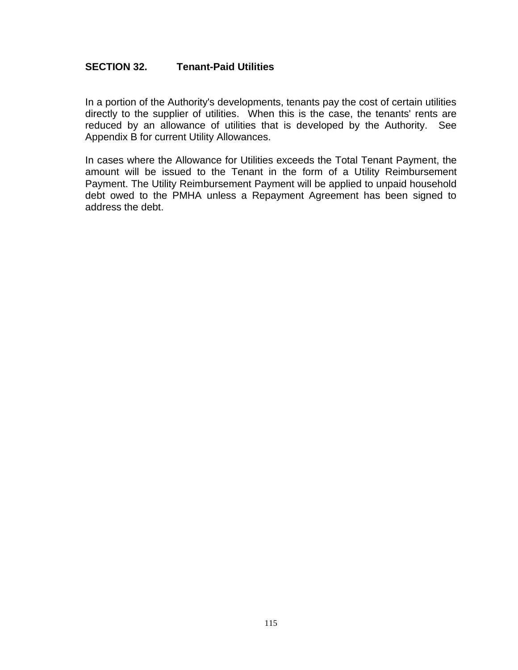# **SECTION 32. Tenant-Paid Utilities**

In a portion of the Authority's developments, tenants pay the cost of certain utilities directly to the supplier of utilities. When this is the case, the tenants' rents are reduced by an allowance of utilities that is developed by the Authority. See Appendix B for current Utility Allowances.

In cases where the Allowance for Utilities exceeds the Total Tenant Payment, the amount will be issued to the Tenant in the form of a Utility Reimbursement Payment. The Utility Reimbursement Payment will be applied to unpaid household debt owed to the PMHA unless a Repayment Agreement has been signed to address the debt.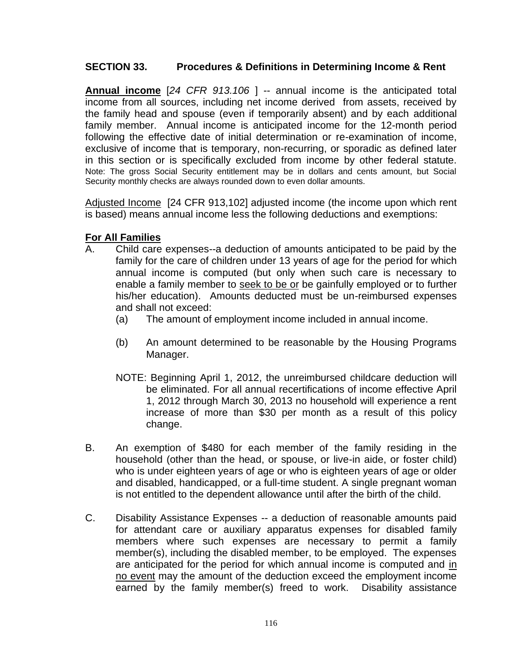# **SECTION 33. Procedures & Definitions in Determining Income & Rent**

**Annual income** [*24 CFR 913.106* ] -- annual income is the anticipated total income from all sources, including net income derived from assets, received by the family head and spouse (even if temporarily absent) and by each additional family member. Annual income is anticipated income for the 12-month period following the effective date of initial determination or re-examination of income, exclusive of income that is temporary, non-recurring, or sporadic as defined later in this section or is specifically excluded from income by other federal statute. Note: The gross Social Security entitlement may be in dollars and cents amount, but Social Security monthly checks are always rounded down to even dollar amounts.

Adjusted Income [24 CFR 913,102] adjusted income (the income upon which rent is based) means annual income less the following deductions and exemptions:

#### **For All Families**

- A. Child care expenses--a deduction of amounts anticipated to be paid by the family for the care of children under 13 years of age for the period for which annual income is computed (but only when such care is necessary to enable a family member to seek to be or be gainfully employed or to further his/her education). Amounts deducted must be un-reimbursed expenses and shall not exceed:
	- (a) The amount of employment income included in annual income.
	- (b) An amount determined to be reasonable by the Housing Programs Manager.
	- NOTE: Beginning April 1, 2012, the unreimbursed childcare deduction will be eliminated. For all annual recertifications of income effective April 1, 2012 through March 30, 2013 no household will experience a rent increase of more than \$30 per month as a result of this policy change.
- B. An exemption of \$480 for each member of the family residing in the household (other than the head, or spouse, or live-in aide, or foster child) who is under eighteen years of age or who is eighteen years of age or older and disabled, handicapped, or a full-time student. A single pregnant woman is not entitled to the dependent allowance until after the birth of the child.
- C. Disability Assistance Expenses -- a deduction of reasonable amounts paid for attendant care or auxiliary apparatus expenses for disabled family members where such expenses are necessary to permit a family member(s), including the disabled member, to be employed. The expenses are anticipated for the period for which annual income is computed and in no event may the amount of the deduction exceed the employment income earned by the family member(s) freed to work. Disability assistance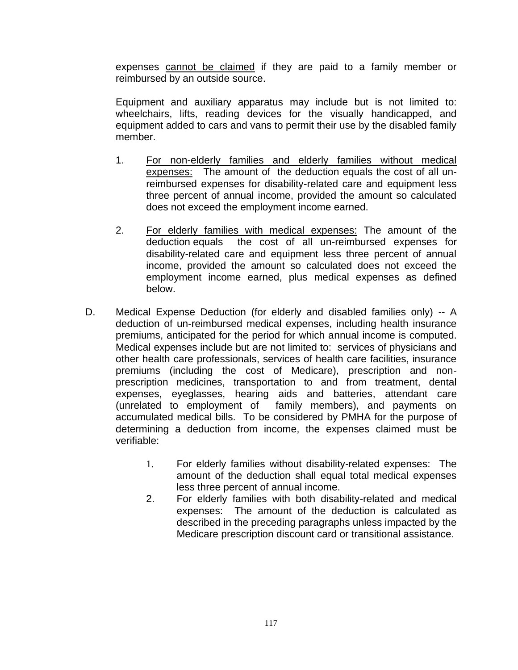expenses cannot be claimed if they are paid to a family member or reimbursed by an outside source.

Equipment and auxiliary apparatus may include but is not limited to: wheelchairs, lifts, reading devices for the visually handicapped, and equipment added to cars and vans to permit their use by the disabled family member.

- 1. For non-elderly families and elderly families without medical expenses: The amount of the deduction equals the cost of all unreimbursed expenses for disability-related care and equipment less three percent of annual income, provided the amount so calculated does not exceed the employment income earned.
- 2. For elderly families with medical expenses: The amount of the deduction equals the cost of all un-reimbursed expenses for disability-related care and equipment less three percent of annual income, provided the amount so calculated does not exceed the employment income earned, plus medical expenses as defined below.
- D. Medical Expense Deduction (for elderly and disabled families only) -- A deduction of un-reimbursed medical expenses, including health insurance premiums, anticipated for the period for which annual income is computed. Medical expenses include but are not limited to: services of physicians and other health care professionals, services of health care facilities, insurance premiums (including the cost of Medicare), prescription and nonprescription medicines, transportation to and from treatment, dental expenses, eyeglasses, hearing aids and batteries, attendant care (unrelated to employment of family members), and payments on accumulated medical bills. To be considered by PMHA for the purpose of determining a deduction from income, the expenses claimed must be verifiable:
	- 1. For elderly families without disability-related expenses: The amount of the deduction shall equal total medical expenses less three percent of annual income.
	- 2. For elderly families with both disability-related and medical expenses: The amount of the deduction is calculated as described in the preceding paragraphs unless impacted by the Medicare prescription discount card or transitional assistance.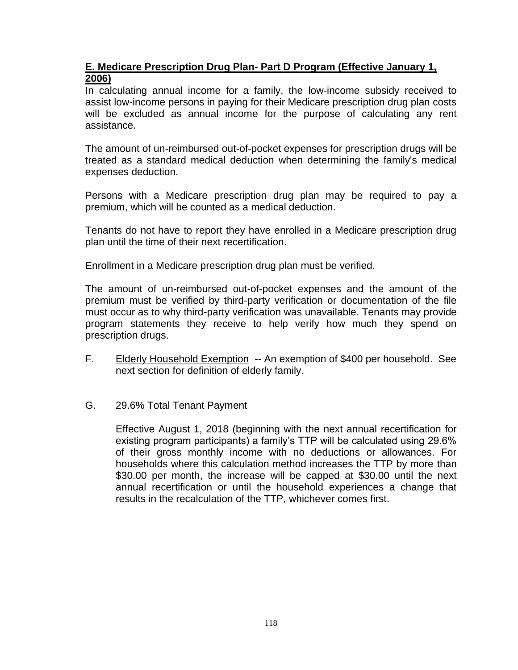# **E. Medicare Prescription Drug Plan- Part D Program (Effective January 1, 2006)**

In calculating annual income for a family, the low-income subsidy received to assist low-income persons in paying for their Medicare prescription drug plan costs will be excluded as annual income for the purpose of calculating any rent assistance.

The amount of un-reimbursed out-of-pocket expenses for prescription drugs will be treated as a standard medical deduction when determining the family's medical expenses deduction.

Persons with a Medicare prescription drug plan may be required to pay a premium, which will be counted as a medical deduction.

Tenants do not have to report they have enrolled in a Medicare prescription drug plan until the time of their next recertification.

Enrollment in a Medicare prescription drug plan must be verified.

The amount of un-reimbursed out-of-pocket expenses and the amount of the premium must be verified by third-party verification or documentation of the file must occur as to why third-party verification was unavailable. Tenants may provide program statements they receive to help verify how much they spend on prescription drugs.

- F. Elderly Household Exemption -- An exemption of \$400 per household. See next section for definition of elderly family.
- G. 29.6% Total Tenant Payment

Effective August 1, 2018 (beginning with the next annual recertification for existing program participants) a family's TTP will be calculated using 29.6% of their gross monthly income with no deductions or allowances. For households where this calculation method increases the TTP by more than \$30.00 per month, the increase will be capped at \$30.00 until the next annual recertification or until the household experiences a change that results in the recalculation of the TTP, whichever comes first.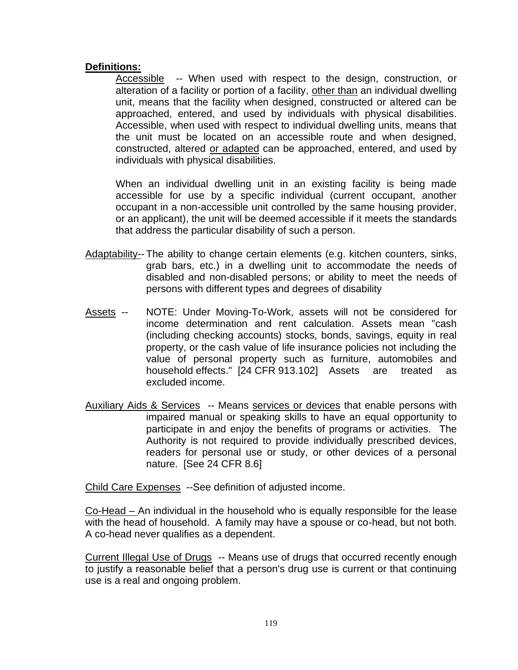#### **Definitions:**

Accessible -- When used with respect to the design, construction, or alteration of a facility or portion of a facility, other than an individual dwelling unit, means that the facility when designed, constructed or altered can be approached, entered, and used by individuals with physical disabilities. Accessible, when used with respect to individual dwelling units, means that the unit must be located on an accessible route and when designed, constructed, altered or adapted can be approached, entered, and used by individuals with physical disabilities.

When an individual dwelling unit in an existing facility is being made accessible for use by a specific individual (current occupant, another occupant in a non-accessible unit controlled by the same housing provider, or an applicant), the unit will be deemed accessible if it meets the standards that address the particular disability of such a person.

- Adaptability-- The ability to change certain elements (e.g. kitchen counters, sinks, grab bars, etc.) in a dwelling unit to accommodate the needs of disabled and non-disabled persons; or ability to meet the needs of persons with different types and degrees of disability
- Assets -- NOTE: Under Moving-To-Work, assets will not be considered for income determination and rent calculation. Assets mean "cash (including checking accounts) stocks, bonds, savings, equity in real property, or the cash value of life insurance policies not including the value of personal property such as furniture, automobiles and household effects." [24 CFR 913.102] Assets are treated as excluded income.
- Auxiliary Aids & Services -- Means services or devices that enable persons with impaired manual or speaking skills to have an equal opportunity to participate in and enjoy the benefits of programs or activities. The Authority is not required to provide individually prescribed devices, readers for personal use or study, or other devices of a personal nature. [See 24 CFR 8.6]

Child Care Expenses --See definition of adjusted income.

Co-Head – An individual in the household who is equally responsible for the lease with the head of household. A family may have a spouse or co-head, but not both. A co-head never qualifies as a dependent.

Current Illegal Use of Drugs -- Means use of drugs that occurred recently enough to justify a reasonable belief that a person's drug use is current or that continuing use is a real and ongoing problem.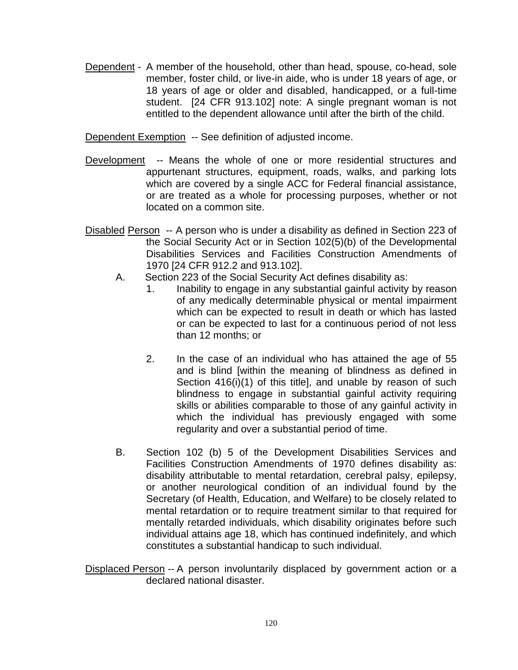Dependent - A member of the household, other than head, spouse, co-head, sole member, foster child, or live-in aide, who is under 18 years of age, or 18 years of age or older and disabled, handicapped, or a full-time student. [24 CFR 913.102] note: A single pregnant woman is not entitled to the dependent allowance until after the birth of the child.

Dependent Exemption -- See definition of adjusted income.

- Development -- Means the whole of one or more residential structures and appurtenant structures, equipment, roads, walks, and parking lots which are covered by a single ACC for Federal financial assistance, or are treated as a whole for processing purposes, whether or not located on a common site.
- Disabled Person -- A person who is under a disability as defined in Section 223 of the Social Security Act or in Section 102(5)(b) of the Developmental Disabilities Services and Facilities Construction Amendments of 1970 [24 CFR 912.2 and 913.102].
	- A. Section 223 of the Social Security Act defines disability as:
		- 1. Inability to engage in any substantial gainful activity by reason of any medically determinable physical or mental impairment which can be expected to result in death or which has lasted or can be expected to last for a continuous period of not less than 12 months; or
		- 2. In the case of an individual who has attained the age of 55 and is blind [within the meaning of blindness as defined in Section 416(i)(1) of this title], and unable by reason of such blindness to engage in substantial gainful activity requiring skills or abilities comparable to those of any gainful activity in which the individual has previously engaged with some regularity and over a substantial period of time.
	- B. Section 102 (b) 5 of the Development Disabilities Services and Facilities Construction Amendments of 1970 defines disability as: disability attributable to mental retardation, cerebral palsy, epilepsy, or another neurological condition of an individual found by the Secretary (of Health, Education, and Welfare) to be closely related to mental retardation or to require treatment similar to that required for mentally retarded individuals, which disability originates before such individual attains age 18, which has continued indefinitely, and which constitutes a substantial handicap to such individual.

Displaced Person -- A person involuntarily displaced by government action or a declared national disaster.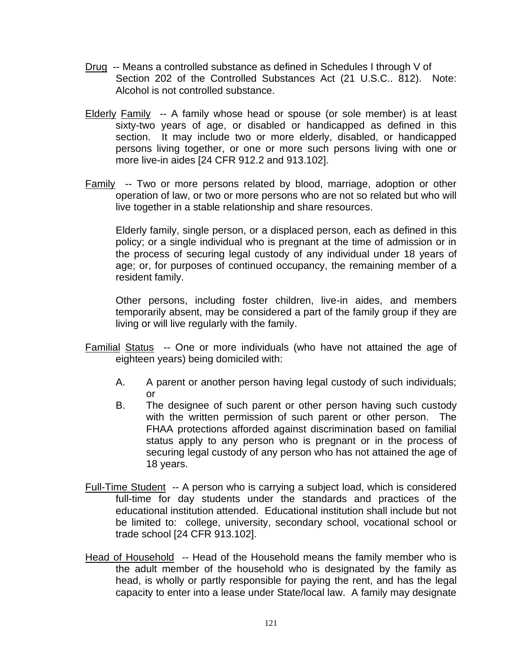- Drug -- Means a controlled substance as defined in Schedules I through V of Section 202 of the Controlled Substances Act (21 U.S.C.. 812). Note: Alcohol is not controlled substance.
- Elderly Family -- A family whose head or spouse (or sole member) is at least sixty-two years of age, or disabled or handicapped as defined in this section. It may include two or more elderly, disabled, or handicapped persons living together, or one or more such persons living with one or more live-in aides [24 CFR 912.2 and 913.102].
- Family -- Two or more persons related by blood, marriage, adoption or other operation of law, or two or more persons who are not so related but who will live together in a stable relationship and share resources.

Elderly family, single person, or a displaced person, each as defined in this policy; or a single individual who is pregnant at the time of admission or in the process of securing legal custody of any individual under 18 years of age; or, for purposes of continued occupancy, the remaining member of a resident family.

Other persons, including foster children, live-in aides, and members temporarily absent, may be considered a part of the family group if they are living or will live regularly with the family.

- Familial Status -- One or more individuals (who have not attained the age of eighteen years) being domiciled with:
	- A. A parent or another person having legal custody of such individuals; or
	- B. The designee of such parent or other person having such custody with the written permission of such parent or other person. The FHAA protections afforded against discrimination based on familial status apply to any person who is pregnant or in the process of securing legal custody of any person who has not attained the age of 18 years.
- Full-Time Student -- A person who is carrying a subject load, which is considered full-time for day students under the standards and practices of the educational institution attended. Educational institution shall include but not be limited to: college, university, secondary school, vocational school or trade school [24 CFR 913.102].
- Head of Household -- Head of the Household means the family member who is the adult member of the household who is designated by the family as head, is wholly or partly responsible for paying the rent, and has the legal capacity to enter into a lease under State/local law. A family may designate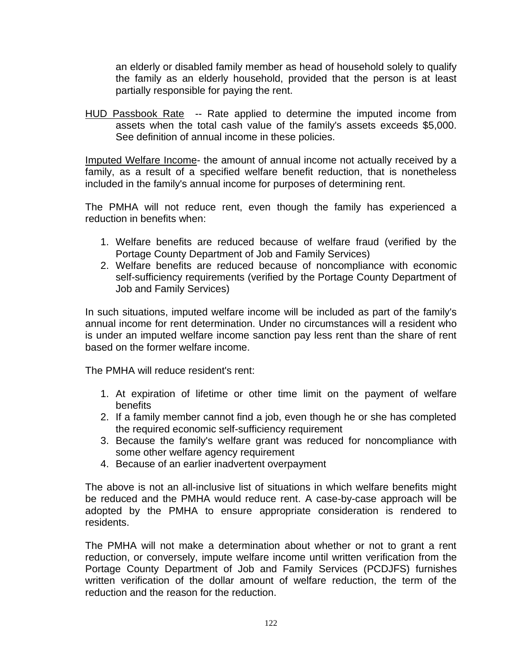an elderly or disabled family member as head of household solely to qualify the family as an elderly household, provided that the person is at least partially responsible for paying the rent.

HUD Passbook Rate -- Rate applied to determine the imputed income from assets when the total cash value of the family's assets exceeds \$5,000. See definition of annual income in these policies.

Imputed Welfare Income- the amount of annual income not actually received by a family, as a result of a specified welfare benefit reduction, that is nonetheless included in the family's annual income for purposes of determining rent.

The PMHA will not reduce rent, even though the family has experienced a reduction in benefits when:

- 1. Welfare benefits are reduced because of welfare fraud (verified by the Portage County Department of Job and Family Services)
- 2. Welfare benefits are reduced because of noncompliance with economic self-sufficiency requirements (verified by the Portage County Department of Job and Family Services)

In such situations, imputed welfare income will be included as part of the family's annual income for rent determination. Under no circumstances will a resident who is under an imputed welfare income sanction pay less rent than the share of rent based on the former welfare income.

The PMHA will reduce resident's rent:

- 1. At expiration of lifetime or other time limit on the payment of welfare benefits
- 2. If a family member cannot find a job, even though he or she has completed the required economic self-sufficiency requirement
- 3. Because the family's welfare grant was reduced for noncompliance with some other welfare agency requirement
- 4. Because of an earlier inadvertent overpayment

The above is not an all-inclusive list of situations in which welfare benefits might be reduced and the PMHA would reduce rent. A case-by-case approach will be adopted by the PMHA to ensure appropriate consideration is rendered to residents.

The PMHA will not make a determination about whether or not to grant a rent reduction, or conversely, impute welfare income until written verification from the Portage County Department of Job and Family Services (PCDJFS) furnishes written verification of the dollar amount of welfare reduction, the term of the reduction and the reason for the reduction.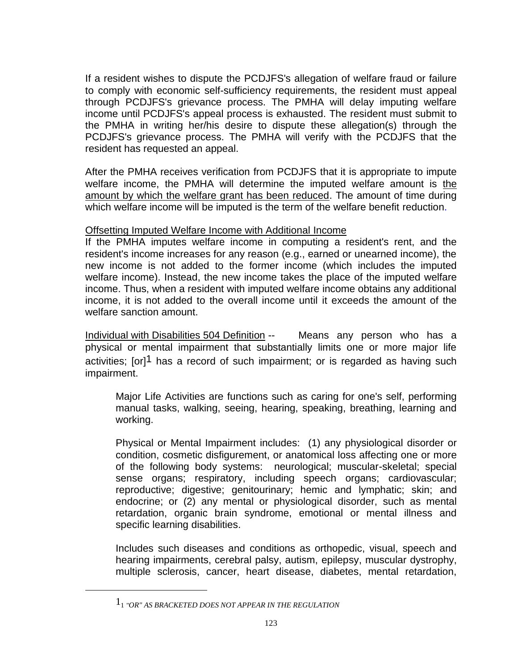If a resident wishes to dispute the PCDJFS's allegation of welfare fraud or failure to comply with economic self-sufficiency requirements, the resident must appeal through PCDJFS's grievance process. The PMHA will delay imputing welfare income until PCDJFS's appeal process is exhausted. The resident must submit to the PMHA in writing her/his desire to dispute these allegation(s) through the PCDJFS's grievance process. The PMHA will verify with the PCDJFS that the resident has requested an appeal.

After the PMHA receives verification from PCDJFS that it is appropriate to impute welfare income, the PMHA will determine the imputed welfare amount is the amount by which the welfare grant has been reduced. The amount of time during which welfare income will be imputed is the term of the welfare benefit reduction.

#### Offsetting Imputed Welfare Income with Additional Income

If the PMHA imputes welfare income in computing a resident's rent, and the resident's income increases for any reason (e.g., earned or unearned income), the new income is not added to the former income (which includes the imputed welfare income). Instead, the new income takes the place of the imputed welfare income. Thus, when a resident with imputed welfare income obtains any additional income, it is not added to the overall income until it exceeds the amount of the welfare sanction amount.

Individual with Disabilities 504 Definition -- Means any person who has a physical or mental impairment that substantially limits one or more major life activities;  $\lceil$ or $\rceil$ <sup>1</sup> has a record of such impairment; or is regarded as having such impairment.

Major Life Activities are functions such as caring for one's self, performing manual tasks, walking, seeing, hearing, speaking, breathing, learning and working.

Physical or Mental Impairment includes: (1) any physiological disorder or condition, cosmetic disfigurement, or anatomical loss affecting one or more of the following body systems: neurological; muscular-skeletal; special sense organs; respiratory, including speech organs; cardiovascular; reproductive; digestive; genitourinary; hemic and lymphatic; skin; and endocrine; or (2) any mental or physiological disorder, such as mental retardation, organic brain syndrome, emotional or mental illness and specific learning disabilities.

Includes such diseases and conditions as orthopedic, visual, speech and hearing impairments, cerebral palsy, autism, epilepsy, muscular dystrophy, multiple sclerosis, cancer, heart disease, diabetes, mental retardation,

<sup>1</sup>1 *"OR" AS BRACKETED DOES NOT APPEAR IN THE REGULATION*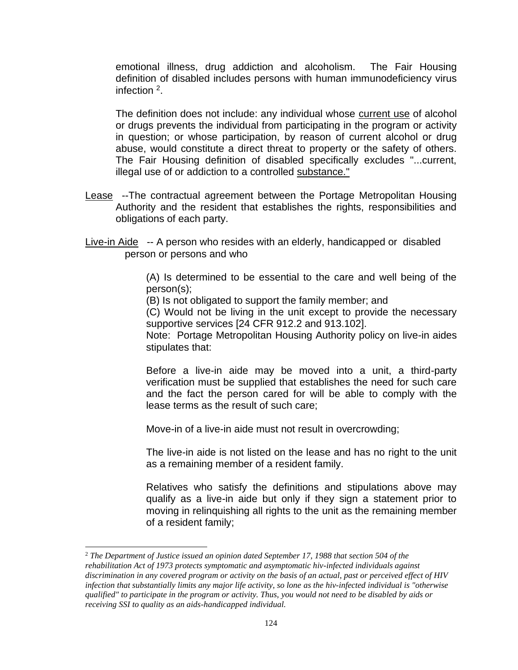emotional illness, drug addiction and alcoholism. The Fair Housing definition of disabled includes persons with human immunodeficiency virus infection <sup>2</sup>.

The definition does not include: any individual whose current use of alcohol or drugs prevents the individual from participating in the program or activity in question; or whose participation, by reason of current alcohol or drug abuse, would constitute a direct threat to property or the safety of others. The Fair Housing definition of disabled specifically excludes "...current, illegal use of or addiction to a controlled substance."

- Lease --The contractual agreement between the Portage Metropolitan Housing Authority and the resident that establishes the rights, responsibilities and obligations of each party.
- Live-in Aide -- A person who resides with an elderly, handicapped or disabled person or persons and who

(A) Is determined to be essential to the care and well being of the person(s);

(B) Is not obligated to support the family member; and

(C) Would not be living in the unit except to provide the necessary supportive services [24 CFR 912.2 and 913.102].

Note: Portage Metropolitan Housing Authority policy on live-in aides stipulates that:

Before a live-in aide may be moved into a unit, a third-party verification must be supplied that establishes the need for such care and the fact the person cared for will be able to comply with the lease terms as the result of such care;

Move-in of a live-in aide must not result in overcrowding;

The live-in aide is not listed on the lease and has no right to the unit as a remaining member of a resident family.

Relatives who satisfy the definitions and stipulations above may qualify as a live-in aide but only if they sign a statement prior to moving in relinquishing all rights to the unit as the remaining member of a resident family;

<sup>2</sup> *The Department of Justice issued an opinion dated September 17, 1988 that section 504 of the rehabilitation Act of 1973 protects symptomatic and asymptomatic hiv-infected individuals against discrimination in any covered program or activity on the basis of an actual, past or perceived effect of HIV infection that substantially limits any major life activity, so lone as the hiv-infected individual is "otherwise qualified" to participate in the program or activity. Thus, you would not need to be disabled by aids or receiving SSI to quality as an aids-handicapped individual.*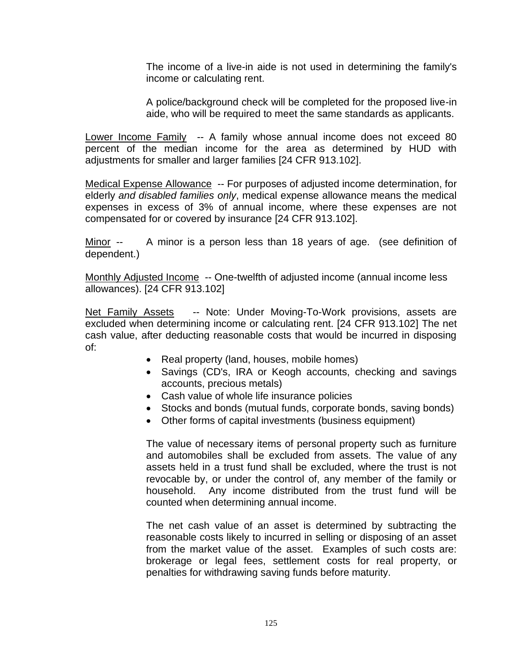The income of a live-in aide is not used in determining the family's income or calculating rent.

A police/background check will be completed for the proposed live-in aide, who will be required to meet the same standards as applicants.

Lower Income Family -- A family whose annual income does not exceed 80 percent of the median income for the area as determined by HUD with adjustments for smaller and larger families [24 CFR 913.102].

Medical Expense Allowance -- For purposes of adjusted income determination, for elderly *and disabled families only*, medical expense allowance means the medical expenses in excess of 3% of annual income, where these expenses are not compensated for or covered by insurance [24 CFR 913.102].

Minor -- A minor is a person less than 18 years of age. (see definition of dependent.)

Monthly Adjusted Income -- One-twelfth of adjusted income (annual income less allowances). [24 CFR 913.102]

Net Family Assets -- Note: Under Moving-To-Work provisions, assets are excluded when determining income or calculating rent. [24 CFR 913.102] The net cash value, after deducting reasonable costs that would be incurred in disposing of:

- Real property (land, houses, mobile homes)
- Savings (CD's, IRA or Keogh accounts, checking and savings accounts, precious metals)
- Cash value of whole life insurance policies
- Stocks and bonds (mutual funds, corporate bonds, saving bonds)
- Other forms of capital investments (business equipment)

The value of necessary items of personal property such as furniture and automobiles shall be excluded from assets. The value of any assets held in a trust fund shall be excluded, where the trust is not revocable by, or under the control of, any member of the family or household. Any income distributed from the trust fund will be counted when determining annual income.

The net cash value of an asset is determined by subtracting the reasonable costs likely to incurred in selling or disposing of an asset from the market value of the asset. Examples of such costs are: brokerage or legal fees, settlement costs for real property, or penalties for withdrawing saving funds before maturity.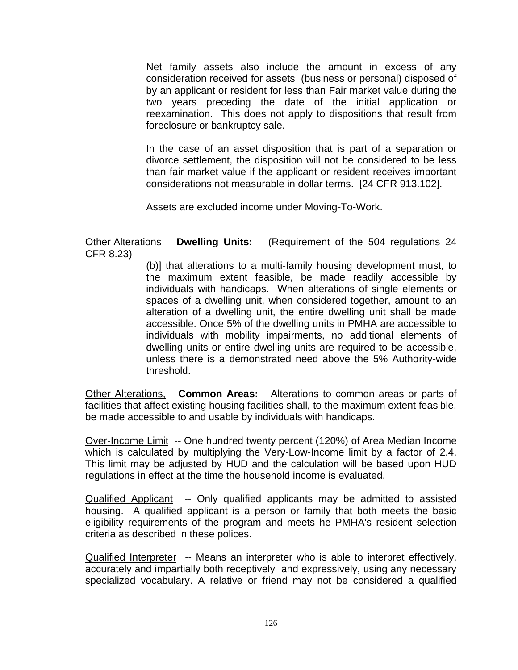Net family assets also include the amount in excess of any consideration received for assets (business or personal) disposed of by an applicant or resident for less than Fair market value during the two years preceding the date of the initial application or reexamination. This does not apply to dispositions that result from foreclosure or bankruptcy sale.

In the case of an asset disposition that is part of a separation or divorce settlement, the disposition will not be considered to be less than fair market value if the applicant or resident receives important considerations not measurable in dollar terms. [24 CFR 913.102].

Assets are excluded income under Moving-To-Work.

Other Alterations **Dwelling Units:** (Requirement of the 504 regulations 24 CFR 8.23)

(b)] that alterations to a multi-family housing development must, to the maximum extent feasible, be made readily accessible by individuals with handicaps. When alterations of single elements or spaces of a dwelling unit, when considered together, amount to an alteration of a dwelling unit, the entire dwelling unit shall be made accessible. Once 5% of the dwelling units in PMHA are accessible to individuals with mobility impairments, no additional elements of dwelling units or entire dwelling units are required to be accessible, unless there is a demonstrated need above the 5% Authority-wide threshold.

Other Alterations, **Common Areas:** Alterations to common areas or parts of facilities that affect existing housing facilities shall, to the maximum extent feasible, be made accessible to and usable by individuals with handicaps.

Over-Income Limit -- One hundred twenty percent (120%) of Area Median Income which is calculated by multiplying the Very-Low-Income limit by a factor of 2.4. This limit may be adjusted by HUD and the calculation will be based upon HUD regulations in effect at the time the household income is evaluated.

Qualified Applicant -- Only qualified applicants may be admitted to assisted housing. A qualified applicant is a person or family that both meets the basic eligibility requirements of the program and meets he PMHA's resident selection criteria as described in these polices.

Qualified Interpreter -- Means an interpreter who is able to interpret effectively, accurately and impartially both receptively and expressively, using any necessary specialized vocabulary. A relative or friend may not be considered a qualified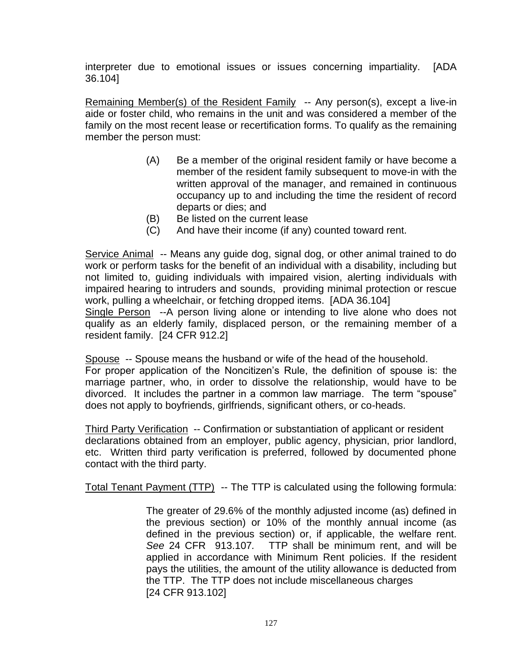interpreter due to emotional issues or issues concerning impartiality. [ADA 36.104]

Remaining Member(s) of the Resident Family -- Any person(s), except a live-in aide or foster child, who remains in the unit and was considered a member of the family on the most recent lease or recertification forms. To qualify as the remaining member the person must:

- (A) Be a member of the original resident family or have become a member of the resident family subsequent to move-in with the written approval of the manager, and remained in continuous occupancy up to and including the time the resident of record departs or dies; and
- (B) Be listed on the current lease
- (C) And have their income (if any) counted toward rent.

Service Animal -- Means any guide dog, signal dog, or other animal trained to do work or perform tasks for the benefit of an individual with a disability, including but not limited to, guiding individuals with impaired vision, alerting individuals with impaired hearing to intruders and sounds, providing minimal protection or rescue work, pulling a wheelchair, or fetching dropped items. [ADA 36.104]

Single Person --A person living alone or intending to live alone who does not qualify as an elderly family, displaced person, or the remaining member of a resident family. [24 CFR 912.2]

Spouse -- Spouse means the husband or wife of the head of the household.

For proper application of the Noncitizen's Rule, the definition of spouse is: the marriage partner, who, in order to dissolve the relationship, would have to be divorced. It includes the partner in a common law marriage. The term "spouse" does not apply to boyfriends, girlfriends, significant others, or co-heads.

Third Party Verification -- Confirmation or substantiation of applicant or resident declarations obtained from an employer, public agency, physician, prior landlord, etc. Written third party verification is preferred, followed by documented phone contact with the third party.

Total Tenant Payment (TTP) -- The TTP is calculated using the following formula:

The greater of 29.6% of the monthly adjusted income (as) defined in the previous section) or 10% of the monthly annual income (as defined in the previous section) or, if applicable, the welfare rent. *See* 24 CFR 913.107*.* TTP shall be minimum rent, and will be applied in accordance with Minimum Rent policies. If the resident pays the utilities, the amount of the utility allowance is deducted from the TTP. The TTP does not include miscellaneous charges [24 CFR 913.102]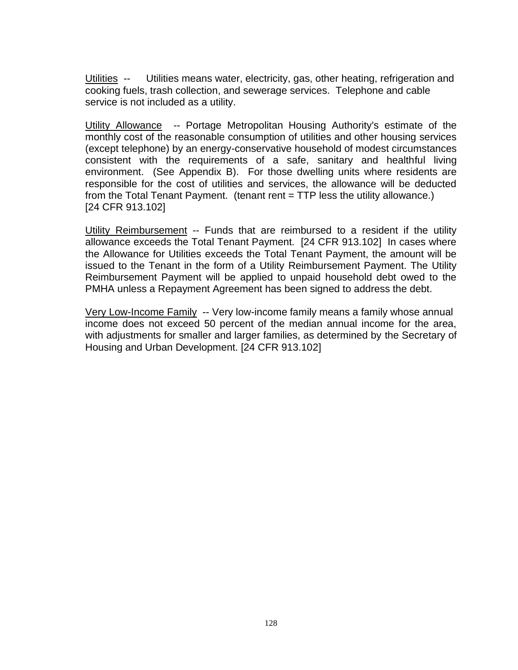Utilities -- Utilities means water, electricity, gas, other heating, refrigeration and cooking fuels, trash collection, and sewerage services. Telephone and cable service is not included as a utility.

Utility Allowance -- Portage Metropolitan Housing Authority's estimate of the monthly cost of the reasonable consumption of utilities and other housing services (except telephone) by an energy-conservative household of modest circumstances consistent with the requirements of a safe, sanitary and healthful living environment. (See Appendix B). For those dwelling units where residents are responsible for the cost of utilities and services, the allowance will be deducted from the Total Tenant Payment. (tenant rent = TTP less the utility allowance.) [24 CFR 913.102]

Utility Reimbursement -- Funds that are reimbursed to a resident if the utility allowance exceeds the Total Tenant Payment. [24 CFR 913.102] In cases where the Allowance for Utilities exceeds the Total Tenant Payment, the amount will be issued to the Tenant in the form of a Utility Reimbursement Payment. The Utility Reimbursement Payment will be applied to unpaid household debt owed to the PMHA unless a Repayment Agreement has been signed to address the debt.

Very Low-Income Family -- Very low-income family means a family whose annual income does not exceed 50 percent of the median annual income for the area, with adjustments for smaller and larger families, as determined by the Secretary of Housing and Urban Development. [24 CFR 913.102]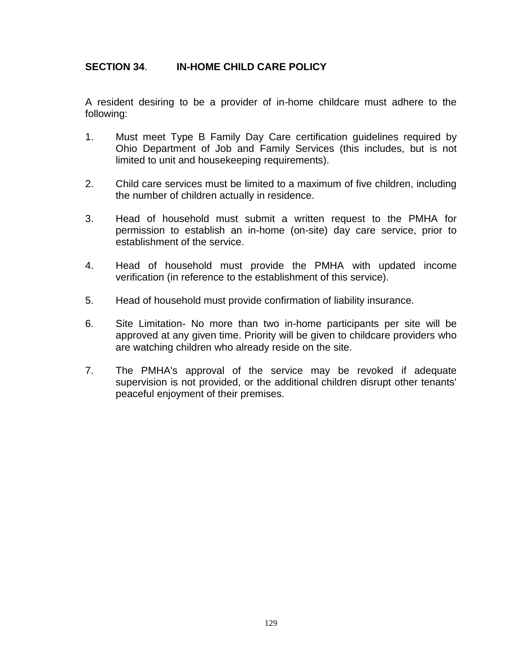# **SECTION 34**. **IN-HOME CHILD CARE POLICY**

A resident desiring to be a provider of in-home childcare must adhere to the following:

- 1. Must meet Type B Family Day Care certification guidelines required by Ohio Department of Job and Family Services (this includes, but is not limited to unit and housekeeping requirements).
- 2. Child care services must be limited to a maximum of five children, including the number of children actually in residence.
- 3. Head of household must submit a written request to the PMHA for permission to establish an in-home (on-site) day care service, prior to establishment of the service.
- 4. Head of household must provide the PMHA with updated income verification (in reference to the establishment of this service).
- 5. Head of household must provide confirmation of liability insurance.
- 6. Site Limitation- No more than two in-home participants per site will be approved at any given time. Priority will be given to childcare providers who are watching children who already reside on the site.
- 7. The PMHA's approval of the service may be revoked if adequate supervision is not provided, or the additional children disrupt other tenants' peaceful enjoyment of their premises.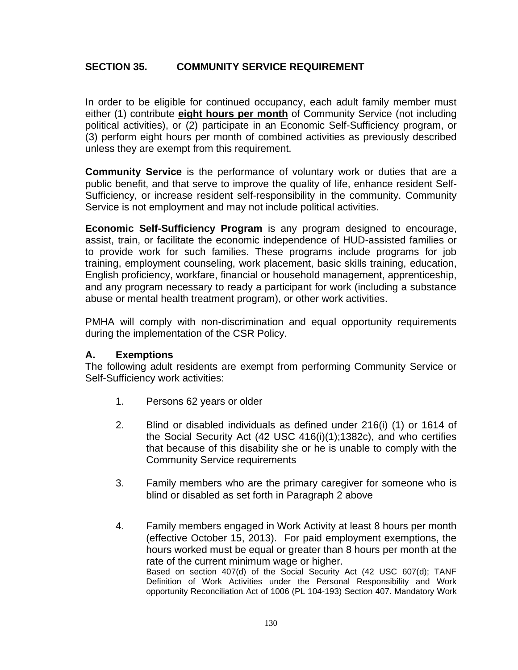# **SECTION 35. COMMUNITY SERVICE REQUIREMENT**

In order to be eligible for continued occupancy, each adult family member must either (1) contribute **eight hours per month** of Community Service (not including political activities), or (2) participate in an Economic Self-Sufficiency program, or (3) perform eight hours per month of combined activities as previously described unless they are exempt from this requirement.

**Community Service** is the performance of voluntary work or duties that are a public benefit, and that serve to improve the quality of life, enhance resident Self-Sufficiency, or increase resident self-responsibility in the community. Community Service is not employment and may not include political activities.

**Economic Self-Sufficiency Program** is any program designed to encourage, assist, train, or facilitate the economic independence of HUD-assisted families or to provide work for such families. These programs include programs for job training, employment counseling, work placement, basic skills training, education, English proficiency, workfare, financial or household management, apprenticeship, and any program necessary to ready a participant for work (including a substance abuse or mental health treatment program), or other work activities.

PMHA will comply with non-discrimination and equal opportunity requirements during the implementation of the CSR Policy.

# **A. Exemptions**

The following adult residents are exempt from performing Community Service or Self-Sufficiency work activities:

- 1. Persons 62 years or older
- 2. Blind or disabled individuals as defined under 216(i) (1) or 1614 of the Social Security Act (42 USC 416(i)(1);1382c), and who certifies that because of this disability she or he is unable to comply with the Community Service requirements
- 3. Family members who are the primary caregiver for someone who is blind or disabled as set forth in Paragraph 2 above
- 4. Family members engaged in Work Activity at least 8 hours per month (effective October 15, 2013). For paid employment exemptions, the hours worked must be equal or greater than 8 hours per month at the rate of the current minimum wage or higher. Based on section 407(d) of the Social Security Act (42 USC 607(d); TANF Definition of Work Activities under the Personal Responsibility and Work opportunity Reconciliation Act of 1006 (PL 104-193) Section 407. Mandatory Work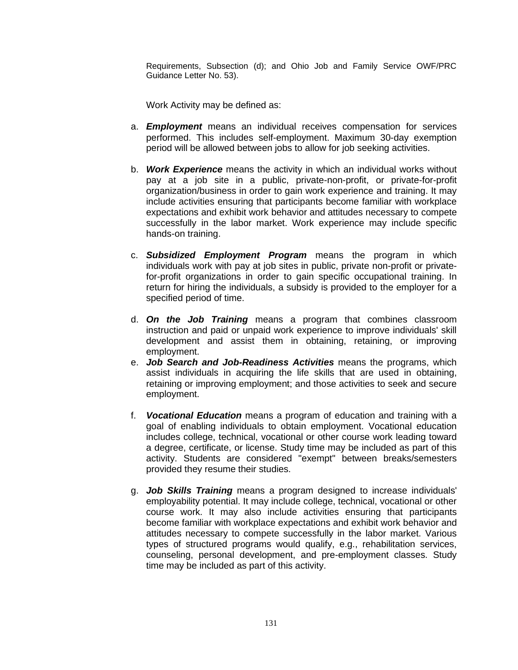Requirements, Subsection (d); and Ohio Job and Family Service OWF/PRC Guidance Letter No. 53).

Work Activity may be defined as:

- a. *Employment* means an individual receives compensation for services performed. This includes self-employment. Maximum 30-day exemption period will be allowed between jobs to allow for job seeking activities.
- b. *Work Experience* means the activity in which an individual works without pay at a job site in a public, private-non-profit, or private-for-profit organization/business in order to gain work experience and training. It may include activities ensuring that participants become familiar with workplace expectations and exhibit work behavior and attitudes necessary to compete successfully in the labor market. Work experience may include specific hands-on training.
- c. *Subsidized Employment Program* means the program in which individuals work with pay at job sites in public, private non-profit or privatefor-profit organizations in order to gain specific occupational training. In return for hiring the individuals, a subsidy is provided to the employer for a specified period of time.
- d. *On the Job Training* means a program that combines classroom instruction and paid or unpaid work experience to improve individuals' skill development and assist them in obtaining, retaining, or improving employment.
- e. *Job Search and Job-Readiness Activities* means the programs, which assist individuals in acquiring the life skills that are used in obtaining, retaining or improving employment; and those activities to seek and secure employment.
- f. *Vocational Education* means a program of education and training with a goal of enabling individuals to obtain employment. Vocational education includes college, technical, vocational or other course work leading toward a degree, certificate, or license. Study time may be included as part of this activity. Students are considered "exempt" between breaks/semesters provided they resume their studies.
- g. *Job Skills Training* means a program designed to increase individuals' employability potential. It may include college, technical, vocational or other course work. It may also include activities ensuring that participants become familiar with workplace expectations and exhibit work behavior and attitudes necessary to compete successfully in the labor market. Various types of structured programs would qualify, e.g., rehabilitation services, counseling, personal development, and pre-employment classes. Study time may be included as part of this activity.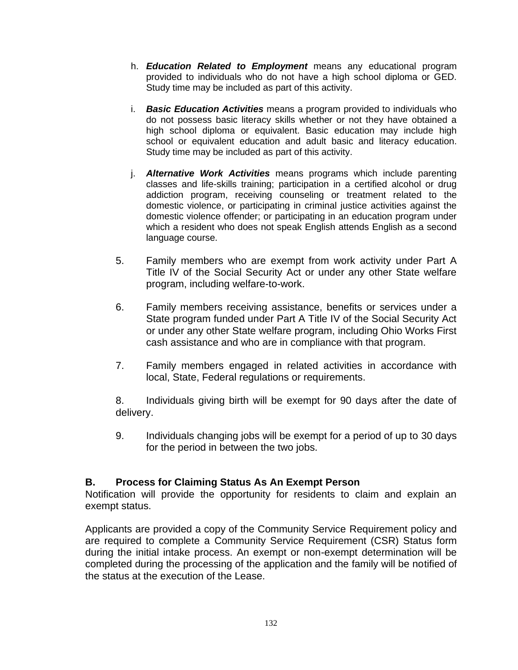- h. *Education Related to Employment* means any educational program provided to individuals who do not have a high school diploma or GED. Study time may be included as part of this activity.
- i. *Basic Education Activities* means a program provided to individuals who do not possess basic literacy skills whether or not they have obtained a high school diploma or equivalent. Basic education may include high school or equivalent education and adult basic and literacy education. Study time may be included as part of this activity.
- j. *Alternative Work Activities* means programs which include parenting classes and life-skills training; participation in a certified alcohol or drug addiction program, receiving counseling or treatment related to the domestic violence, or participating in criminal justice activities against the domestic violence offender; or participating in an education program under which a resident who does not speak English attends English as a second language course.
- 5. Family members who are exempt from work activity under Part A Title IV of the Social Security Act or under any other State welfare program, including welfare-to-work.
- 6. Family members receiving assistance, benefits or services under a State program funded under Part A Title IV of the Social Security Act or under any other State welfare program, including Ohio Works First cash assistance and who are in compliance with that program.
- 7. Family members engaged in related activities in accordance with local, State, Federal regulations or requirements.

8. Individuals giving birth will be exempt for 90 days after the date of delivery.

9. Individuals changing jobs will be exempt for a period of up to 30 days for the period in between the two jobs.

# **B. Process for Claiming Status As An Exempt Person**

Notification will provide the opportunity for residents to claim and explain an exempt status.

Applicants are provided a copy of the Community Service Requirement policy and are required to complete a Community Service Requirement (CSR) Status form during the initial intake process. An exempt or non-exempt determination will be completed during the processing of the application and the family will be notified of the status at the execution of the Lease.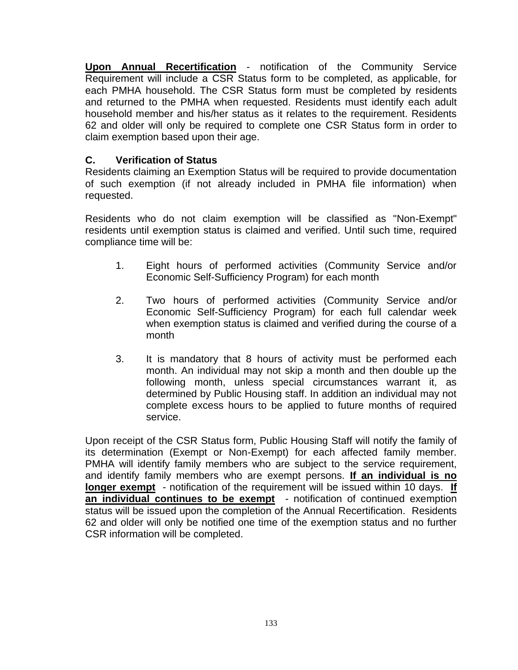**Upon Annual Recertification** - notification of the Community Service Requirement will include a CSR Status form to be completed, as applicable, for each PMHA household. The CSR Status form must be completed by residents and returned to the PMHA when requested. Residents must identify each adult household member and his/her status as it relates to the requirement. Residents 62 and older will only be required to complete one CSR Status form in order to claim exemption based upon their age.

# **C. Verification of Status**

Residents claiming an Exemption Status will be required to provide documentation of such exemption (if not already included in PMHA file information) when requested.

Residents who do not claim exemption will be classified as "Non-Exempt" residents until exemption status is claimed and verified. Until such time, required compliance time will be:

- 1. Eight hours of performed activities (Community Service and/or Economic Self-Sufficiency Program) for each month
- 2. Two hours of performed activities (Community Service and/or Economic Self-Sufficiency Program) for each full calendar week when exemption status is claimed and verified during the course of a month
- 3. It is mandatory that 8 hours of activity must be performed each month. An individual may not skip a month and then double up the following month, unless special circumstances warrant it, as determined by Public Housing staff. In addition an individual may not complete excess hours to be applied to future months of required service.

Upon receipt of the CSR Status form, Public Housing Staff will notify the family of its determination (Exempt or Non-Exempt) for each affected family member. PMHA will identify family members who are subject to the service requirement, and identify family members who are exempt persons. **If an individual is no longer exempt** - notification of the requirement will be issued within 10 days. **If an individual continues to be exempt** - notification of continued exemption status will be issued upon the completion of the Annual Recertification. Residents 62 and older will only be notified one time of the exemption status and no further CSR information will be completed.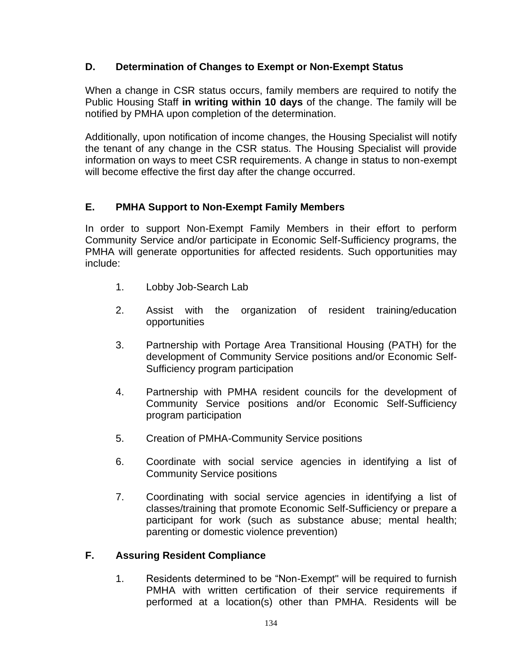# **D. Determination of Changes to Exempt or Non-Exempt Status**

When a change in CSR status occurs, family members are required to notify the Public Housing Staff **in writing within 10 days** of the change. The family will be notified by PMHA upon completion of the determination.

Additionally, upon notification of income changes, the Housing Specialist will notify the tenant of any change in the CSR status. The Housing Specialist will provide information on ways to meet CSR requirements. A change in status to non-exempt will become effective the first day after the change occurred.

# **E. PMHA Support to Non-Exempt Family Members**

In order to support Non-Exempt Family Members in their effort to perform Community Service and/or participate in Economic Self-Sufficiency programs, the PMHA will generate opportunities for affected residents. Such opportunities may include:

- 1. Lobby Job-Search Lab
- 2. Assist with the organization of resident training/education opportunities
- 3. Partnership with Portage Area Transitional Housing (PATH) for the development of Community Service positions and/or Economic Self-Sufficiency program participation
- 4. Partnership with PMHA resident councils for the development of Community Service positions and/or Economic Self-Sufficiency program participation
- 5. Creation of PMHA-Community Service positions
- 6. Coordinate with social service agencies in identifying a list of Community Service positions
- 7. Coordinating with social service agencies in identifying a list of classes/training that promote Economic Self-Sufficiency or prepare a participant for work (such as substance abuse; mental health; parenting or domestic violence prevention)

# **F. Assuring Resident Compliance**

1. Residents determined to be "Non-Exempt" will be required to furnish PMHA with written certification of their service requirements if performed at a location(s) other than PMHA. Residents will be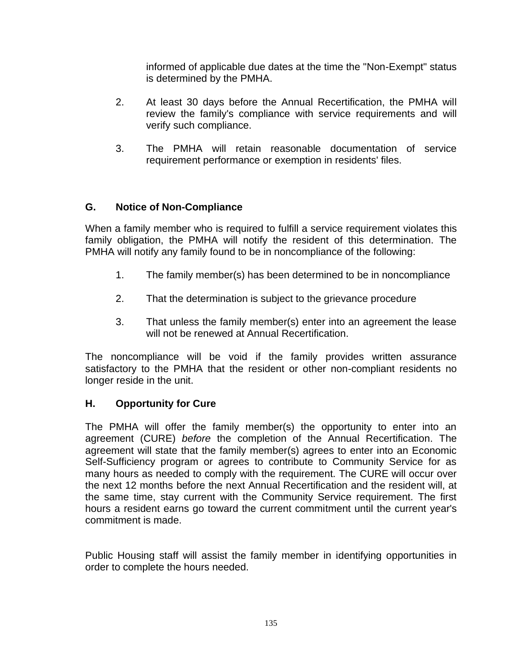informed of applicable due dates at the time the "Non-Exempt" status is determined by the PMHA.

- 2. At least 30 days before the Annual Recertification, the PMHA will review the family's compliance with service requirements and will verify such compliance.
- 3. The PMHA will retain reasonable documentation of service requirement performance or exemption in residents' files.

# **G. Notice of Non-Compliance**

When a family member who is required to fulfill a service requirement violates this family obligation, the PMHA will notify the resident of this determination. The PMHA will notify any family found to be in noncompliance of the following:

- 1. The family member(s) has been determined to be in noncompliance
- 2. That the determination is subject to the grievance procedure
- 3. That unless the family member(s) enter into an agreement the lease will not be renewed at Annual Recertification.

The noncompliance will be void if the family provides written assurance satisfactory to the PMHA that the resident or other non-compliant residents no longer reside in the unit.

# **H. Opportunity for Cure**

The PMHA will offer the family member(s) the opportunity to enter into an agreement (CURE) *before* the completion of the Annual Recertification. The agreement will state that the family member(s) agrees to enter into an Economic Self-Sufficiency program or agrees to contribute to Community Service for as many hours as needed to comply with the requirement. The CURE will occur over the next 12 months before the next Annual Recertification and the resident will, at the same time, stay current with the Community Service requirement. The first hours a resident earns go toward the current commitment until the current year's commitment is made.

Public Housing staff will assist the family member in identifying opportunities in order to complete the hours needed.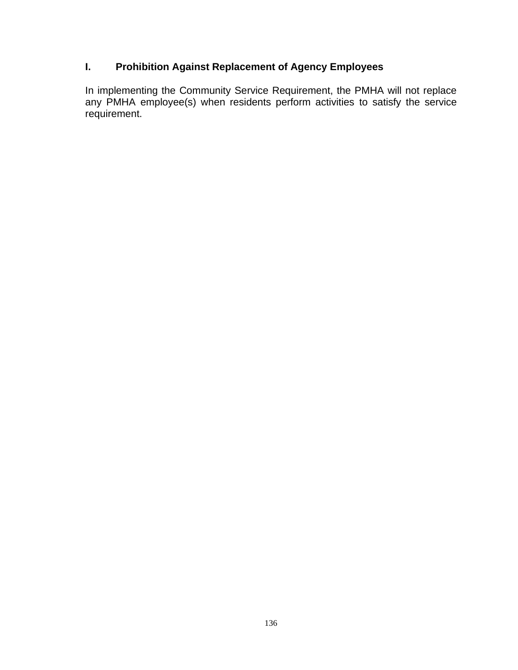# **I. Prohibition Against Replacement of Agency Employees**

In implementing the Community Service Requirement, the PMHA will not replace any PMHA employee(s) when residents perform activities to satisfy the service requirement.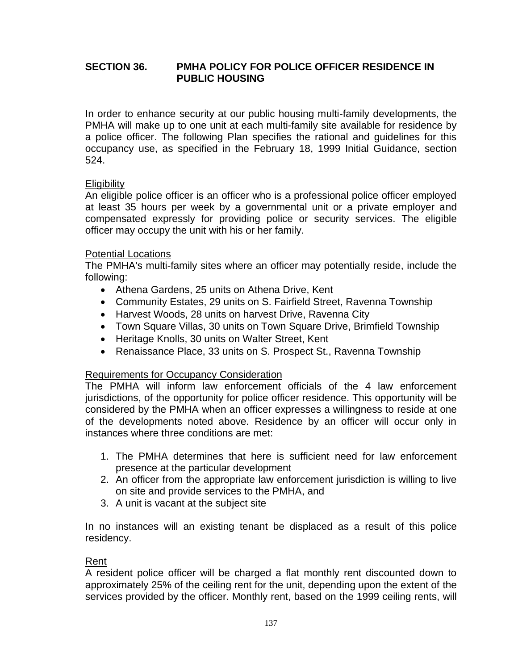# **SECTION 36. PMHA POLICY FOR POLICE OFFICER RESIDENCE IN PUBLIC HOUSING**

In order to enhance security at our public housing multi-family developments, the PMHA will make up to one unit at each multi-family site available for residence by a police officer. The following Plan specifies the rational and guidelines for this occupancy use, as specified in the February 18, 1999 Initial Guidance, section 524.

# **Eligibility**

An eligible police officer is an officer who is a professional police officer employed at least 35 hours per week by a governmental unit or a private employer and compensated expressly for providing police or security services. The eligible officer may occupy the unit with his or her family.

#### Potential Locations

The PMHA's multi-family sites where an officer may potentially reside, include the following:

- Athena Gardens, 25 units on Athena Drive, Kent
- Community Estates, 29 units on S. Fairfield Street, Ravenna Township
- Harvest Woods, 28 units on harvest Drive, Ravenna City
- Town Square Villas, 30 units on Town Square Drive, Brimfield Township
- Heritage Knolls, 30 units on Walter Street, Kent
- Renaissance Place, 33 units on S. Prospect St., Ravenna Township

# Requirements for Occupancy Consideration

The PMHA will inform law enforcement officials of the 4 law enforcement jurisdictions, of the opportunity for police officer residence. This opportunity will be considered by the PMHA when an officer expresses a willingness to reside at one of the developments noted above. Residence by an officer will occur only in instances where three conditions are met:

- 1. The PMHA determines that here is sufficient need for law enforcement presence at the particular development
- 2. An officer from the appropriate law enforcement jurisdiction is willing to live on site and provide services to the PMHA, and
- 3. A unit is vacant at the subject site

In no instances will an existing tenant be displaced as a result of this police residency.

# Rent

A resident police officer will be charged a flat monthly rent discounted down to approximately 25% of the ceiling rent for the unit, depending upon the extent of the services provided by the officer. Monthly rent, based on the 1999 ceiling rents, will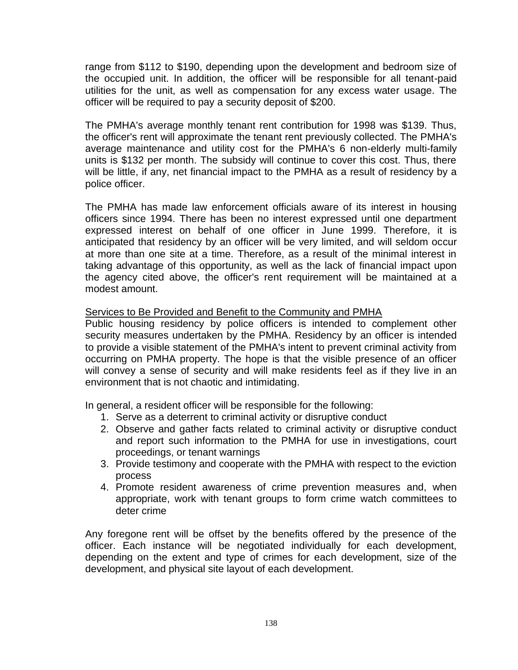range from \$112 to \$190, depending upon the development and bedroom size of the occupied unit. In addition, the officer will be responsible for all tenant-paid utilities for the unit, as well as compensation for any excess water usage. The officer will be required to pay a security deposit of \$200.

The PMHA's average monthly tenant rent contribution for 1998 was \$139. Thus, the officer's rent will approximate the tenant rent previously collected. The PMHA's average maintenance and utility cost for the PMHA's 6 non-elderly multi-family units is \$132 per month. The subsidy will continue to cover this cost. Thus, there will be little, if any, net financial impact to the PMHA as a result of residency by a police officer.

The PMHA has made law enforcement officials aware of its interest in housing officers since 1994. There has been no interest expressed until one department expressed interest on behalf of one officer in June 1999. Therefore, it is anticipated that residency by an officer will be very limited, and will seldom occur at more than one site at a time. Therefore, as a result of the minimal interest in taking advantage of this opportunity, as well as the lack of financial impact upon the agency cited above, the officer's rent requirement will be maintained at a modest amount.

#### Services to Be Provided and Benefit to the Community and PMHA

Public housing residency by police officers is intended to complement other security measures undertaken by the PMHA. Residency by an officer is intended to provide a visible statement of the PMHA's intent to prevent criminal activity from occurring on PMHA property. The hope is that the visible presence of an officer will convey a sense of security and will make residents feel as if they live in an environment that is not chaotic and intimidating.

In general, a resident officer will be responsible for the following:

- 1. Serve as a deterrent to criminal activity or disruptive conduct
- 2. Observe and gather facts related to criminal activity or disruptive conduct and report such information to the PMHA for use in investigations, court proceedings, or tenant warnings
- 3. Provide testimony and cooperate with the PMHA with respect to the eviction process
- 4. Promote resident awareness of crime prevention measures and, when appropriate, work with tenant groups to form crime watch committees to deter crime

Any foregone rent will be offset by the benefits offered by the presence of the officer. Each instance will be negotiated individually for each development, depending on the extent and type of crimes for each development, size of the development, and physical site layout of each development.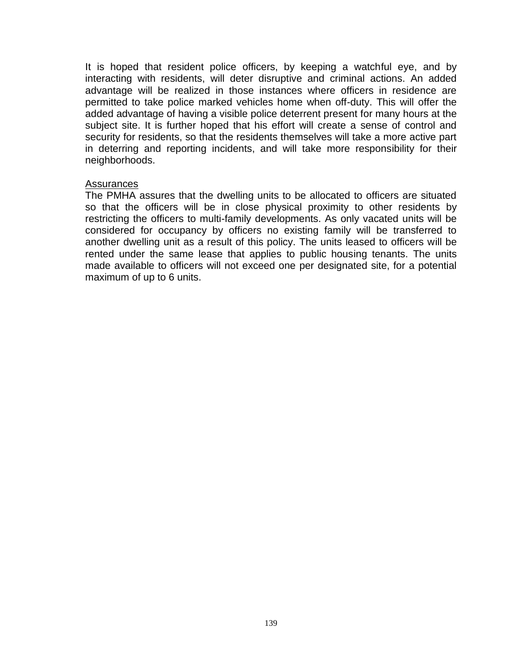It is hoped that resident police officers, by keeping a watchful eye, and by interacting with residents, will deter disruptive and criminal actions. An added advantage will be realized in those instances where officers in residence are permitted to take police marked vehicles home when off-duty. This will offer the added advantage of having a visible police deterrent present for many hours at the subject site. It is further hoped that his effort will create a sense of control and security for residents, so that the residents themselves will take a more active part in deterring and reporting incidents, and will take more responsibility for their neighborhoods.

#### Assurances

The PMHA assures that the dwelling units to be allocated to officers are situated so that the officers will be in close physical proximity to other residents by restricting the officers to multi-family developments. As only vacated units will be considered for occupancy by officers no existing family will be transferred to another dwelling unit as a result of this policy. The units leased to officers will be rented under the same lease that applies to public housing tenants. The units made available to officers will not exceed one per designated site, for a potential maximum of up to 6 units.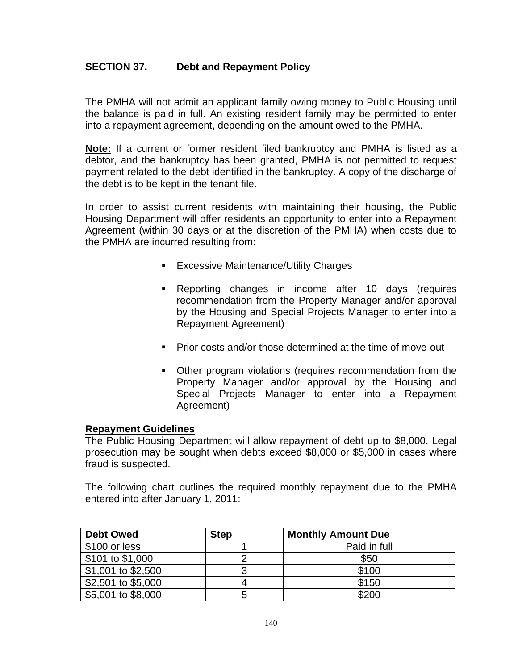# **SECTION 37. Debt and Repayment Policy**

The PMHA will not admit an applicant family owing money to Public Housing until the balance is paid in full. An existing resident family may be permitted to enter into a repayment agreement, depending on the amount owed to the PMHA.

**Note:** If a current or former resident filed bankruptcy and PMHA is listed as a debtor, and the bankruptcy has been granted, PMHA is not permitted to request payment related to the debt identified in the bankruptcy. A copy of the discharge of the debt is to be kept in the tenant file.

In order to assist current residents with maintaining their housing, the Public Housing Department will offer residents an opportunity to enter into a Repayment Agreement (within 30 days or at the discretion of the PMHA) when costs due to the PMHA are incurred resulting from:

- Excessive Maintenance/Utility Charges
- Reporting changes in income after 10 days (requires recommendation from the Property Manager and/or approval by the Housing and Special Projects Manager to enter into a Repayment Agreement)
- Prior costs and/or those determined at the time of move-out
- Other program violations (requires recommendation from the Property Manager and/or approval by the Housing and Special Projects Manager to enter into a Repayment Agreement)

#### **Repayment Guidelines**

The Public Housing Department will allow repayment of debt up to \$8,000. Legal prosecution may be sought when debts exceed \$8,000 or \$5,000 in cases where fraud is suspected.

The following chart outlines the required monthly repayment due to the PMHA entered into after January 1, 2011:

| <b>Debt Owed</b>   | <b>Step</b> | <b>Monthly Amount Due</b> |
|--------------------|-------------|---------------------------|
| \$100 or less      |             | Paid in full              |
| \$101 to \$1,000   | ◠           | \$50                      |
| \$1,001 to \$2,500 | 3           | \$100                     |
| \$2,501 to \$5,000 |             | \$150                     |
| \$5,001 to \$8,000 | 5           | \$200                     |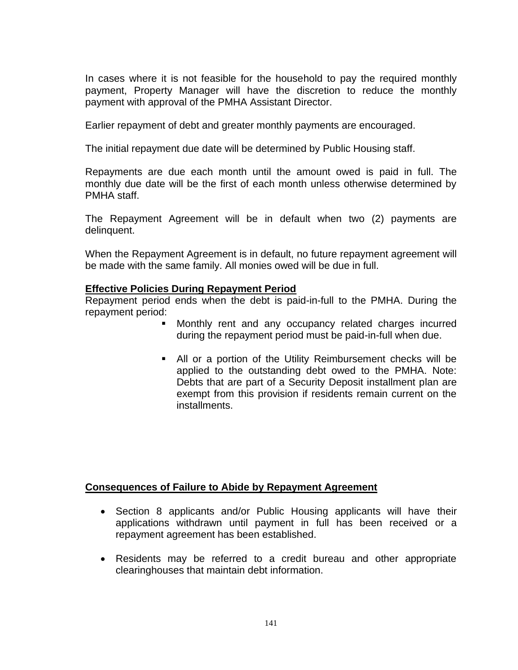In cases where it is not feasible for the household to pay the required monthly payment, Property Manager will have the discretion to reduce the monthly payment with approval of the PMHA Assistant Director.

Earlier repayment of debt and greater monthly payments are encouraged.

The initial repayment due date will be determined by Public Housing staff.

Repayments are due each month until the amount owed is paid in full. The monthly due date will be the first of each month unless otherwise determined by PMHA staff.

The Repayment Agreement will be in default when two (2) payments are delinquent.

When the Repayment Agreement is in default, no future repayment agreement will be made with the same family. All monies owed will be due in full.

#### **Effective Policies During Repayment Period**

Repayment period ends when the debt is paid-in-full to the PMHA. During the repayment period:

- Monthly rent and any occupancy related charges incurred during the repayment period must be paid-in-full when due.
- All or a portion of the Utility Reimbursement checks will be applied to the outstanding debt owed to the PMHA. Note: Debts that are part of a Security Deposit installment plan are exempt from this provision if residents remain current on the installments.

# **Consequences of Failure to Abide by Repayment Agreement**

- Section 8 applicants and/or Public Housing applicants will have their applications withdrawn until payment in full has been received or a repayment agreement has been established.
- Residents may be referred to a credit bureau and other appropriate clearinghouses that maintain debt information.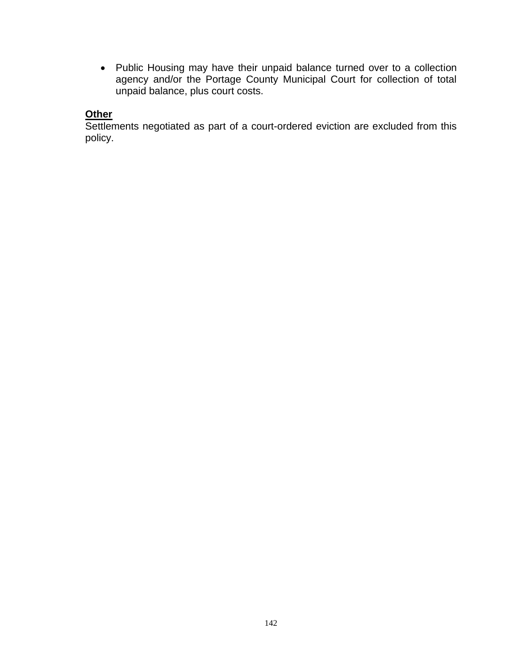• Public Housing may have their unpaid balance turned over to a collection agency and/or the Portage County Municipal Court for collection of total unpaid balance, plus court costs.

# **Other**

Settlements negotiated as part of a court-ordered eviction are excluded from this policy.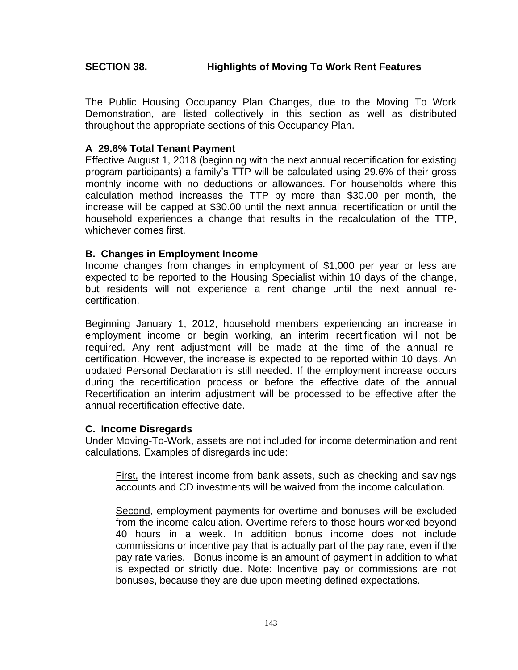The Public Housing Occupancy Plan Changes, due to the Moving To Work Demonstration, are listed collectively in this section as well as distributed throughout the appropriate sections of this Occupancy Plan.

# **A 29.6% Total Tenant Payment**

Effective August 1, 2018 (beginning with the next annual recertification for existing program participants) a family's TTP will be calculated using 29.6% of their gross monthly income with no deductions or allowances. For households where this calculation method increases the TTP by more than \$30.00 per month, the increase will be capped at \$30.00 until the next annual recertification or until the household experiences a change that results in the recalculation of the TTP, whichever comes first.

# **B. Changes in Employment Income**

Income changes from changes in employment of \$1,000 per year or less are expected to be reported to the Housing Specialist within 10 days of the change, but residents will not experience a rent change until the next annual recertification.

Beginning January 1, 2012, household members experiencing an increase in employment income or begin working, an interim recertification will not be required. Any rent adjustment will be made at the time of the annual recertification. However, the increase is expected to be reported within 10 days. An updated Personal Declaration is still needed. If the employment increase occurs during the recertification process or before the effective date of the annual Recertification an interim adjustment will be processed to be effective after the annual recertification effective date.

# **C. Income Disregards**

Under Moving-To-Work, assets are not included for income determination and rent calculations. Examples of disregards include:

First, the interest income from bank assets, such as checking and savings accounts and CD investments will be waived from the income calculation.

Second, employment payments for overtime and bonuses will be excluded from the income calculation. Overtime refers to those hours worked beyond 40 hours in a week. In addition bonus income does not include commissions or incentive pay that is actually part of the pay rate, even if the pay rate varies. Bonus income is an amount of payment in addition to what is expected or strictly due. Note: Incentive pay or commissions are not bonuses, because they are due upon meeting defined expectations.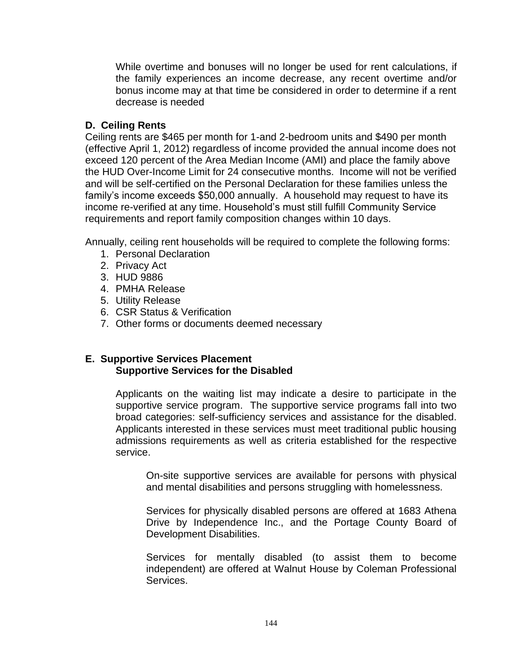While overtime and bonuses will no longer be used for rent calculations, if the family experiences an income decrease, any recent overtime and/or bonus income may at that time be considered in order to determine if a rent decrease is needed

# **D. Ceiling Rents**

Ceiling rents are \$465 per month for 1-and 2-bedroom units and \$490 per month (effective April 1, 2012) regardless of income provided the annual income does not exceed 120 percent of the Area Median Income (AMI) and place the family above the HUD Over-Income Limit for 24 consecutive months. Income will not be verified and will be self-certified on the Personal Declaration for these families unless the family's income exceeds \$50,000 annually. A household may request to have its income re-verified at any time. Household's must still fulfill Community Service requirements and report family composition changes within 10 days.

Annually, ceiling rent households will be required to complete the following forms:

- 1. Personal Declaration
- 2. Privacy Act
- 3. HUD 9886
- 4. PMHA Release
- 5. Utility Release
- 6. CSR Status & Verification
- 7. Other forms or documents deemed necessary

#### **E. Supportive Services Placement Supportive Services for the Disabled**

Applicants on the waiting list may indicate a desire to participate in the supportive service program. The supportive service programs fall into two broad categories: self-sufficiency services and assistance for the disabled. Applicants interested in these services must meet traditional public housing admissions requirements as well as criteria established for the respective service.

On-site supportive services are available for persons with physical and mental disabilities and persons struggling with homelessness.

Services for physically disabled persons are offered at 1683 Athena Drive by Independence Inc., and the Portage County Board of Development Disabilities.

Services for mentally disabled (to assist them to become independent) are offered at Walnut House by Coleman Professional Services.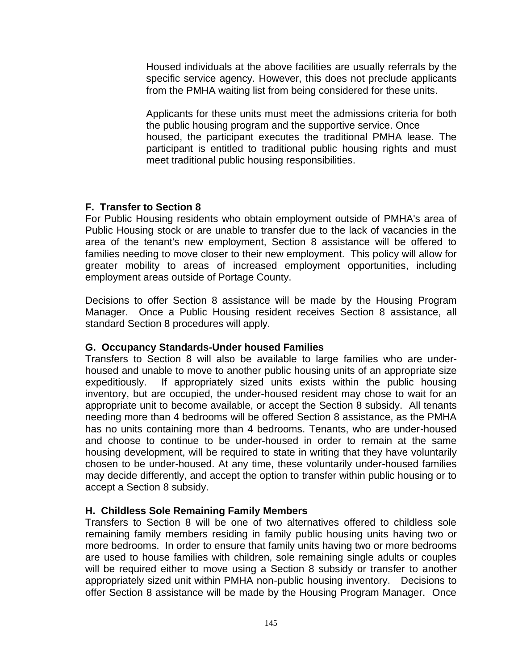Housed individuals at the above facilities are usually referrals by the specific service agency. However, this does not preclude applicants from the PMHA waiting list from being considered for these units.

Applicants for these units must meet the admissions criteria for both the public housing program and the supportive service. Once housed, the participant executes the traditional PMHA lease. The participant is entitled to traditional public housing rights and must meet traditional public housing responsibilities.

# **F. Transfer to Section 8**

For Public Housing residents who obtain employment outside of PMHA's area of Public Housing stock or are unable to transfer due to the lack of vacancies in the area of the tenant's new employment, Section 8 assistance will be offered to families needing to move closer to their new employment. This policy will allow for greater mobility to areas of increased employment opportunities, including employment areas outside of Portage County.

Decisions to offer Section 8 assistance will be made by the Housing Program Manager. Once a Public Housing resident receives Section 8 assistance, all standard Section 8 procedures will apply.

## **G. Occupancy Standards-Under housed Families**

Transfers to Section 8 will also be available to large families who are underhoused and unable to move to another public housing units of an appropriate size expeditiously. If appropriately sized units exists within the public housing inventory, but are occupied, the under-housed resident may chose to wait for an appropriate unit to become available, or accept the Section 8 subsidy. All tenants needing more than 4 bedrooms will be offered Section 8 assistance, as the PMHA has no units containing more than 4 bedrooms. Tenants, who are under-housed and choose to continue to be under-housed in order to remain at the same housing development, will be required to state in writing that they have voluntarily chosen to be under-housed. At any time, these voluntarily under-housed families may decide differently, and accept the option to transfer within public housing or to accept a Section 8 subsidy.

## **H. Childless Sole Remaining Family Members**

Transfers to Section 8 will be one of two alternatives offered to childless sole remaining family members residing in family public housing units having two or more bedrooms. In order to ensure that family units having two or more bedrooms are used to house families with children, sole remaining single adults or couples will be required either to move using a Section 8 subsidy or transfer to another appropriately sized unit within PMHA non-public housing inventory. Decisions to offer Section 8 assistance will be made by the Housing Program Manager. Once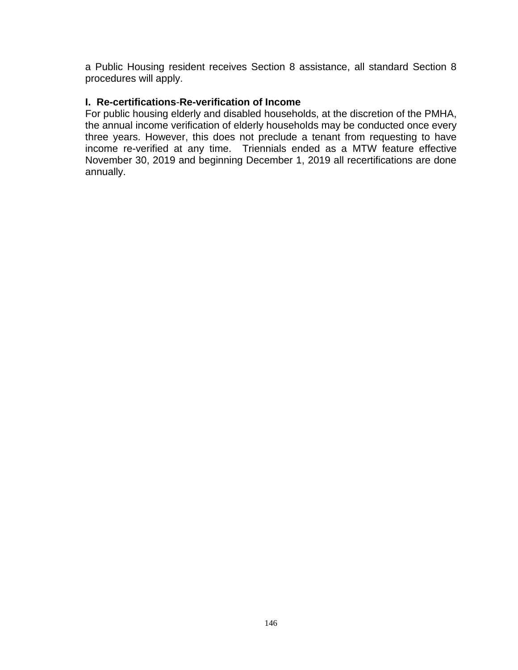a Public Housing resident receives Section 8 assistance, all standard Section 8 procedures will apply.

# **I. Re-certifications**-**Re-verification of Income**

For public housing elderly and disabled households, at the discretion of the PMHA, the annual income verification of elderly households may be conducted once every three years. However, this does not preclude a tenant from requesting to have income re-verified at any time. Triennials ended as a MTW feature effective November 30, 2019 and beginning December 1, 2019 all recertifications are done annually.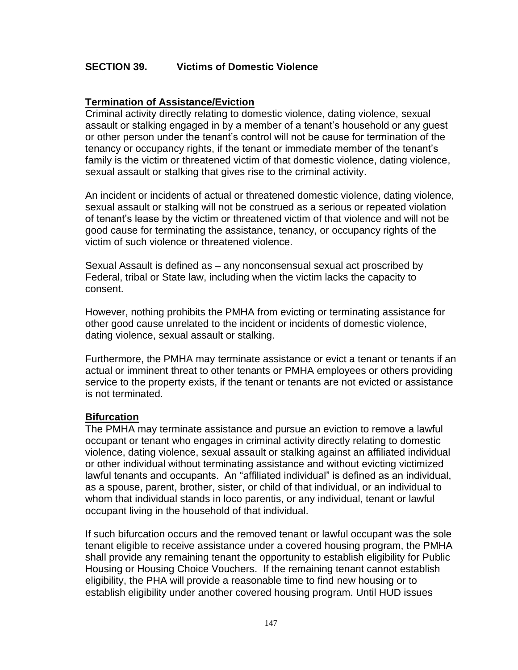# **SECTION 39. Victims of Domestic Violence**

#### **Termination of Assistance/Eviction**

Criminal activity directly relating to domestic violence, dating violence, sexual assault or stalking engaged in by a member of a tenant's household or any guest or other person under the tenant's control will not be cause for termination of the tenancy or occupancy rights, if the tenant or immediate member of the tenant's family is the victim or threatened victim of that domestic violence, dating violence, sexual assault or stalking that gives rise to the criminal activity.

An incident or incidents of actual or threatened domestic violence, dating violence, sexual assault or stalking will not be construed as a serious or repeated violation of tenant's lease by the victim or threatened victim of that violence and will not be good cause for terminating the assistance, tenancy, or occupancy rights of the victim of such violence or threatened violence.

Sexual Assault is defined as – any nonconsensual sexual act proscribed by Federal, tribal or State law, including when the victim lacks the capacity to consent.

However, nothing prohibits the PMHA from evicting or terminating assistance for other good cause unrelated to the incident or incidents of domestic violence, dating violence, sexual assault or stalking.

Furthermore, the PMHA may terminate assistance or evict a tenant or tenants if an actual or imminent threat to other tenants or PMHA employees or others providing service to the property exists, if the tenant or tenants are not evicted or assistance is not terminated.

#### **Bifurcation**

The PMHA may terminate assistance and pursue an eviction to remove a lawful occupant or tenant who engages in criminal activity directly relating to domestic violence, dating violence, sexual assault or stalking against an affiliated individual or other individual without terminating assistance and without evicting victimized lawful tenants and occupants. An "affiliated individual" is defined as an individual, as a spouse, parent, brother, sister, or child of that individual, or an individual to whom that individual stands in loco parentis, or any individual, tenant or lawful occupant living in the household of that individual.

If such bifurcation occurs and the removed tenant or lawful occupant was the sole tenant eligible to receive assistance under a covered housing program, the PMHA shall provide any remaining tenant the opportunity to establish eligibility for Public Housing or Housing Choice Vouchers. If the remaining tenant cannot establish eligibility, the PHA will provide a reasonable time to find new housing or to establish eligibility under another covered housing program. Until HUD issues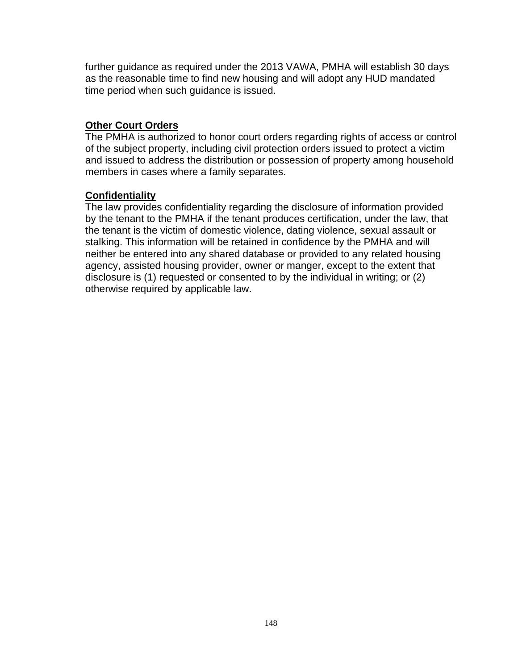further guidance as required under the 2013 VAWA, PMHA will establish 30 days as the reasonable time to find new housing and will adopt any HUD mandated time period when such guidance is issued.

## **Other Court Orders**

The PMHA is authorized to honor court orders regarding rights of access or control of the subject property, including civil protection orders issued to protect a victim and issued to address the distribution or possession of property among household members in cases where a family separates.

#### **Confidentiality**

The law provides confidentiality regarding the disclosure of information provided by the tenant to the PMHA if the tenant produces certification, under the law, that the tenant is the victim of domestic violence, dating violence, sexual assault or stalking. This information will be retained in confidence by the PMHA and will neither be entered into any shared database or provided to any related housing agency, assisted housing provider, owner or manger, except to the extent that disclosure is (1) requested or consented to by the individual in writing; or (2) otherwise required by applicable law.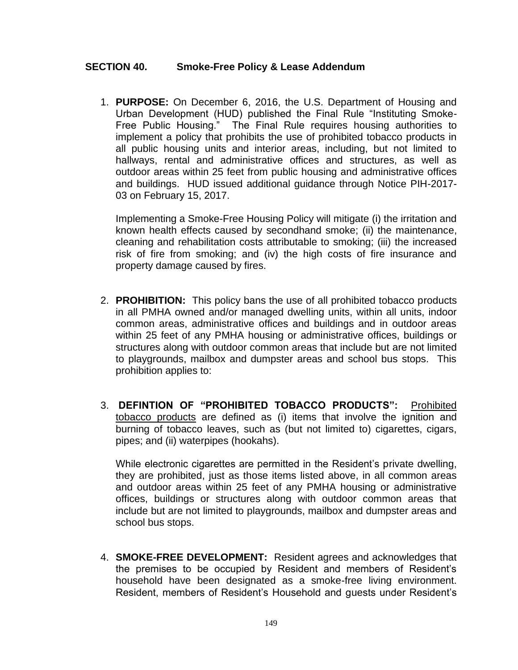### **SECTION 40. Smoke-Free Policy & Lease Addendum**

1. **PURPOSE:** On December 6, 2016, the U.S. Department of Housing and Urban Development (HUD) published the Final Rule "Instituting Smoke-Free Public Housing." The Final Rule requires housing authorities to implement a policy that prohibits the use of prohibited tobacco products in all public housing units and interior areas, including, but not limited to hallways, rental and administrative offices and structures, as well as outdoor areas within 25 feet from public housing and administrative offices and buildings. HUD issued additional guidance through Notice PIH-2017- 03 on February 15, 2017.

Implementing a Smoke-Free Housing Policy will mitigate (i) the irritation and known health effects caused by secondhand smoke; (ii) the maintenance, cleaning and rehabilitation costs attributable to smoking; (iii) the increased risk of fire from smoking; and (iv) the high costs of fire insurance and property damage caused by fires.

- 2. **PROHIBITION:** This policy bans the use of all prohibited tobacco products in all PMHA owned and/or managed dwelling units, within all units, indoor common areas, administrative offices and buildings and in outdoor areas within 25 feet of any PMHA housing or administrative offices, buildings or structures along with outdoor common areas that include but are not limited to playgrounds, mailbox and dumpster areas and school bus stops. This prohibition applies to:
- 3. **DEFINTION OF "PROHIBITED TOBACCO PRODUCTS":** Prohibited tobacco products are defined as (i) items that involve the ignition and burning of tobacco leaves, such as (but not limited to) cigarettes, cigars, pipes; and (ii) waterpipes (hookahs).

While electronic cigarettes are permitted in the Resident's private dwelling, they are prohibited, just as those items listed above, in all common areas and outdoor areas within 25 feet of any PMHA housing or administrative offices, buildings or structures along with outdoor common areas that include but are not limited to playgrounds, mailbox and dumpster areas and school bus stops.

4. **SMOKE-FREE DEVELOPMENT:** Resident agrees and acknowledges that the premises to be occupied by Resident and members of Resident's household have been designated as a smoke-free living environment. Resident, members of Resident's Household and guests under Resident's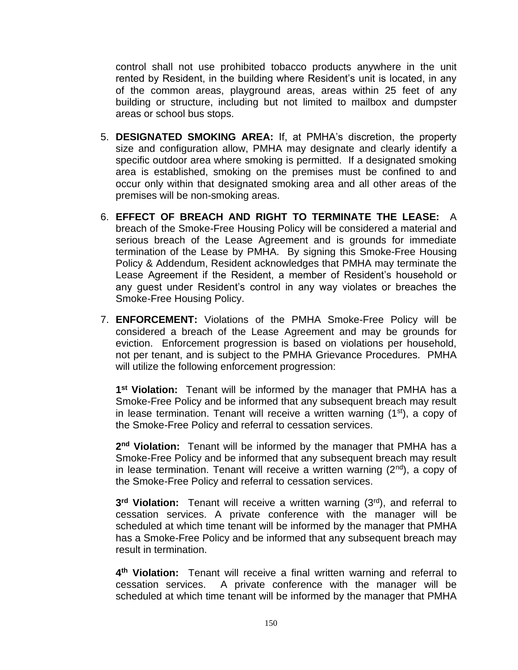control shall not use prohibited tobacco products anywhere in the unit rented by Resident, in the building where Resident's unit is located, in any of the common areas, playground areas, areas within 25 feet of any building or structure, including but not limited to mailbox and dumpster areas or school bus stops.

- 5. **DESIGNATED SMOKING AREA:** If, at PMHA's discretion, the property size and configuration allow, PMHA may designate and clearly identify a specific outdoor area where smoking is permitted. If a designated smoking area is established, smoking on the premises must be confined to and occur only within that designated smoking area and all other areas of the premises will be non-smoking areas.
- 6. **EFFECT OF BREACH AND RIGHT TO TERMINATE THE LEASE:** A breach of the Smoke-Free Housing Policy will be considered a material and serious breach of the Lease Agreement and is grounds for immediate termination of the Lease by PMHA. By signing this Smoke-Free Housing Policy & Addendum, Resident acknowledges that PMHA may terminate the Lease Agreement if the Resident, a member of Resident's household or any guest under Resident's control in any way violates or breaches the Smoke-Free Housing Policy.
- 7. **ENFORCEMENT:** Violations of the PMHA Smoke-Free Policy will be considered a breach of the Lease Agreement and may be grounds for eviction. Enforcement progression is based on violations per household, not per tenant, and is subject to the PMHA Grievance Procedures. PMHA will utilize the following enforcement progression:

**1 st Violation:** Tenant will be informed by the manager that PMHA has a Smoke-Free Policy and be informed that any subsequent breach may result in lease termination. Tenant will receive a written warning  $(1<sup>st</sup>)$ , a copy of the Smoke-Free Policy and referral to cessation services.

2<sup>nd</sup> Violation: Tenant will be informed by the manager that PMHA has a Smoke-Free Policy and be informed that any subsequent breach may result in lease termination. Tenant will receive a written warning  $(2^{nd})$ , a copy of the Smoke-Free Policy and referral to cessation services.

3<sup>rd</sup> Violation: Tenant will receive a written warning (3<sup>rd</sup>), and referral to cessation services. A private conference with the manager will be scheduled at which time tenant will be informed by the manager that PMHA has a Smoke-Free Policy and be informed that any subsequent breach may result in termination.

**4 th Violation:** Tenant will receive a final written warning and referral to cessation services. A private conference with the manager will be scheduled at which time tenant will be informed by the manager that PMHA